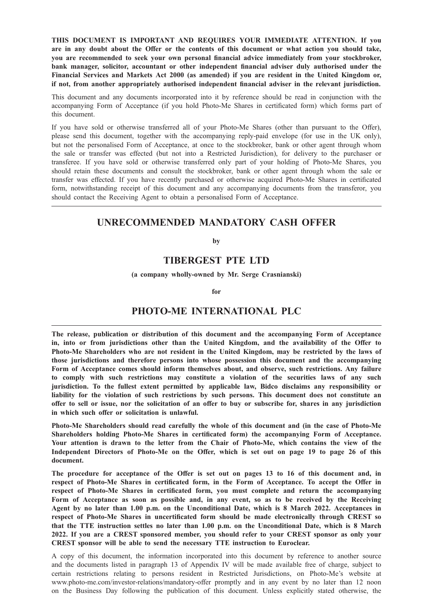THIS DOCUMENT IS IMPORTANT AND REQUIRES YOUR IMMEDIATE ATTENTION. If you are in any doubt about the Offer or the contents of this document or what action you should take, you are recommended to seek your own personal financial advice immediately from your stockbroker, bank manager, solicitor, accountant or other independent financial adviser duly authorised under the Financial Services and Markets Act 2000 (as amended) if you are resident in the United Kingdom or, if not, from another appropriately authorised independent financial adviser in the relevant jurisdiction.

This document and any documents incorporated into it by reference should be read in conjunction with the accompanying Form of Acceptance (if you hold Photo-Me Shares in certificated form) which forms part of this document.

If you have sold or otherwise transferred all of your Photo-Me Shares (other than pursuant to the Offer), please send this document, together with the accompanying reply-paid envelope (for use in the UK only), but not the personalised Form of Acceptance, at once to the stockbroker, bank or other agent through whom the sale or transfer was effected (but not into a Restricted Jurisdiction), for delivery to the purchaser or transferee. If you have sold or otherwise transferred only part of your holding of Photo-Me Shares, you should retain these documents and consult the stockbroker, bank or other agent through whom the sale or transfer was effected. If you have recently purchased or otherwise acquired Photo-Me Shares in certificated form, notwithstanding receipt of this document and any accompanying documents from the transferor, you should contact the Receiving Agent to obtain a personalised Form of Acceptance.

# UNRECOMMENDED MANDATORY CASH OFFER

by

# TIBERGEST PTE LTD

(a company wholly-owned by Mr. Serge Crasnianski)

for

# PHOTO-ME INTERNATIONAL PLC

The release, publication or distribution of this document and the accompanying Form of Acceptance in, into or from jurisdictions other than the United Kingdom, and the availability of the Offer to Photo-Me Shareholders who are not resident in the United Kingdom, may be restricted by the laws of those jurisdictions and therefore persons into whose possession this document and the accompanying Form of Acceptance comes should inform themselves about, and observe, such restrictions. Any failure to comply with such restrictions may constitute a violation of the securities laws of any such jurisdiction. To the fullest extent permitted by applicable law, Bidco disclaims any responsibility or liability for the violation of such restrictions by such persons. This document does not constitute an offer to sell or issue, nor the solicitation of an offer to buy or subscribe for, shares in any jurisdiction in which such offer or solicitation is unlawful.

Photo-Me Shareholders should read carefully the whole of this document and (in the case of Photo-Me Shareholders holding Photo-Me Shares in certificated form) the accompanying Form of Acceptance. Your attention is drawn to the letter from the Chair of Photo-Me, which contains the view of the Independent Directors of Photo-Me on the Offer, which is set out on page 19 to page 26 of this document.

The procedure for acceptance of the Offer is set out on pages 13 to 16 of this document and, in respect of Photo-Me Shares in certificated form, in the Form of Acceptance. To accept the Offer in respect of Photo-Me Shares in certificated form, you must complete and return the accompanying Form of Acceptance as soon as possible and, in any event, so as to be received by the Receiving Agent by no later than 1.00 p.m. on the Unconditional Date, which is 8 March 2022. Acceptances in respect of Photo-Me Shares in uncertificated form should be made electronically through CREST so that the TTE instruction settles no later than 1.00 p.m. on the Unconditional Date, which is 8 March 2022. If you are a CREST sponsored member, you should refer to your CREST sponsor as only your CREST sponsor will be able to send the necessary TTE instruction to Euroclear.

A copy of this document, the information incorporated into this document by reference to another source and the documents listed in paragraph 13 of Appendix IV will be made available free of charge, subject to certain restrictions relating to persons resident in Restricted Jurisdictions, on Photo-Me's website at www.photo-me.com/investor-relations/mandatory-offer promptly and in any event by no later than 12 noon on the Business Day following the publication of this document. Unless explicitly stated otherwise, the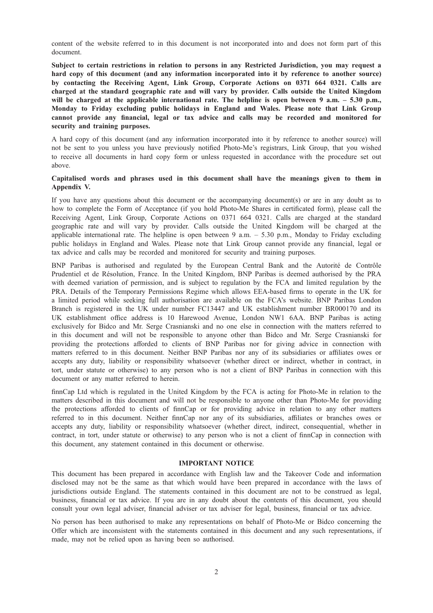content of the website referred to in this document is not incorporated into and does not form part of this document.

Subject to certain restrictions in relation to persons in any Restricted Jurisdiction, you may request a hard copy of this document (and any information incorporated into it by reference to another source) by contacting the Receiving Agent, Link Group, Corporate Actions on 0371 664 0321. Calls are charged at the standard geographic rate and will vary by provider. Calls outside the United Kingdom will be charged at the applicable international rate. The helpline is open between 9 a.m. – 5.30 p.m., Monday to Friday excluding public holidays in England and Wales. Please note that Link Group cannot provide any financial, legal or tax advice and calls may be recorded and monitored for security and training purposes.

A hard copy of this document (and any information incorporated into it by reference to another source) will not be sent to you unless you have previously notified Photo-Me's registrars, Link Group, that you wished to receive all documents in hard copy form or unless requested in accordance with the procedure set out above.

# Capitalised words and phrases used in this document shall have the meanings given to them in Appendix V.

If you have any questions about this document or the accompanying document(s) or are in any doubt as to how to complete the Form of Acceptance (if you hold Photo-Me Shares in certificated form), please call the Receiving Agent, Link Group, Corporate Actions on 0371 664 0321. Calls are charged at the standard geographic rate and will vary by provider. Calls outside the United Kingdom will be charged at the applicable international rate. The helpline is open between  $9 \text{ a.m.} - 5.30 \text{ p.m.,}$  Monday to Friday excluding public holidays in England and Wales. Please note that Link Group cannot provide any financial, legal or tax advice and calls may be recorded and monitored for security and training purposes.

BNP Paribas is authorised and regulated by the European Central Bank and the Autorité de Contrôle Prudentiel et de Résolution, France. In the United Kingdom, BNP Paribas is deemed authorised by the PRA with deemed variation of permission, and is subject to regulation by the FCA and limited regulation by the PRA. Details of the Temporary Permissions Regime which allows EEA-based firms to operate in the UK for a limited period while seeking full authorisation are available on the FCA's website. BNP Paribas London Branch is registered in the UK under number FC13447 and UK establishment number BR000170 and its UK establishment office address is 10 Harewood Avenue, London NW1 6AA. BNP Paribas is acting exclusively for Bidco and Mr. Serge Crasnianski and no one else in connection with the matters referred to in this document and will not be responsible to anyone other than Bidco and Mr. Serge Crasnianski for providing the protections afforded to clients of BNP Paribas nor for giving advice in connection with matters referred to in this document. Neither BNP Paribas nor any of its subsidiaries or affiliates owes or accepts any duty, liability or responsibility whatsoever (whether direct or indirect, whether in contract, in tort, under statute or otherwise) to any person who is not a client of BNP Paribas in connection with this document or any matter referred to herein.

finnCap Ltd which is regulated in the United Kingdom by the FCA is acting for Photo-Me in relation to the matters described in this document and will not be responsible to anyone other than Photo-Me for providing the protections afforded to clients of finnCap or for providing advice in relation to any other matters referred to in this document. Neither finnCap nor any of its subsidiaries, affiliates or branches owes or accepts any duty, liability or responsibility whatsoever (whether direct, indirect, consequential, whether in contract, in tort, under statute or otherwise) to any person who is not a client of finnCap in connection with this document, any statement contained in this document or otherwise.

#### IMPORTANT NOTICE

This document has been prepared in accordance with English law and the Takeover Code and information disclosed may not be the same as that which would have been prepared in accordance with the laws of jurisdictions outside England. The statements contained in this document are not to be construed as legal, business, financial or tax advice. If you are in any doubt about the contents of this document, you should consult your own legal adviser, financial adviser or tax adviser for legal, business, financial or tax advice.

No person has been authorised to make any representations on behalf of Photo-Me or Bidco concerning the Offer which are inconsistent with the statements contained in this document and any such representations, if made, may not be relied upon as having been so authorised.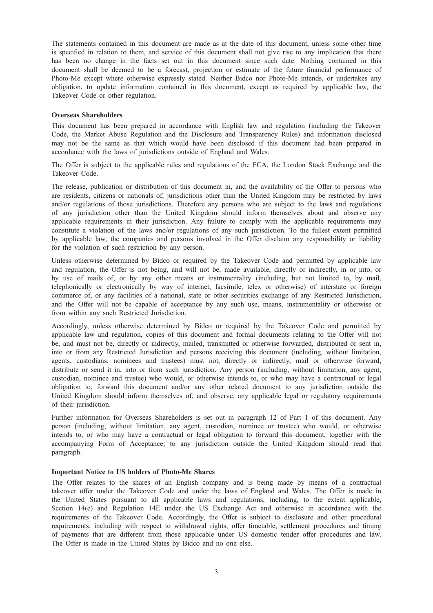The statements contained in this document are made as at the date of this document, unless some other time is specified in relation to them, and service of this document shall not give rise to any implication that there has been no change in the facts set out in this document since such date. Nothing contained in this document shall be deemed to be a forecast, projection or estimate of the future financial performance of Photo-Me except where otherwise expressly stated. Neither Bidco nor Photo-Me intends, or undertakes any obligation, to update information contained in this document, except as required by applicable law, the Takeover Code or other regulation.

## Overseas Shareholders

This document has been prepared in accordance with English law and regulation (including the Takeover Code, the Market Abuse Regulation and the Disclosure and Transparency Rules) and information disclosed may not be the same as that which would have been disclosed if this document had been prepared in accordance with the laws of jurisdictions outside of England and Wales.

The Offer is subject to the applicable rules and regulations of the FCA, the London Stock Exchange and the Takeover Code.

The release, publication or distribution of this document in, and the availability of the Offer to persons who are residents, citizens or nationals of, jurisdictions other than the United Kingdom may be restricted by laws and/or regulations of those jurisdictions. Therefore any persons who are subject to the laws and regulations of any jurisdiction other than the United Kingdom should inform themselves about and observe any applicable requirements in their jurisdiction. Any failure to comply with the applicable requirements may constitute a violation of the laws and/or regulations of any such jurisdiction. To the fullest extent permitted by applicable law, the companies and persons involved in the Offer disclaim any responsibility or liability for the violation of such restriction by any person.

Unless otherwise determined by Bidco or required by the Takeover Code and permitted by applicable law and regulation, the Offer is not being, and will not be, made available, directly or indirectly, in or into, or by use of mails of, or by any other means or instrumentality (including, but not limited to, by mail, telephonically or electronically by way of internet, facsimile, telex or otherwise) of interstate or foreign commerce of, or any facilities of a national, state or other securities exchange of any Restricted Jurisdiction, and the Offer will not be capable of acceptance by any such use, means, instrumentality or otherwise or from within any such Restricted Jurisdiction.

Accordingly, unless otherwise determined by Bidco or required by the Takeover Code and permitted by applicable law and regulation, copies of this document and formal documents relating to the Offer will not be, and must not be, directly or indirectly, mailed, transmitted or otherwise forwarded, distributed or sent in, into or from any Restricted Jurisdiction and persons receiving this document (including, without limitation, agents, custodians, nominees and trustees) must not, directly or indirectly, mail or otherwise forward, distribute or send it in, into or from such jurisdiction. Any person (including, without limitation, any agent, custodian, nominee and trustee) who would, or otherwise intends to, or who may have a contractual or legal obligation to, forward this document and/or any other related document to any jurisdiction outside the United Kingdom should inform themselves of, and observe, any applicable legal or regulatory requirements of their jurisdiction.

Further information for Overseas Shareholders is set out in paragraph 12 of Part 1 of this document. Any person (including, without limitation, any agent, custodian, nominee or trustee) who would, or otherwise intends to, or who may have a contractual or legal obligation to forward this document, together with the accompanying Form of Acceptance, to any jurisdiction outside the United Kingdom should read that paragraph.

#### Important Notice to US holders of Photo-Me Shares

The Offer relates to the shares of an English company and is being made by means of a contractual takeover offer under the Takeover Code and under the laws of England and Wales. The Offer is made in the United States pursuant to all applicable laws and regulations, including, to the extent applicable, Section 14(e) and Regulation 14E under the US Exchange Act and otherwise in accordance with the requirements of the Takeover Code. Accordingly, the Offer is subject to disclosure and other procedural requirements, including with respect to withdrawal rights, offer timetable, settlement procedures and timing of payments that are different from those applicable under US domestic tender offer procedures and law. The Offer is made in the United States by Bidco and no one else.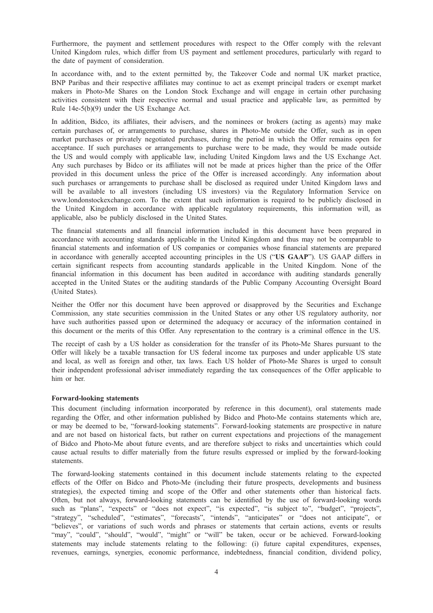Furthermore, the payment and settlement procedures with respect to the Offer comply with the relevant United Kingdom rules, which differ from US payment and settlement procedures, particularly with regard to the date of payment of consideration.

In accordance with, and to the extent permitted by, the Takeover Code and normal UK market practice, BNP Paribas and their respective affiliates may continue to act as exempt principal traders or exempt market makers in Photo-Me Shares on the London Stock Exchange and will engage in certain other purchasing activities consistent with their respective normal and usual practice and applicable law, as permitted by Rule 14e-5(b)(9) under the US Exchange Act.

In addition, Bidco, its affiliates, their advisers, and the nominees or brokers (acting as agents) may make certain purchases of, or arrangements to purchase, shares in Photo-Me outside the Offer, such as in open market purchases or privately negotiated purchases, during the period in which the Offer remains open for acceptance. If such purchases or arrangements to purchase were to be made, they would be made outside the US and would comply with applicable law, including United Kingdom laws and the US Exchange Act. Any such purchases by Bidco or its affiliates will not be made at prices higher than the price of the Offer provided in this document unless the price of the Offer is increased accordingly. Any information about such purchases or arrangements to purchase shall be disclosed as required under United Kingdom laws and will be available to all investors (including US investors) via the Regulatory Information Service on www.londonstockexchange.com. To the extent that such information is required to be publicly disclosed in the United Kingdom in accordance with applicable regulatory requirements, this information will, as applicable, also be publicly disclosed in the United States.

The financial statements and all financial information included in this document have been prepared in accordance with accounting standards applicable in the United Kingdom and thus may not be comparable to financial statements and information of US companies or companies whose financial statements are prepared in accordance with generally accepted accounting principles in the US ("US GAAP"). US GAAP differs in certain significant respects from accounting standards applicable in the United Kingdom. None of the financial information in this document has been audited in accordance with auditing standards generally accepted in the United States or the auditing standards of the Public Company Accounting Oversight Board (United States).

Neither the Offer nor this document have been approved or disapproved by the Securities and Exchange Commission, any state securities commission in the United States or any other US regulatory authority, nor have such authorities passed upon or determined the adequacy or accuracy of the information contained in this document or the merits of this Offer. Any representation to the contrary is a criminal offence in the US.

The receipt of cash by a US holder as consideration for the transfer of its Photo-Me Shares pursuant to the Offer will likely be a taxable transaction for US federal income tax purposes and under applicable US state and local, as well as foreign and other, tax laws. Each US holder of Photo-Me Shares is urged to consult their independent professional adviser immediately regarding the tax consequences of the Offer applicable to him or her.

#### Forward-looking statements

This document (including information incorporated by reference in this document), oral statements made regarding the Offer, and other information published by Bidco and Photo-Me contains statements which are, or may be deemed to be, "forward-looking statements". Forward-looking statements are prospective in nature and are not based on historical facts, but rather on current expectations and projections of the management of Bidco and Photo-Me about future events, and are therefore subject to risks and uncertainties which could cause actual results to differ materially from the future results expressed or implied by the forward-looking statements.

The forward-looking statements contained in this document include statements relating to the expected effects of the Offer on Bidco and Photo-Me (including their future prospects, developments and business strategies), the expected timing and scope of the Offer and other statements other than historical facts. Often, but not always, forward-looking statements can be identified by the use of forward-looking words such as "plans", "expects" or "does not expect", "is expected", "is subject to", "budget", "projects", "strategy", "scheduled", "estimates", "forecasts", "intends", "anticipates" or "does not anticipate", or "believes", or variations of such words and phrases or statements that certain actions, events or results "may", "could", "should", "would", "might" or "will" be taken, occur or be achieved. Forward-looking statements may include statements relating to the following: (i) future capital expenditures, expenses, revenues, earnings, synergies, economic performance, indebtedness, financial condition, dividend policy,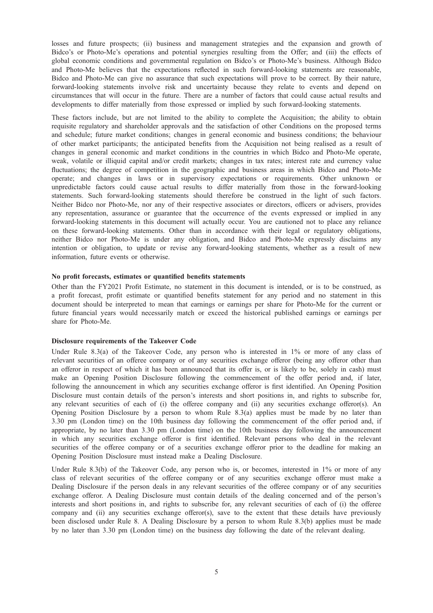losses and future prospects; (ii) business and management strategies and the expansion and growth of Bidco's or Photo-Me's operations and potential synergies resulting from the Offer; and (iii) the effects of global economic conditions and governmental regulation on Bidco's or Photo-Me's business. Although Bidco and Photo-Me believes that the expectations reflected in such forward-looking statements are reasonable, Bidco and Photo-Me can give no assurance that such expectations will prove to be correct. By their nature, forward-looking statements involve risk and uncertainty because they relate to events and depend on circumstances that will occur in the future. There are a number of factors that could cause actual results and developments to differ materially from those expressed or implied by such forward-looking statements.

These factors include, but are not limited to the ability to complete the Acquisition; the ability to obtain requisite regulatory and shareholder approvals and the satisfaction of other Conditions on the proposed terms and schedule; future market conditions; changes in general economic and business conditions; the behaviour of other market participants; the anticipated benefits from the Acquisition not being realised as a result of changes in general economic and market conditions in the countries in which Bidco and Photo-Me operate, weak, volatile or illiquid capital and/or credit markets; changes in tax rates; interest rate and currency value fluctuations; the degree of competition in the geographic and business areas in which Bidco and Photo-Me operate; and changes in laws or in supervisory expectations or requirements. Other unknown or unpredictable factors could cause actual results to differ materially from those in the forward-looking statements. Such forward-looking statements should therefore be construed in the light of such factors. Neither Bidco nor Photo-Me, nor any of their respective associates or directors, officers or advisers, provides any representation, assurance or guarantee that the occurrence of the events expressed or implied in any forward-looking statements in this document will actually occur. You are cautioned not to place any reliance on these forward-looking statements. Other than in accordance with their legal or regulatory obligations, neither Bidco nor Photo-Me is under any obligation, and Bidco and Photo-Me expressly disclaims any intention or obligation, to update or revise any forward-looking statements, whether as a result of new information, future events or otherwise.

#### No profit forecasts, estimates or quantified benefits statements

Other than the FY2021 Profit Estimate, no statement in this document is intended, or is to be construed, as a profit forecast, profit estimate or quantified benefits statement for any period and no statement in this document should be interpreted to mean that earnings or earnings per share for Photo-Me for the current or future financial years would necessarily match or exceed the historical published earnings or earnings per share for Photo-Me.

# Disclosure requirements of the Takeover Code

Under Rule 8.3(a) of the Takeover Code, any person who is interested in 1% or more of any class of relevant securities of an offeree company or of any securities exchange offeror (being any offeror other than an offeror in respect of which it has been announced that its offer is, or is likely to be, solely in cash) must make an Opening Position Disclosure following the commencement of the offer period and, if later, following the announcement in which any securities exchange offeror is first identified. An Opening Position Disclosure must contain details of the person's interests and short positions in, and rights to subscribe for, any relevant securities of each of (i) the offeree company and (ii) any securities exchange offeror(s). An Opening Position Disclosure by a person to whom Rule 8.3(a) applies must be made by no later than 3.30 pm (London time) on the 10th business day following the commencement of the offer period and, if appropriate, by no later than 3.30 pm (London time) on the 10th business day following the announcement in which any securities exchange offeror is first identified. Relevant persons who deal in the relevant securities of the offeree company or of a securities exchange offeror prior to the deadline for making an Opening Position Disclosure must instead make a Dealing Disclosure.

Under Rule 8.3(b) of the Takeover Code, any person who is, or becomes, interested in 1% or more of any class of relevant securities of the offeree company or of any securities exchange offeror must make a Dealing Disclosure if the person deals in any relevant securities of the offeree company or of any securities exchange offeror. A Dealing Disclosure must contain details of the dealing concerned and of the person's interests and short positions in, and rights to subscribe for, any relevant securities of each of (i) the offeree company and (ii) any securities exchange offeror(s), save to the extent that these details have previously been disclosed under Rule 8. A Dealing Disclosure by a person to whom Rule 8.3(b) applies must be made by no later than 3.30 pm (London time) on the business day following the date of the relevant dealing.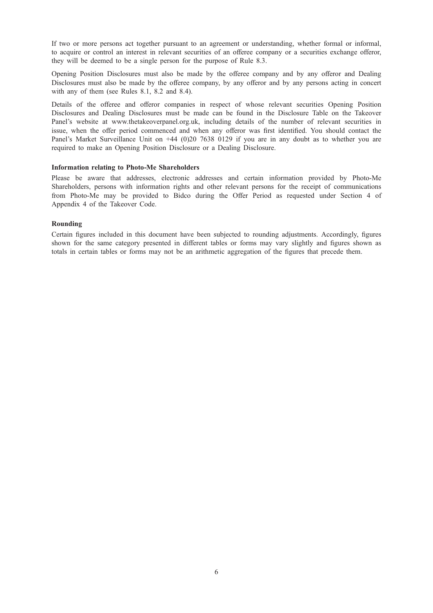If two or more persons act together pursuant to an agreement or understanding, whether formal or informal, to acquire or control an interest in relevant securities of an offeree company or a securities exchange offeror, they will be deemed to be a single person for the purpose of Rule 8.3.

Opening Position Disclosures must also be made by the offeree company and by any offeror and Dealing Disclosures must also be made by the offeree company, by any offeror and by any persons acting in concert with any of them (see Rules 8.1, 8.2 and 8.4).

Details of the offeree and offeror companies in respect of whose relevant securities Opening Position Disclosures and Dealing Disclosures must be made can be found in the Disclosure Table on the Takeover Panel's website at www.thetakeoverpanel.org.uk, including details of the number of relevant securities in issue, when the offer period commenced and when any offeror was first identified. You should contact the Panel's Market Surveillance Unit on +44 (0)20 7638 0129 if you are in any doubt as to whether you are required to make an Opening Position Disclosure or a Dealing Disclosure.

#### Information relating to Photo-Me Shareholders

Please be aware that addresses, electronic addresses and certain information provided by Photo-Me Shareholders, persons with information rights and other relevant persons for the receipt of communications from Photo-Me may be provided to Bidco during the Offer Period as requested under Section 4 of Appendix 4 of the Takeover Code.

# Rounding

Certain figures included in this document have been subjected to rounding adjustments. Accordingly, figures shown for the same category presented in different tables or forms may vary slightly and figures shown as totals in certain tables or forms may not be an arithmetic aggregation of the figures that precede them.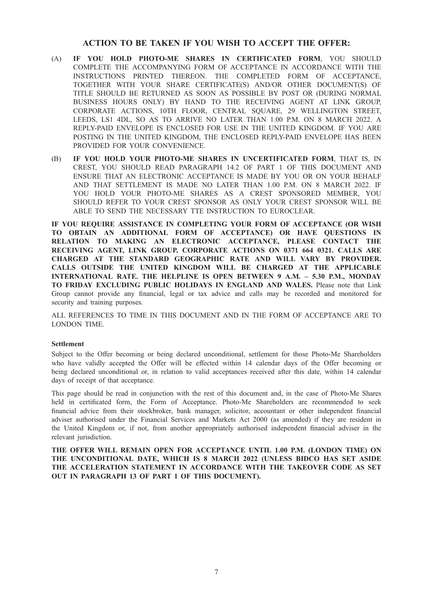# ACTION TO BE TAKEN IF YOU WISH TO ACCEPT THE OFFER:

- (A) IF YOU HOLD PHOTO-ME SHARES IN CERTIFICATED FORM, YOU SHOULD COMPLETE THE ACCOMPANYING FORM OF ACCEPTANCE IN ACCORDANCE WITH THE INSTRUCTIONS PRINTED THEREON. THE COMPLETED FORM OF ACCEPTANCE, TOGETHER WITH YOUR SHARE CERTIFICATE(S) AND/OR OTHER DOCUMENT(S) OF TITLE SHOULD BE RETURNED AS SOON AS POSSIBLE BY POST OR (DURING NORMAL BUSINESS HOURS ONLY) BY HAND TO THE RECEIVING AGENT AT LINK GROUP, CORPORATE ACTIONS, 10TH FLOOR, CENTRAL SQUARE, 29 WELLINGTON STREET, LEEDS, LS1 4DL, SO AS TO ARRIVE NO LATER THAN 1.00 P.M. ON 8 MARCH 2022. A REPLY-PAID ENVELOPE IS ENCLOSED FOR USE IN THE UNITED KINGDOM. IF YOU ARE POSTING IN THE UNITED KINGDOM, THE ENCLOSED REPLY-PAID ENVELOPE HAS BEEN PROVIDED FOR YOUR CONVENIENCE.
- (B) IF YOU HOLD YOUR PHOTO-ME SHARES IN UNCERTIFICATED FORM, THAT IS, IN CREST, YOU SHOULD READ PARAGRAPH 14.2 OF PART 1 OF THIS DOCUMENT AND ENSURE THAT AN ELECTRONIC ACCEPTANCE IS MADE BY YOU OR ON YOUR BEHALF AND THAT SETTLEMENT IS MADE NO LATER THAN 1.00 P.M. ON 8 MARCH 2022. IF YOU HOLD YOUR PHOTO-ME SHARES AS A CREST SPONSORED MEMBER, YOU SHOULD REFER TO YOUR CREST SPONSOR AS ONLY YOUR CREST SPONSOR WILL BE ABLE TO SEND THE NECESSARY TTE INSTRUCTION TO EUROCLEAR.

IF YOU REQUIRE ASSISTANCE IN COMPLETING YOUR FORM OF ACCEPTANCE (OR WISH TO OBTAIN AN ADDITIONAL FORM OF ACCEPTANCE) OR HAVE QUESTIONS IN RELATION TO MAKING AN ELECTRONIC ACCEPTANCE, PLEASE CONTACT THE RECEIVING AGENT, LINK GROUP, CORPORATE ACTIONS ON 0371 664 0321. CALLS ARE CHARGED AT THE STANDARD GEOGRAPHIC RATE AND WILL VARY BY PROVIDER. CALLS OUTSIDE THE UNITED KINGDOM WILL BE CHARGED AT THE APPLICABLE INTERNATIONAL RATE. THE HELPLINE IS OPEN BETWEEN 9 A.M. – 5.30 P.M., MONDAY TO FRIDAY EXCLUDING PUBLIC HOLIDAYS IN ENGLAND AND WALES. Please note that Link Group cannot provide any financial, legal or tax advice and calls may be recorded and monitored for security and training purposes.

ALL REFERENCES TO TIME IN THIS DOCUMENT AND IN THE FORM OF ACCEPTANCE ARE TO LONDON TIME.

# Settlement

Subject to the Offer becoming or being declared unconditional, settlement for those Photo-Me Shareholders who have validly accepted the Offer will be effected within 14 calendar days of the Offer becoming or being declared unconditional or, in relation to valid acceptances received after this date, within 14 calendar days of receipt of that acceptance.

This page should be read in conjunction with the rest of this document and, in the case of Photo-Me Shares held in certificated form, the Form of Acceptance. Photo-Me Shareholders are recommended to seek financial advice from their stockbroker, bank manager, solicitor, accountant or other independent financial adviser authorised under the Financial Services and Markets Act 2000 (as amended) if they are resident in the United Kingdom or, if not, from another appropriately authorised independent financial adviser in the relevant jurisdiction.

THE OFFER WILL REMAIN OPEN FOR ACCEPTANCE UNTIL 1.00 P.M. (LONDON TIME) ON THE UNCONDITIONAL DATE, WHICH IS 8 MARCH 2022 (UNLESS BIDCO HAS SET ASIDE THE ACCELERATION STATEMENT IN ACCORDANCE WITH THE TAKEOVER CODE AS SET OUT IN PARAGRAPH 13 OF PART 1 OF THIS DOCUMENT).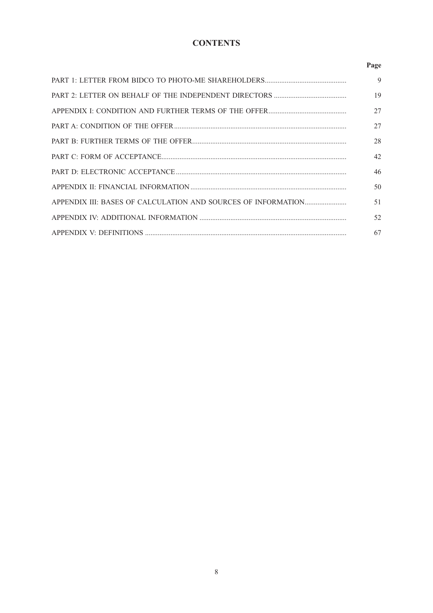# **CONTENTS**

# Page

| 9  |
|----|
| 19 |
| 27 |
| 27 |
| 28 |
| 42 |
| 46 |
| 50 |
| 51 |
| 52 |
| 67 |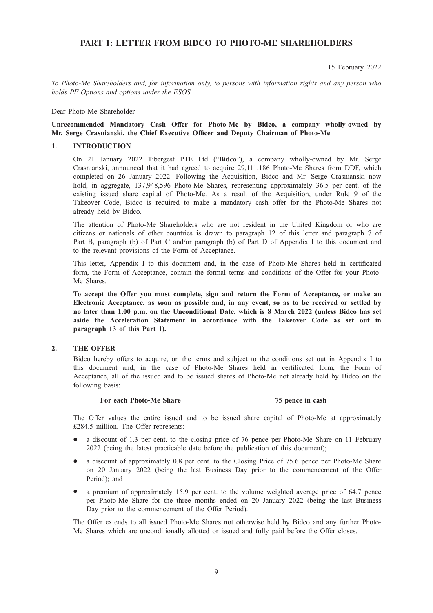# PART 1: LETTER FROM BIDCO TO PHOTO-ME SHAREHOLDERS

15 February 2022

To Photo-Me Shareholders and, for information only, to persons with information rights and any person who holds PF Options and options under the ESOS

Dear Photo-Me Shareholder

# Unrecommended Mandatory Cash Offer for Photo-Me by Bidco, a company wholly-owned by Mr. Serge Crasnianski, the Chief Executive Officer and Deputy Chairman of Photo-Me

#### 1. INTRODUCTION

On 21 January 2022 Tibergest PTE Ltd ("Bidco"), a company wholly-owned by Mr. Serge Crasnianski, announced that it had agreed to acquire 29,111,186 Photo-Me Shares from DDF, which completed on 26 January 2022. Following the Acquisition, Bidco and Mr. Serge Crasnianski now hold, in aggregate, 137,948,596 Photo-Me Shares, representing approximately 36.5 per cent. of the existing issued share capital of Photo-Me. As a result of the Acquisition, under Rule 9 of the Takeover Code, Bidco is required to make a mandatory cash offer for the Photo-Me Shares not already held by Bidco.

The attention of Photo-Me Shareholders who are not resident in the United Kingdom or who are citizens or nationals of other countries is drawn to paragraph 12 of this letter and paragraph 7 of Part B, paragraph (b) of Part C and/or paragraph (b) of Part D of Appendix I to this document and to the relevant provisions of the Form of Acceptance.

This letter, Appendix I to this document and, in the case of Photo-Me Shares held in certificated form, the Form of Acceptance, contain the formal terms and conditions of the Offer for your Photo-Me Shares.

To accept the Offer you must complete, sign and return the Form of Acceptance, or make an Electronic Acceptance, as soon as possible and, in any event, so as to be received or settled by no later than 1.00 p.m. on the Unconditional Date, which is 8 March 2022 (unless Bidco has set aside the Acceleration Statement in accordance with the Takeover Code as set out in paragraph 13 of this Part 1).

#### 2. THE OFFER

Bidco hereby offers to acquire, on the terms and subject to the conditions set out in Appendix I to this document and, in the case of Photo-Me Shares held in certificated form, the Form of Acceptance, all of the issued and to be issued shares of Photo-Me not already held by Bidco on the following basis:

#### For each Photo-Me Share 75 pence in cash

The Offer values the entire issued and to be issued share capital of Photo-Me at approximately £284.5 million. The Offer represents:

- a discount of 1.3 per cent. to the closing price of 76 pence per Photo-Me Share on 11 February 2022 (being the latest practicable date before the publication of this document);
- a discount of approximately 0.8 per cent. to the Closing Price of 75.6 pence per Photo-Me Share on 20 January 2022 (being the last Business Day prior to the commencement of the Offer Period); and
- $\bullet$  a premium of approximately 15.9 per cent. to the volume weighted average price of 64.7 pence per Photo-Me Share for the three months ended on 20 January 2022 (being the last Business Day prior to the commencement of the Offer Period).

The Offer extends to all issued Photo-Me Shares not otherwise held by Bidco and any further Photo-Me Shares which are unconditionally allotted or issued and fully paid before the Offer closes.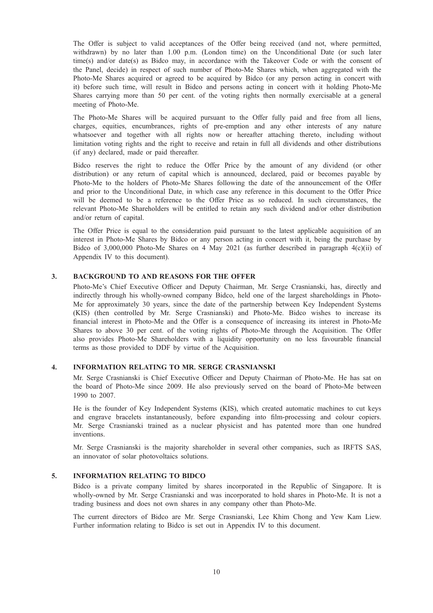The Offer is subject to valid acceptances of the Offer being received (and not, where permitted, withdrawn) by no later than 1.00 p.m. (London time) on the Unconditional Date (or such later time(s) and/or date(s) as Bidco may, in accordance with the Takeover Code or with the consent of the Panel, decide) in respect of such number of Photo-Me Shares which, when aggregated with the Photo-Me Shares acquired or agreed to be acquired by Bidco (or any person acting in concert with it) before such time, will result in Bidco and persons acting in concert with it holding Photo-Me Shares carrying more than 50 per cent. of the voting rights then normally exercisable at a general meeting of Photo-Me.

The Photo-Me Shares will be acquired pursuant to the Offer fully paid and free from all liens, charges, equities, encumbrances, rights of pre-emption and any other interests of any nature whatsoever and together with all rights now or hereafter attaching thereto, including without limitation voting rights and the right to receive and retain in full all dividends and other distributions (if any) declared, made or paid thereafter.

Bidco reserves the right to reduce the Offer Price by the amount of any dividend (or other distribution) or any return of capital which is announced, declared, paid or becomes payable by Photo-Me to the holders of Photo-Me Shares following the date of the announcement of the Offer and prior to the Unconditional Date, in which case any reference in this document to the Offer Price will be deemed to be a reference to the Offer Price as so reduced. In such circumstances, the relevant Photo-Me Shareholders will be entitled to retain any such dividend and/or other distribution and/or return of capital.

The Offer Price is equal to the consideration paid pursuant to the latest applicable acquisition of an interest in Photo-Me Shares by Bidco or any person acting in concert with it, being the purchase by Bidco of 3,000,000 Photo-Me Shares on 4 May 2021 (as further described in paragraph 4(c)(ii) of Appendix IV to this document).

# 3. BACKGROUND TO AND REASONS FOR THE OFFER

Photo-Me's Chief Executive Officer and Deputy Chairman, Mr. Serge Crasnianski, has, directly and indirectly through his wholly-owned company Bidco, held one of the largest shareholdings in Photo-Me for approximately 30 years, since the date of the partnership between Key Independent Systems (KIS) (then controlled by Mr. Serge Crasnianski) and Photo-Me. Bidco wishes to increase its financial interest in Photo-Me and the Offer is a consequence of increasing its interest in Photo-Me Shares to above 30 per cent. of the voting rights of Photo-Me through the Acquisition. The Offer also provides Photo-Me Shareholders with a liquidity opportunity on no less favourable financial terms as those provided to DDF by virtue of the Acquisition.

# 4. INFORMATION RELATING TO MR. SERGE CRASNIANSKI

Mr. Serge Crasnianski is Chief Executive Officer and Deputy Chairman of Photo-Me. He has sat on the board of Photo-Me since 2009. He also previously served on the board of Photo-Me between 1990 to 2007.

He is the founder of Key Independent Systems (KIS), which created automatic machines to cut keys and engrave bracelets instantaneously, before expanding into film-processing and colour copiers. Mr. Serge Crasnianski trained as a nuclear physicist and has patented more than one hundred inventions.

Mr. Serge Crasnianski is the majority shareholder in several other companies, such as IRFTS SAS, an innovator of solar photovoltaics solutions.

#### 5. INFORMATION RELATING TO BIDCO

Bidco is a private company limited by shares incorporated in the Republic of Singapore. It is wholly-owned by Mr. Serge Crasnianski and was incorporated to hold shares in Photo-Me. It is not a trading business and does not own shares in any company other than Photo-Me.

The current directors of Bidco are Mr. Serge Crasnianski, Lee Khim Chong and Yew Kam Liew. Further information relating to Bidco is set out in Appendix IV to this document.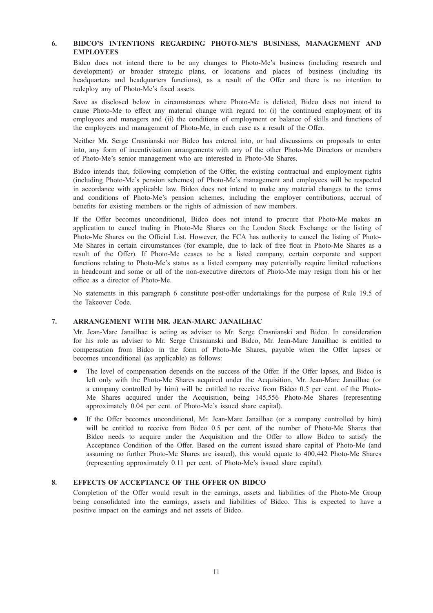# 6. BIDCO'S INTENTIONS REGARDING PHOTO-ME'S BUSINESS, MANAGEMENT AND EMPLOYEES

Bidco does not intend there to be any changes to Photo-Me's business (including research and development) or broader strategic plans, or locations and places of business (including its headquarters and headquarters functions), as a result of the Offer and there is no intention to redeploy any of Photo-Me's fixed assets.

Save as disclosed below in circumstances where Photo-Me is delisted, Bidco does not intend to cause Photo-Me to effect any material change with regard to: (i) the continued employment of its employees and managers and (ii) the conditions of employment or balance of skills and functions of the employees and management of Photo-Me, in each case as a result of the Offer.

Neither Mr. Serge Crasnianski nor Bidco has entered into, or had discussions on proposals to enter into, any form of incentivisation arrangements with any of the other Photo-Me Directors or members of Photo-Me's senior management who are interested in Photo-Me Shares.

Bidco intends that, following completion of the Offer, the existing contractual and employment rights (including Photo-Me's pension schemes) of Photo-Me's management and employees will be respected in accordance with applicable law. Bidco does not intend to make any material changes to the terms and conditions of Photo-Me's pension schemes, including the employer contributions, accrual of benefits for existing members or the rights of admission of new members.

If the Offer becomes unconditional, Bidco does not intend to procure that Photo-Me makes an application to cancel trading in Photo-Me Shares on the London Stock Exchange or the listing of Photo-Me Shares on the Official List. However, the FCA has authority to cancel the listing of Photo-Me Shares in certain circumstances (for example, due to lack of free float in Photo-Me Shares as a result of the Offer). If Photo-Me ceases to be a listed company, certain corporate and support functions relating to Photo-Me's status as a listed company may potentially require limited reductions in headcount and some or all of the non-executive directors of Photo-Me may resign from his or her office as a director of Photo-Me.

No statements in this paragraph 6 constitute post-offer undertakings for the purpose of Rule 19.5 of the Takeover Code.

#### 7. ARRANGEMENT WITH MR. JEAN-MARC JANAILHAC

Mr. Jean-Marc Janailhac is acting as adviser to Mr. Serge Crasnianski and Bidco. In consideration for his role as adviser to Mr. Serge Crasnianski and Bidco, Mr. Jean-Marc Janailhac is entitled to compensation from Bidco in the form of Photo-Me Shares, payable when the Offer lapses or becomes unconditional (as applicable) as follows:

- The level of compensation depends on the success of the Offer. If the Offer lapses, and Bidco is left only with the Photo-Me Shares acquired under the Acquisition, Mr. Jean-Marc Janailhac (or a company controlled by him) will be entitled to receive from Bidco 0.5 per cent. of the Photo-Me Shares acquired under the Acquisition, being 145,556 Photo-Me Shares (representing approximately 0.04 per cent. of Photo-Me's issued share capital).
- If the Offer becomes unconditional, Mr. Jean-Marc Janailhac (or a company controlled by him) will be entitled to receive from Bidco 0.5 per cent. of the number of Photo-Me Shares that Bidco needs to acquire under the Acquisition and the Offer to allow Bidco to satisfy the Acceptance Condition of the Offer. Based on the current issued share capital of Photo-Me (and assuming no further Photo-Me Shares are issued), this would equate to 400,442 Photo-Me Shares (representing approximately 0.11 per cent. of Photo-Me's issued share capital).

# 8. EFFECTS OF ACCEPTANCE OF THE OFFER ON BIDCO

Completion of the Offer would result in the earnings, assets and liabilities of the Photo-Me Group being consolidated into the earnings, assets and liabilities of Bidco. This is expected to have a positive impact on the earnings and net assets of Bidco.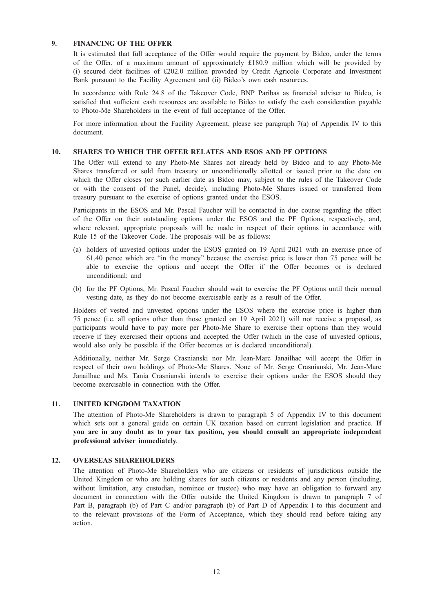# 9. FINANCING OF THE OFFER

It is estimated that full acceptance of the Offer would require the payment by Bidco, under the terms of the Offer, of a maximum amount of approximately £180.9 million which will be provided by (i) secured debt facilities of £202.0 million provided by Credit Agricole Corporate and Investment Bank pursuant to the Facility Agreement and (ii) Bidco's own cash resources.

In accordance with Rule 24.8 of the Takeover Code, BNP Paribas as financial adviser to Bidco, is satisfied that sufficient cash resources are available to Bidco to satisfy the cash consideration payable to Photo-Me Shareholders in the event of full acceptance of the Offer.

For more information about the Facility Agreement, please see paragraph 7(a) of Appendix IV to this document.

# 10. SHARES TO WHICH THE OFFER RELATES AND ESOS AND PF OPTIONS

The Offer will extend to any Photo-Me Shares not already held by Bidco and to any Photo-Me Shares transferred or sold from treasury or unconditionally allotted or issued prior to the date on which the Offer closes (or such earlier date as Bidco may, subject to the rules of the Takeover Code or with the consent of the Panel, decide), including Photo-Me Shares issued or transferred from treasury pursuant to the exercise of options granted under the ESOS.

Participants in the ESOS and Mr. Pascal Faucher will be contacted in due course regarding the effect of the Offer on their outstanding options under the ESOS and the PF Options, respectively, and, where relevant, appropriate proposals will be made in respect of their options in accordance with Rule 15 of the Takeover Code. The proposals will be as follows:

- (a) holders of unvested options under the ESOS granted on 19 April 2021 with an exercise price of 61.40 pence which are "in the money" because the exercise price is lower than 75 pence will be able to exercise the options and accept the Offer if the Offer becomes or is declared unconditional; and
- (b) for the PF Options, Mr. Pascal Faucher should wait to exercise the PF Options until their normal vesting date, as they do not become exercisable early as a result of the Offer.

Holders of vested and unvested options under the ESOS where the exercise price is higher than 75 pence (i.e. all options other than those granted on 19 April 2021) will not receive a proposal, as participants would have to pay more per Photo-Me Share to exercise their options than they would receive if they exercised their options and accepted the Offer (which in the case of unvested options, would also only be possible if the Offer becomes or is declared unconditional).

Additionally, neither Mr. Serge Crasnianski nor Mr. Jean-Marc Janailhac will accept the Offer in respect of their own holdings of Photo-Me Shares. None of Mr. Serge Crasnianski, Mr. Jean-Marc Janailhac and Ms. Tania Crasnianski intends to exercise their options under the ESOS should they become exercisable in connection with the Offer.

# 11. UNITED KINGDOM TAXATION

The attention of Photo-Me Shareholders is drawn to paragraph 5 of Appendix IV to this document which sets out a general guide on certain UK taxation based on current legislation and practice. If you are in any doubt as to your tax position, you should consult an appropriate independent professional adviser immediately.

#### 12. OVERSEAS SHAREHOLDERS

The attention of Photo-Me Shareholders who are citizens or residents of jurisdictions outside the United Kingdom or who are holding shares for such citizens or residents and any person (including, without limitation, any custodian, nominee or trustee) who may have an obligation to forward any document in connection with the Offer outside the United Kingdom is drawn to paragraph 7 of Part B, paragraph (b) of Part C and/or paragraph (b) of Part D of Appendix I to this document and to the relevant provisions of the Form of Acceptance, which they should read before taking any action.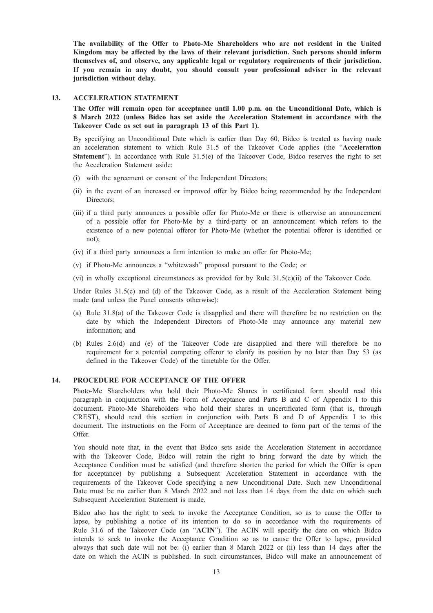The availability of the Offer to Photo-Me Shareholders who are not resident in the United Kingdom may be affected by the laws of their relevant jurisdiction. Such persons should inform themselves of, and observe, any applicable legal or regulatory requirements of their jurisdiction. If you remain in any doubt, you should consult your professional adviser in the relevant jurisdiction without delay.

#### 13. ACCELERATION STATEMENT

The Offer will remain open for acceptance until 1.00 p.m. on the Unconditional Date, which is 8 March 2022 (unless Bidco has set aside the Acceleration Statement in accordance with the Takeover Code as set out in paragraph 13 of this Part 1).

By specifying an Unconditional Date which is earlier than Day 60, Bidco is treated as having made an acceleration statement to which Rule 31.5 of the Takeover Code applies (the "Acceleration Statement"). In accordance with Rule 31.5(e) of the Takeover Code, Bidco reserves the right to set the Acceleration Statement aside:

- (i) with the agreement or consent of the Independent Directors;
- (ii) in the event of an increased or improved offer by Bidco being recommended by the Independent Directors;
- (iii) if a third party announces a possible offer for Photo-Me or there is otherwise an announcement of a possible offer for Photo-Me by a third-party or an announcement which refers to the existence of a new potential offeror for Photo-Me (whether the potential offeror is identified or not);
- (iv) if a third party announces a firm intention to make an offer for Photo-Me;
- (v) if Photo-Me announces a "whitewash" proposal pursuant to the Code; or
- (vi) in wholly exceptional circumstances as provided for by Rule  $31.5(e)(ii)$  of the Takeover Code.

Under Rules 31.5(c) and (d) of the Takeover Code, as a result of the Acceleration Statement being made (and unless the Panel consents otherwise):

- (a) Rule 31.8(a) of the Takeover Code is disapplied and there will therefore be no restriction on the date by which the Independent Directors of Photo-Me may announce any material new information; and
- (b) Rules 2.6(d) and (e) of the Takeover Code are disapplied and there will therefore be no requirement for a potential competing offeror to clarify its position by no later than Day 53 (as defined in the Takeover Code) of the timetable for the Offer.

# 14. PROCEDURE FOR ACCEPTANCE OF THE OFFER

Photo-Me Shareholders who hold their Photo-Me Shares in certificated form should read this paragraph in conjunction with the Form of Acceptance and Parts B and C of Appendix I to this document. Photo-Me Shareholders who hold their shares in uncertificated form (that is, through CREST), should read this section in conjunction with Parts B and D of Appendix I to this document. The instructions on the Form of Acceptance are deemed to form part of the terms of the Offer.

You should note that, in the event that Bidco sets aside the Acceleration Statement in accordance with the Takeover Code, Bidco will retain the right to bring forward the date by which the Acceptance Condition must be satisfied (and therefore shorten the period for which the Offer is open for acceptance) by publishing a Subsequent Acceleration Statement in accordance with the requirements of the Takeover Code specifying a new Unconditional Date. Such new Unconditional Date must be no earlier than 8 March 2022 and not less than 14 days from the date on which such Subsequent Acceleration Statement is made.

Bidco also has the right to seek to invoke the Acceptance Condition, so as to cause the Offer to lapse, by publishing a notice of its intention to do so in accordance with the requirements of Rule 31.6 of the Takeover Code (an "ACIN"). The ACIN will specify the date on which Bidco intends to seek to invoke the Acceptance Condition so as to cause the Offer to lapse, provided always that such date will not be: (i) earlier than 8 March 2022 or (ii) less than 14 days after the date on which the ACIN is published. In such circumstances, Bidco will make an announcement of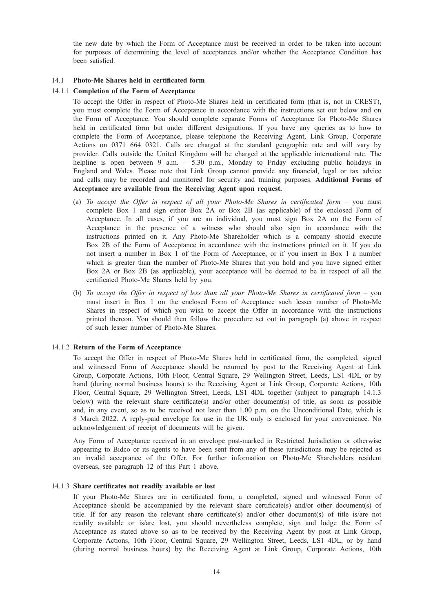the new date by which the Form of Acceptance must be received in order to be taken into account for purposes of determining the level of acceptances and/or whether the Acceptance Condition has been satisfied.

## 14.1 Photo-Me Shares held in certificated form

# 14.1.1 Completion of the Form of Acceptance

To accept the Offer in respect of Photo-Me Shares held in certificated form (that is, not in CREST), you must complete the Form of Acceptance in accordance with the instructions set out below and on the Form of Acceptance. You should complete separate Forms of Acceptance for Photo-Me Shares held in certificated form but under different designations. If you have any queries as to how to complete the Form of Acceptance, please telephone the Receiving Agent, Link Group, Corporate Actions on 0371 664 0321. Calls are charged at the standard geographic rate and will vary by provider. Calls outside the United Kingdom will be charged at the applicable international rate. The helpline is open between 9 a.m. – 5.30 p.m., Monday to Friday excluding public holidays in England and Wales. Please note that Link Group cannot provide any financial, legal or tax advice and calls may be recorded and monitored for security and training purposes. Additional Forms of Acceptance are available from the Receiving Agent upon request.

- (a) To accept the Offer in respect of all your Photo-Me Shares in certificated form  $-$  you must complete Box 1 and sign either Box 2A or Box 2B (as applicable) of the enclosed Form of Acceptance. In all cases, if you are an individual, you must sign Box 2A on the Form of Acceptance in the presence of a witness who should also sign in accordance with the instructions printed on it. Any Photo-Me Shareholder which is a company should execute Box 2B of the Form of Acceptance in accordance with the instructions printed on it. If you do not insert a number in Box 1 of the Form of Acceptance, or if you insert in Box 1 a number which is greater than the number of Photo-Me Shares that you hold and you have signed either Box 2A or Box 2B (as applicable), your acceptance will be deemed to be in respect of all the certificated Photo-Me Shares held by you.
- (b) To accept the Offer in respect of less than all your Photo-Me Shares in certificated form you must insert in Box 1 on the enclosed Form of Acceptance such lesser number of Photo-Me Shares in respect of which you wish to accept the Offer in accordance with the instructions printed thereon. You should then follow the procedure set out in paragraph (a) above in respect of such lesser number of Photo-Me Shares.

# 14.1.2 Return of the Form of Acceptance

To accept the Offer in respect of Photo-Me Shares held in certificated form, the completed, signed and witnessed Form of Acceptance should be returned by post to the Receiving Agent at Link Group, Corporate Actions, 10th Floor, Central Square, 29 Wellington Street, Leeds, LS1 4DL or by hand (during normal business hours) to the Receiving Agent at Link Group, Corporate Actions, 10th Floor, Central Square, 29 Wellington Street, Leeds, LS1 4DL together (subject to paragraph 14.1.3 below) with the relevant share certificate(s) and/or other document(s) of title, as soon as possible and, in any event, so as to be received not later than 1.00 p.m. on the Unconditional Date, which is 8 March 2022. A reply-paid envelope for use in the UK only is enclosed for your convenience. No acknowledgement of receipt of documents will be given.

Any Form of Acceptance received in an envelope post-marked in Restricted Jurisdiction or otherwise appearing to Bidco or its agents to have been sent from any of these jurisdictions may be rejected as an invalid acceptance of the Offer. For further information on Photo-Me Shareholders resident overseas, see paragraph 12 of this Part 1 above.

#### 14.1.3 Share certificates not readily available or lost

If your Photo-Me Shares are in certificated form, a completed, signed and witnessed Form of Acceptance should be accompanied by the relevant share certificate(s) and/or other document(s) of title. If for any reason the relevant share certificate(s) and/or other document(s) of title is/are not readily available or is/are lost, you should nevertheless complete, sign and lodge the Form of Acceptance as stated above so as to be received by the Receiving Agent by post at Link Group, Corporate Actions, 10th Floor, Central Square, 29 Wellington Street, Leeds, LS1 4DL, or by hand (during normal business hours) by the Receiving Agent at Link Group, Corporate Actions, 10th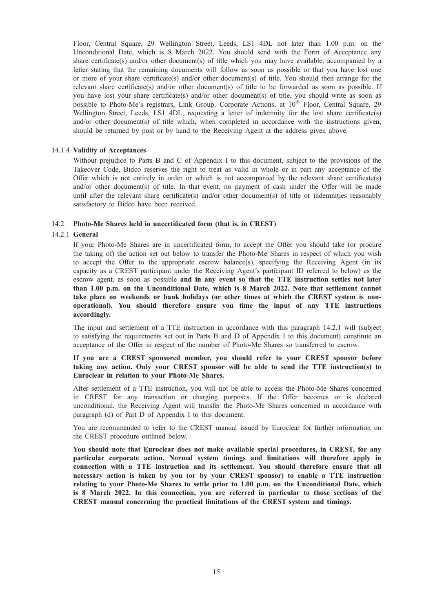Floor, Central Square, 29 Wellington Street, Leeds, LS1 4DL not later than 1.00 p.m. on the Unconditional Date, which is 8 March 2022. You should send with the Form of Acceptance any share certificate(s) and/or other document(s) of title which you may have available, accompanied by a letter stating that the remaining documents will follow as soon as possible or that you have lost one or more of your share certificate(s) and/or other document(s) of title. You should then arrange for the relevant share certificate(s) and/or other document(s) of title to be forwarded as soon as possible. If you have lost your share certificate(s) and/or other document(s) of title, you should write as soon as possible to Photo-Me's registrars, Link Group, Corporate Actions, at  $10^{th}$  Floor, Central Square, 29 Wellington Street, Leeds, LS1 4DL, requesting a letter of indemnity for the lost share certificate(s) and/or other document(s) of title which, when completed in accordance with the instructions given, should be returned by post or by hand to the Receiving Agent at the address given above.

# 14.1.4 Validity of Acceptances

Without prejudice to Parts B and C of Appendix I to this document, subject to the provisions of the Takeover Code, Bidco reserves the right to treat as valid in whole or in part any acceptance of the Offer which is not entirely in order or which is not accompanied by the relevant share certificate(s) and/or other document(s) of title. In that event, no payment of cash under the Offer will be made until after the relevant share certificate(s) and/or other document(s) of title or indemnities reasonably satisfactory to Bidco have been received.

#### 14.2 Photo-Me Shares held in uncertificated form (that is, in CREST)

# 14.2.1 General

If your Photo-Me Shares are in uncertificated form, to accept the Offer you should take (or procure the taking of) the action set out below to transfer the Photo-Me Shares in respect of which you wish to accept the Offer to the appropriate escrow balance(s), specifying the Receiving Agent (in its capacity as a CREST participant under the Receiving Agent's participant ID referred to below) as the escrow agent, as soon as possible and in any event so that the TTE instruction settles not later than 1.00 p.m. on the Unconditional Date, which is 8 March 2022. Note that settlement cannot take place on weekends or bank holidays (or other times at which the CREST system is nonoperational). You should therefore ensure you time the input of any TTE instructions accordingly.

The input and settlement of a TTE instruction in accordance with this paragraph 14.2.1 will (subject to satisfying the requirements set out in Parts B and D of Appendix I to this document) constitute an acceptance of the Offer in respect of the number of Photo-Me Shares so transferred to escrow.

# If you are a CREST sponsored member, you should refer to your CREST sponsor before taking any action. Only your CREST sponsor will be able to send the TTE instruction(s) to Euroclear in relation to your Photo-Me Shares.

After settlement of a TTE instruction, you will not be able to access the Photo-Me Shares concerned in CREST for any transaction or charging purposes. If the Offer becomes or is declared unconditional, the Receiving Agent will transfer the Photo-Me Shares concerned in accordance with paragraph (d) of Part D of Appendix I to this document.

You are recommended to refer to the CREST manual issued by Euroclear for further information on the CREST procedure outlined below.

You should note that Euroclear does not make available special procedures, in CREST, for any particular corporate action. Normal system timings and limitations will therefore apply in connection with a TTE instruction and its settlement. You should therefore ensure that all necessary action is taken by you (or by your CREST sponsor) to enable a TTE instruction relating to your Photo-Me Shares to settle prior to 1.00 p.m. on the Unconditional Date, which is 8 March 2022. In this connection, you are referred in particular to those sections of the CREST manual concerning the practical limitations of the CREST system and timings.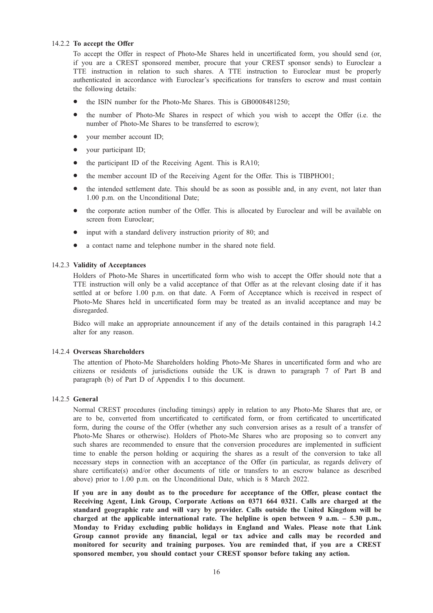# 14.2.2 To accept the Offer

To accept the Offer in respect of Photo-Me Shares held in uncertificated form, you should send (or, if you are a CREST sponsored member, procure that your CREST sponsor sends) to Euroclear a TTE instruction in relation to such shares. A TTE instruction to Euroclear must be properly authenticated in accordance with Euroclear's specifications for transfers to escrow and must contain the following details:

- the ISIN number for the Photo-Me Shares. This is GB0008481250;
- the number of Photo-Me Shares in respect of which you wish to accept the Offer (i.e. the number of Photo-Me Shares to be transferred to escrow);
- your member account ID;
- your participant ID;
- the participant ID of the Receiving Agent. This is RA10;
- the member account ID of the Receiving Agent for the Offer. This is TIBPHO01;
- the intended settlement date. This should be as soon as possible and, in any event, not later than 1.00 p.m. on the Unconditional Date;
- the corporate action number of the Offer. This is allocated by Euroclear and will be available on screen from Euroclear;
- input with a standard delivery instruction priority of 80; and
- a contact name and telephone number in the shared note field.

# 14.2.3 Validity of Acceptances

Holders of Photo-Me Shares in uncertificated form who wish to accept the Offer should note that a TTE instruction will only be a valid acceptance of that Offer as at the relevant closing date if it has settled at or before 1.00 p.m. on that date. A Form of Acceptance which is received in respect of Photo-Me Shares held in uncertificated form may be treated as an invalid acceptance and may be disregarded.

Bidco will make an appropriate announcement if any of the details contained in this paragraph 14.2 alter for any reason.

# 14.2.4 Overseas Shareholders

The attention of Photo-Me Shareholders holding Photo-Me Shares in uncertificated form and who are citizens or residents of jurisdictions outside the UK is drawn to paragraph 7 of Part B and paragraph (b) of Part D of Appendix I to this document.

# 14.2.5 General

Normal CREST procedures (including timings) apply in relation to any Photo-Me Shares that are, or are to be, converted from uncertificated to certificated form, or from certificated to uncertificated form, during the course of the Offer (whether any such conversion arises as a result of a transfer of Photo-Me Shares or otherwise). Holders of Photo-Me Shares who are proposing so to convert any such shares are recommended to ensure that the conversion procedures are implemented in sufficient time to enable the person holding or acquiring the shares as a result of the conversion to take all necessary steps in connection with an acceptance of the Offer (in particular, as regards delivery of share certificate(s) and/or other documents of title or transfers to an escrow balance as described above) prior to 1.00 p.m. on the Unconditional Date, which is 8 March 2022.

If you are in any doubt as to the procedure for acceptance of the Offer, please contact the Receiving Agent, Link Group, Corporate Actions on 0371 664 0321. Calls are charged at the standard geographic rate and will vary by provider. Calls outside the United Kingdom will be charged at the applicable international rate. The helpline is open between 9 a.m. – 5.30 p.m., Monday to Friday excluding public holidays in England and Wales. Please note that Link Group cannot provide any financial, legal or tax advice and calls may be recorded and monitored for security and training purposes. You are reminded that, if you are a CREST sponsored member, you should contact your CREST sponsor before taking any action.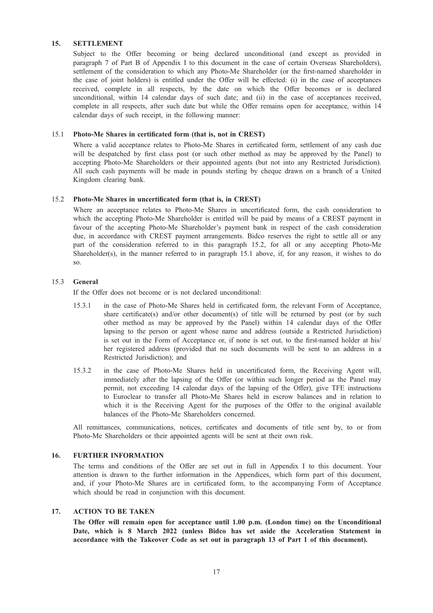# 15. SETTLEMENT

Subject to the Offer becoming or being declared unconditional (and except as provided in paragraph 7 of Part B of Appendix I to this document in the case of certain Overseas Shareholders), settlement of the consideration to which any Photo-Me Shareholder (or the first-named shareholder in the case of joint holders) is entitled under the Offer will be effected: (i) in the case of acceptances received, complete in all respects, by the date on which the Offer becomes or is declared unconditional, within 14 calendar days of such date; and (ii) in the case of acceptances received, complete in all respects, after such date but while the Offer remains open for acceptance, within 14 calendar days of such receipt, in the following manner:

# 15.1 Photo-Me Shares in certificated form (that is, not in CREST)

Where a valid acceptance relates to Photo-Me Shares in certificated form, settlement of any cash due will be despatched by first class post (or such other method as may be approved by the Panel) to accepting Photo-Me Shareholders or their appointed agents (but not into any Restricted Jurisdiction). All such cash payments will be made in pounds sterling by cheque drawn on a branch of a United Kingdom clearing bank.

#### 15.2 Photo-Me Shares in uncertificated form (that is, in CREST)

Where an acceptance relates to Photo-Me Shares in uncertificated form, the cash consideration to which the accepting Photo-Me Shareholder is entitled will be paid by means of a CREST payment in favour of the accepting Photo-Me Shareholder's payment bank in respect of the cash consideration due, in accordance with CREST payment arrangements. Bidco reserves the right to settle all or any part of the consideration referred to in this paragraph 15.2, for all or any accepting Photo-Me Shareholder(s), in the manner referred to in paragraph 15.1 above, if, for any reason, it wishes to do so.

# 15.3 General

If the Offer does not become or is not declared unconditional:

- 15.3.1 in the case of Photo-Me Shares held in certificated form, the relevant Form of Acceptance, share certificate(s) and/or other document(s) of title will be returned by post (or by such other method as may be approved by the Panel) within 14 calendar days of the Offer lapsing to the person or agent whose name and address (outside a Restricted Jurisdiction) is set out in the Form of Acceptance or, if none is set out, to the first-named holder at his/ her registered address (provided that no such documents will be sent to an address in a Restricted Jurisdiction); and
- 15.3.2 in the case of Photo-Me Shares held in uncertificated form, the Receiving Agent will, immediately after the lapsing of the Offer (or within such longer period as the Panel may permit, not exceeding 14 calendar days of the lapsing of the Offer), give TFE instructions to Euroclear to transfer all Photo-Me Shares held in escrow balances and in relation to which it is the Receiving Agent for the purposes of the Offer to the original available balances of the Photo-Me Shareholders concerned.

All remittances, communications, notices, certificates and documents of title sent by, to or from Photo-Me Shareholders or their appointed agents will be sent at their own risk.

#### 16. FURTHER INFORMATION

The terms and conditions of the Offer are set out in full in Appendix I to this document. Your attention is drawn to the further information in the Appendices, which form part of this document, and, if your Photo-Me Shares are in certificated form, to the accompanying Form of Acceptance which should be read in conjunction with this document.

# 17. ACTION TO BE TAKEN

The Offer will remain open for acceptance until 1.00 p.m. (London time) on the Unconditional Date, which is 8 March 2022 (unless Bidco has set aside the Acceleration Statement in accordance with the Takeover Code as set out in paragraph 13 of Part 1 of this document).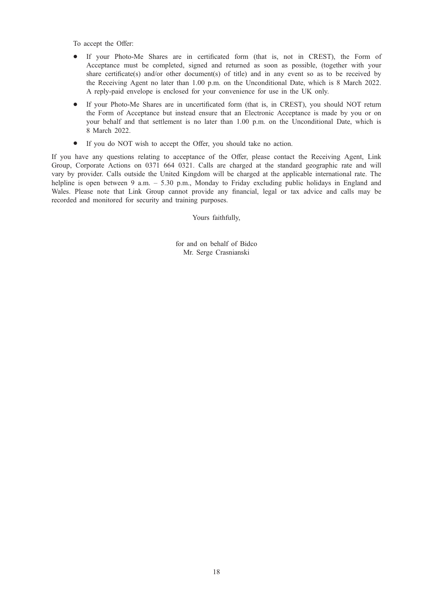To accept the Offer:

- \* If your Photo-Me Shares are in certificated form (that is, not in CREST), the Form of Acceptance must be completed, signed and returned as soon as possible, (together with your share certificate(s) and/or other document(s) of title) and in any event so as to be received by the Receiving Agent no later than 1.00 p.m. on the Unconditional Date, which is 8 March 2022. A reply-paid envelope is enclosed for your convenience for use in the UK only.
- If your Photo-Me Shares are in uncertificated form (that is, in CREST), you should NOT return the Form of Acceptance but instead ensure that an Electronic Acceptance is made by you or on your behalf and that settlement is no later than 1.00 p.m. on the Unconditional Date, which is 8 March 2022.
- If you do NOT wish to accept the Offer, you should take no action.

If you have any questions relating to acceptance of the Offer, please contact the Receiving Agent, Link Group, Corporate Actions on 0371 664 0321. Calls are charged at the standard geographic rate and will vary by provider. Calls outside the United Kingdom will be charged at the applicable international rate. The helpline is open between 9 a.m. – 5.30 p.m., Monday to Friday excluding public holidays in England and Wales. Please note that Link Group cannot provide any financial, legal or tax advice and calls may be recorded and monitored for security and training purposes.

Yours faithfully,

for and on behalf of Bidco Mr. Serge Crasnianski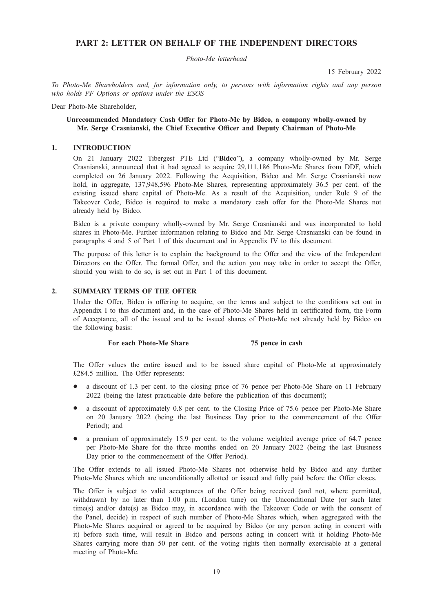# PART 2: LETTER ON BEHALF OF THE INDEPENDENT DIRECTORS

Photo-Me letterhead

15 February 2022

To Photo-Me Shareholders and, for information only, to persons with information rights and any person who holds PF Options or options under the ESOS

Dear Photo-Me Shareholder,

# Unrecommended Mandatory Cash Offer for Photo-Me by Bidco, a company wholly-owned by Mr. Serge Crasnianski, the Chief Executive Officer and Deputy Chairman of Photo-Me

# 1. INTRODUCTION

On 21 January 2022 Tibergest PTE Ltd ("Bidco"), a company wholly-owned by Mr. Serge Crasnianski, announced that it had agreed to acquire 29,111,186 Photo-Me Shares from DDF, which completed on 26 January 2022. Following the Acquisition, Bidco and Mr. Serge Crasnianski now hold, in aggregate, 137,948,596 Photo-Me Shares, representing approximately 36.5 per cent. of the existing issued share capital of Photo-Me. As a result of the Acquisition, under Rule 9 of the Takeover Code, Bidco is required to make a mandatory cash offer for the Photo-Me Shares not already held by Bidco.

Bidco is a private company wholly-owned by Mr. Serge Crasnianski and was incorporated to hold shares in Photo-Me. Further information relating to Bidco and Mr. Serge Crasnianski can be found in paragraphs 4 and 5 of Part 1 of this document and in Appendix IV to this document.

The purpose of this letter is to explain the background to the Offer and the view of the Independent Directors on the Offer. The formal Offer, and the action you may take in order to accept the Offer, should you wish to do so, is set out in Part 1 of this document.

# 2. SUMMARY TERMS OF THE OFFER

Under the Offer, Bidco is offering to acquire, on the terms and subject to the conditions set out in Appendix I to this document and, in the case of Photo-Me Shares held in certificated form, the Form of Acceptance, all of the issued and to be issued shares of Photo-Me not already held by Bidco on the following basis:

#### For each Photo-Me Share 75 pence in cash

The Offer values the entire issued and to be issued share capital of Photo-Me at approximately £284.5 million. The Offer represents:

- a discount of 1.3 per cent. to the closing price of 76 pence per Photo-Me Share on 11 February 2022 (being the latest practicable date before the publication of this document);
- a discount of approximately 0.8 per cent. to the Closing Price of 75.6 pence per Photo-Me Share on 20 January 2022 (being the last Business Day prior to the commencement of the Offer Period); and
- a premium of approximately 15.9 per cent. to the volume weighted average price of 64.7 pence per Photo-Me Share for the three months ended on 20 January 2022 (being the last Business Day prior to the commencement of the Offer Period).

The Offer extends to all issued Photo-Me Shares not otherwise held by Bidco and any further Photo-Me Shares which are unconditionally allotted or issued and fully paid before the Offer closes.

The Offer is subject to valid acceptances of the Offer being received (and not, where permitted, withdrawn) by no later than 1.00 p.m. (London time) on the Unconditional Date (or such later time(s) and/or date(s) as Bidco may, in accordance with the Takeover Code or with the consent of the Panel, decide) in respect of such number of Photo-Me Shares which, when aggregated with the Photo-Me Shares acquired or agreed to be acquired by Bidco (or any person acting in concert with it) before such time, will result in Bidco and persons acting in concert with it holding Photo-Me Shares carrying more than 50 per cent. of the voting rights then normally exercisable at a general meeting of Photo-Me.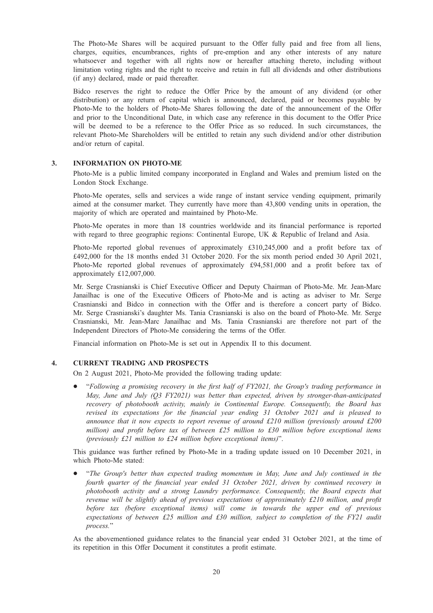The Photo-Me Shares will be acquired pursuant to the Offer fully paid and free from all liens, charges, equities, encumbrances, rights of pre-emption and any other interests of any nature whatsoever and together with all rights now or hereafter attaching thereto, including without limitation voting rights and the right to receive and retain in full all dividends and other distributions (if any) declared, made or paid thereafter.

Bidco reserves the right to reduce the Offer Price by the amount of any dividend (or other distribution) or any return of capital which is announced, declared, paid or becomes payable by Photo-Me to the holders of Photo-Me Shares following the date of the announcement of the Offer and prior to the Unconditional Date, in which case any reference in this document to the Offer Price will be deemed to be a reference to the Offer Price as so reduced. In such circumstances, the relevant Photo-Me Shareholders will be entitled to retain any such dividend and/or other distribution and/or return of capital.

# 3. INFORMATION ON PHOTO-ME

Photo-Me is a public limited company incorporated in England and Wales and premium listed on the London Stock Exchange.

Photo-Me operates, sells and services a wide range of instant service vending equipment, primarily aimed at the consumer market. They currently have more than 43,800 vending units in operation, the majority of which are operated and maintained by Photo-Me.

Photo-Me operates in more than 18 countries worldwide and its financial performance is reported with regard to three geographic regions: Continental Europe, UK & Republic of Ireland and Asia.

Photo-Me reported global revenues of approximately £310,245,000 and a profit before tax of £492,000 for the 18 months ended 31 October 2020. For the six month period ended 30 April 2021, Photo-Me reported global revenues of approximately £94,581,000 and a profit before tax of approximately £12,007,000.

Mr. Serge Crasnianski is Chief Executive Officer and Deputy Chairman of Photo-Me. Mr. Jean-Marc Janailhac is one of the Executive Officers of Photo-Me and is acting as adviser to Mr. Serge Crasnianski and Bidco in connection with the Offer and is therefore a concert party of Bidco. Mr. Serge Crasnianski's daughter Ms. Tania Crasnianski is also on the board of Photo-Me. Mr. Serge Crasnianski, Mr. Jean-Marc Janailhac and Ms. Tania Crasnianski are therefore not part of the Independent Directors of Photo-Me considering the terms of the Offer.

Financial information on Photo-Me is set out in Appendix II to this document.

# 4. CURRENT TRADING AND PROSPECTS

On 2 August 2021, Photo-Me provided the following trading update:

\* "Following a promising recovery in the first half of FY2021, the Group's trading performance in May, June and July (Q3 FY2021) was better than expected, driven by stronger-than-anticipated recovery of photobooth activity, mainly in Continental Europe. Consequently, the Board has revised its expectations for the financial year ending 31 October 2021 and is pleased to announce that it now expects to report revenue of around  $£210$  million (previously around  $£200$ million) and profit before tax of between £25 million to £30 million before exceptional items (previously £21 million to £24 million before exceptional items)".

This guidance was further refined by Photo-Me in a trading update issued on 10 December 2021, in which Photo-Me stated:

\* "The Group's better than expected trading momentum in May, June and July continued in the fourth quarter of the financial year ended 31 October 2021, driven by continued recovery in photobooth activity and a strong Laundry performance. Consequently, the Board expects that revenue will be slightly ahead of previous expectations of approximately £210 million, and profit before tax (before exceptional items) will come in towards the upper end of previous expectations of between £25 million and £30 million, subject to completion of the FY21 audit process."

As the abovementioned guidance relates to the financial year ended 31 October 2021, at the time of its repetition in this Offer Document it constitutes a profit estimate.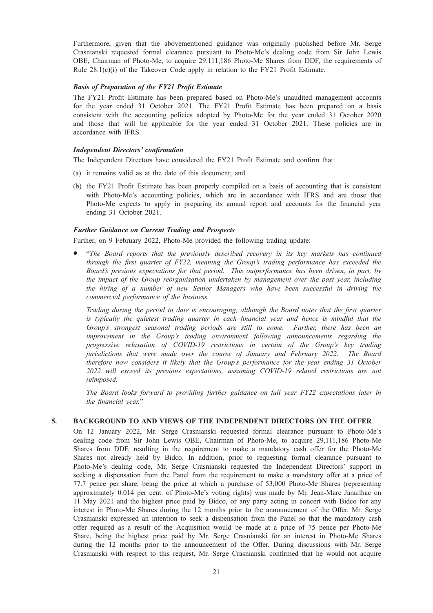Furthermore, given that the abovementioned guidance was originally published before Mr. Serge Crasnianski requested formal clearance pursuant to Photo-Me's dealing code from Sir John Lewis OBE, Chairman of Photo-Me, to acquire 29,111,186 Photo-Me Shares from DDF, the requirements of Rule 28.1(c)(i) of the Takeover Code apply in relation to the FY21 Profit Estimate.

# Basis of Preparation of the FY21 Profit Estimate

The FY21 Profit Estimate has been prepared based on Photo-Me's unaudited management accounts for the year ended 31 October 2021. The FY21 Profit Estimate has been prepared on a basis consistent with the accounting policies adopted by Photo-Me for the year ended 31 October 2020 and those that will be applicable for the year ended 31 October 2021. These policies are in accordance with IFRS.

# Independent Directors' confirmation

The Independent Directors have considered the FY21 Profit Estimate and confirm that:

- (a) it remains valid as at the date of this document; and
- (b) the FY21 Profit Estimate has been properly compiled on a basis of accounting that is consistent with Photo-Me's accounting policies, which are in accordance with IFRS and are those that Photo-Me expects to apply in preparing its annual report and accounts for the financial year ending 31 October 2021.

# Further Guidance on Current Trading and Prospects

Further, on 9 February 2022, Photo-Me provided the following trading update:

\* "The Board reports that the previously described recovery in its key markets has continued through the first quarter of FY22, meaning the Group's trading performance has exceeded the Board's previous expectations for that period. This outperformance has been driven, in part, by the impact of the Group reorganisation undertaken by management over the past year, including the hiring of a number of new Senior Managers who have been successful in driving the commercial performance of the business.

Trading during the period to date is encouraging, although the Board notes that the first quarter is typically the quietest trading quarter in each financial year and hence is mindful that the Group's strongest seasonal trading periods are still to come. Further, there has been an improvement in the Group's trading environment following announcements regarding the progressive relaxation of COVID-19 restrictions in certain of the Group's key trading jurisdictions that were made over the course of January and February 2022. The Board therefore now considers it likely that the Group's performance for the year ending 31 October 2022 will exceed its previous expectations, assuming COVID-19 related restrictions are not reimposed.

The Board looks forward to providing further guidance on full year FY22 expectations later in the financial year."

# 5. BACKGROUND TO AND VIEWS OF THE INDEPENDENT DIRECTORS ON THE OFFER

On 12 January 2022, Mr. Serge Crasnianski requested formal clearance pursuant to Photo-Me's dealing code from Sir John Lewis OBE, Chairman of Photo-Me, to acquire 29,111,186 Photo-Me Shares from DDF, resulting in the requirement to make a mandatory cash offer for the Photo-Me Shares not already held by Bidco. In addition, prior to requesting formal clearance pursuant to Photo-Me's dealing code, Mr. Serge Crasnianski requested the Independent Directors' support in seeking a dispensation from the Panel from the requirement to make a mandatory offer at a price of 77.7 pence per share, being the price at which a purchase of 53,000 Photo-Me Shares (representing approximately 0.014 per cent. of Photo-Me's voting rights) was made by Mr. Jean-Marc Janailhac on 11 May 2021 and the highest price paid by Bidco, or any party acting in concert with Bidco for any interest in Photo-Me Shares during the 12 months prior to the announcement of the Offer. Mr. Serge Crasnianski expressed an intention to seek a dispensation from the Panel so that the mandatory cash offer required as a result of the Acquisition would be made at a price of 75 pence per Photo-Me Share, being the highest price paid by Mr. Serge Crasnianski for an interest in Photo-Me Shares during the 12 months prior to the announcement of the Offer. During discussions with Mr. Serge Crasnianski with respect to this request, Mr. Serge Crasnianski confirmed that he would not acquire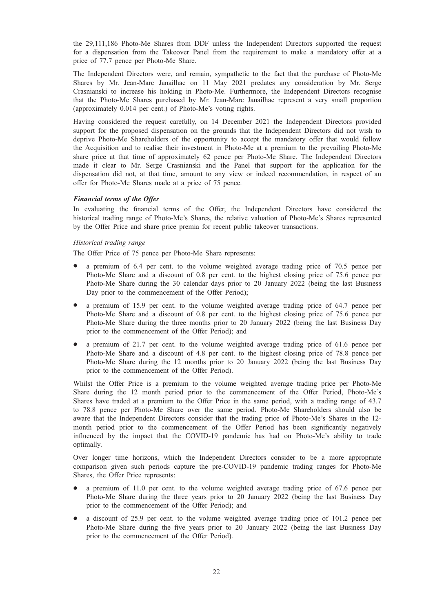the 29,111,186 Photo-Me Shares from DDF unless the Independent Directors supported the request for a dispensation from the Takeover Panel from the requirement to make a mandatory offer at a price of 77.7 pence per Photo-Me Share.

The Independent Directors were, and remain, sympathetic to the fact that the purchase of Photo-Me Shares by Mr. Jean-Marc Janailhac on 11 May 2021 predates any consideration by Mr. Serge Crasnianski to increase his holding in Photo-Me. Furthermore, the Independent Directors recognise that the Photo-Me Shares purchased by Mr. Jean-Marc Janailhac represent a very small proportion (approximately 0.014 per cent.) of Photo-Me's voting rights.

Having considered the request carefully, on 14 December 2021 the Independent Directors provided support for the proposed dispensation on the grounds that the Independent Directors did not wish to deprive Photo-Me Shareholders of the opportunity to accept the mandatory offer that would follow the Acquisition and to realise their investment in Photo-Me at a premium to the prevailing Photo-Me share price at that time of approximately 62 pence per Photo-Me Share. The Independent Directors made it clear to Mr. Serge Crasnianski and the Panel that support for the application for the dispensation did not, at that time, amount to any view or indeed recommendation, in respect of an offer for Photo-Me Shares made at a price of 75 pence.

# Financial terms of the Offer

In evaluating the financial terms of the Offer, the Independent Directors have considered the historical trading range of Photo-Me's Shares, the relative valuation of Photo-Me's Shares represented by the Offer Price and share price premia for recent public takeover transactions.

# Historical trading range

The Offer Price of 75 pence per Photo-Me Share represents:

- a premium of 6.4 per cent. to the volume weighted average trading price of 70.5 pence per Photo-Me Share and a discount of 0.8 per cent. to the highest closing price of 75.6 pence per Photo-Me Share during the 30 calendar days prior to 20 January 2022 (being the last Business Day prior to the commencement of the Offer Period);
- a premium of 15.9 per cent. to the volume weighted average trading price of 64.7 pence per Photo-Me Share and a discount of 0.8 per cent. to the highest closing price of 75.6 pence per Photo-Me Share during the three months prior to 20 January 2022 (being the last Business Day prior to the commencement of the Offer Period); and
- a premium of 21.7 per cent. to the volume weighted average trading price of 61.6 pence per Photo-Me Share and a discount of 4.8 per cent. to the highest closing price of 78.8 pence per Photo-Me Share during the 12 months prior to 20 January 2022 (being the last Business Day prior to the commencement of the Offer Period).

Whilst the Offer Price is a premium to the volume weighted average trading price per Photo-Me Share during the 12 month period prior to the commencement of the Offer Period, Photo-Me's Shares have traded at a premium to the Offer Price in the same period, with a trading range of 43.7 to 78.8 pence per Photo-Me Share over the same period. Photo-Me Shareholders should also be aware that the Independent Directors consider that the trading price of Photo-Me's Shares in the 12 month period prior to the commencement of the Offer Period has been significantly negatively influenced by the impact that the COVID-19 pandemic has had on Photo-Me's ability to trade optimally.

Over longer time horizons, which the Independent Directors consider to be a more appropriate comparison given such periods capture the pre-COVID-19 pandemic trading ranges for Photo-Me Shares, the Offer Price represents:

- a premium of 11.0 per cent. to the volume weighted average trading price of 67.6 pence per Photo-Me Share during the three years prior to 20 January 2022 (being the last Business Day prior to the commencement of the Offer Period); and
- a discount of 25.9 per cent. to the volume weighted average trading price of 101.2 pence per Photo-Me Share during the five years prior to 20 January 2022 (being the last Business Day prior to the commencement of the Offer Period).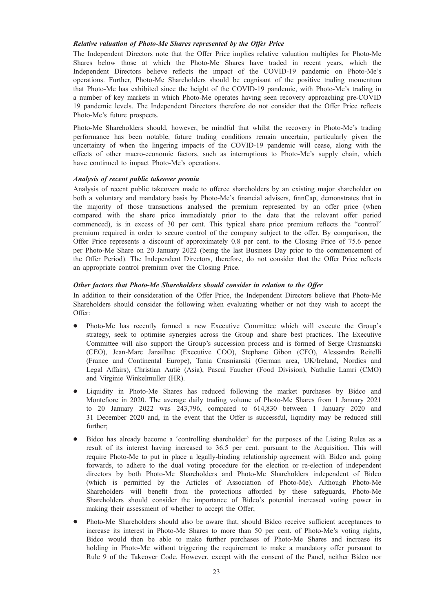# Relative valuation of Photo-Me Shares represented by the Offer Price

The Independent Directors note that the Offer Price implies relative valuation multiples for Photo-Me Shares below those at which the Photo-Me Shares have traded in recent years, which the Independent Directors believe reflects the impact of the COVID-19 pandemic on Photo-Me's operations. Further, Photo-Me Shareholders should be cognisant of the positive trading momentum that Photo-Me has exhibited since the height of the COVID-19 pandemic, with Photo-Me's trading in a number of key markets in which Photo-Me operates having seen recovery approaching pre-COVID 19 pandemic levels. The Independent Directors therefore do not consider that the Offer Price reflects Photo-Me's future prospects.

Photo-Me Shareholders should, however, be mindful that whilst the recovery in Photo-Me's trading performance has been notable, future trading conditions remain uncertain, particularly given the uncertainty of when the lingering impacts of the COVID-19 pandemic will cease, along with the effects of other macro-economic factors, such as interruptions to Photo-Me's supply chain, which have continued to impact Photo-Me's operations.

# Analysis of recent public takeover premia

Analysis of recent public takeovers made to offeree shareholders by an existing major shareholder on both a voluntary and mandatory basis by Photo-Me's financial advisers, finnCap, demonstrates that in the majority of those transactions analysed the premium represented by an offer price (when compared with the share price immediately prior to the date that the relevant offer period commenced), is in excess of 30 per cent. This typical share price premium reflects the "control" premium required in order to secure control of the company subject to the offer. By comparison, the Offer Price represents a discount of approximately 0.8 per cent. to the Closing Price of 75.6 pence per Photo-Me Share on 20 January 2022 (being the last Business Day prior to the commencement of the Offer Period). The Independent Directors, therefore, do not consider that the Offer Price reflects an appropriate control premium over the Closing Price.

# Other factors that Photo-Me Shareholders should consider in relation to the Offer

In addition to their consideration of the Offer Price, the Independent Directors believe that Photo-Me Shareholders should consider the following when evaluating whether or not they wish to accept the Offer:

- \* Photo-Me has recently formed a new Executive Committee which will execute the Group's strategy, seek to optimise synergies across the Group and share best practices. The Executive Committee will also support the Group's succession process and is formed of Serge Crasnianski (CEO), Jean-Marc Janailhac (Executive COO), Stephane Gibon (CFO), Alessandra Reitelli (France and Continental Europe), Tania Crasnianski (German area, UK/Ireland, Nordics and Legal Affairs), Christian Autié (Asia), Pascal Faucher (Food Division), Nathalie Lamri (CMO) and Virginie Winkelmuller (HR).
- Liquidity in Photo-Me Shares has reduced following the market purchases by Bidco and Montefiore in 2020. The average daily trading volume of Photo-Me Shares from 1 January 2021 to 20 January 2022 was 243,796, compared to 614,830 between 1 January 2020 and 31 December 2020 and, in the event that the Offer is successful, liquidity may be reduced still further;
- Bidco has already become a 'controlling shareholder' for the purposes of the Listing Rules as a result of its interest having increased to 36.5 per cent. pursuant to the Acquisition. This will require Photo-Me to put in place a legally-binding relationship agreement with Bidco and, going forwards, to adhere to the dual voting procedure for the election or re-election of independent directors by both Photo-Me Shareholders and Photo-Me Shareholders independent of Bidco (which is permitted by the Articles of Association of Photo-Me). Although Photo-Me Shareholders will benefit from the protections afforded by these safeguards, Photo-Me Shareholders should consider the importance of Bidco's potential increased voting power in making their assessment of whether to accept the Offer;
- \* Photo-Me Shareholders should also be aware that, should Bidco receive sufficient acceptances to increase its interest in Photo-Me Shares to more than 50 per cent. of Photo-Me's voting rights, Bidco would then be able to make further purchases of Photo-Me Shares and increase its holding in Photo-Me without triggering the requirement to make a mandatory offer pursuant to Rule 9 of the Takeover Code. However, except with the consent of the Panel, neither Bidco nor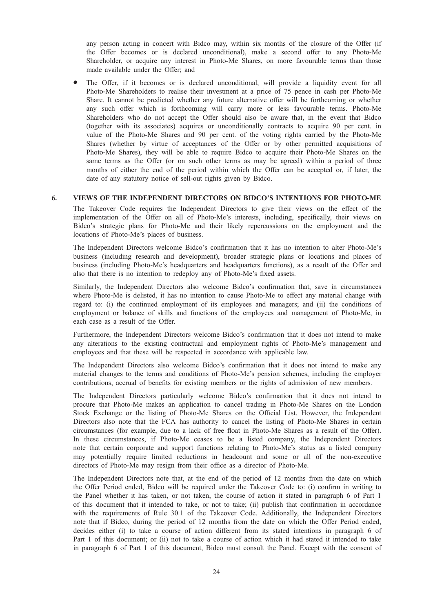any person acting in concert with Bidco may, within six months of the closure of the Offer (if the Offer becomes or is declared unconditional), make a second offer to any Photo-Me Shareholder, or acquire any interest in Photo-Me Shares, on more favourable terms than those made available under the Offer; and

The Offer, if it becomes or is declared unconditional, will provide a liquidity event for all Photo-Me Shareholders to realise their investment at a price of 75 pence in cash per Photo-Me Share. It cannot be predicted whether any future alternative offer will be forthcoming or whether any such offer which is forthcoming will carry more or less favourable terms. Photo-Me Shareholders who do not accept the Offer should also be aware that, in the event that Bidco (together with its associates) acquires or unconditionally contracts to acquire 90 per cent. in value of the Photo-Me Shares and 90 per cent. of the voting rights carried by the Photo-Me Shares (whether by virtue of acceptances of the Offer or by other permitted acquisitions of Photo-Me Shares), they will be able to require Bidco to acquire their Photo-Me Shares on the same terms as the Offer (or on such other terms as may be agreed) within a period of three months of either the end of the period within which the Offer can be accepted or, if later, the date of any statutory notice of sell-out rights given by Bidco.

# 6. VIEWS OF THE INDEPENDENT DIRECTORS ON BIDCO'S INTENTIONS FOR PHOTO-ME

The Takeover Code requires the Independent Directors to give their views on the effect of the implementation of the Offer on all of Photo-Me's interests, including, specifically, their views on Bidco's strategic plans for Photo-Me and their likely repercussions on the employment and the locations of Photo-Me's places of business.

The Independent Directors welcome Bidco's confirmation that it has no intention to alter Photo-Me's business (including research and development), broader strategic plans or locations and places of business (including Photo-Me's headquarters and headquarters functions), as a result of the Offer and also that there is no intention to redeploy any of Photo-Me's fixed assets.

Similarly, the Independent Directors also welcome Bidco's confirmation that, save in circumstances where Photo-Me is delisted, it has no intention to cause Photo-Me to effect any material change with regard to: (i) the continued employment of its employees and managers; and (ii) the conditions of employment or balance of skills and functions of the employees and management of Photo-Me, in each case as a result of the Offer.

Furthermore, the Independent Directors welcome Bidco's confirmation that it does not intend to make any alterations to the existing contractual and employment rights of Photo-Me's management and employees and that these will be respected in accordance with applicable law.

The Independent Directors also welcome Bidco's confirmation that it does not intend to make any material changes to the terms and conditions of Photo-Me's pension schemes, including the employer contributions, accrual of benefits for existing members or the rights of admission of new members.

The Independent Directors particularly welcome Bidco's confirmation that it does not intend to procure that Photo-Me makes an application to cancel trading in Photo-Me Shares on the London Stock Exchange or the listing of Photo-Me Shares on the Official List. However, the Independent Directors also note that the FCA has authority to cancel the listing of Photo-Me Shares in certain circumstances (for example, due to a lack of free float in Photo-Me Shares as a result of the Offer). In these circumstances, if Photo-Me ceases to be a listed company, the Independent Directors note that certain corporate and support functions relating to Photo-Me's status as a listed company may potentially require limited reductions in headcount and some or all of the non-executive directors of Photo-Me may resign from their office as a director of Photo-Me.

The Independent Directors note that, at the end of the period of 12 months from the date on which the Offer Period ended, Bidco will be required under the Takeover Code to: (i) confirm in writing to the Panel whether it has taken, or not taken, the course of action it stated in paragraph 6 of Part 1 of this document that it intended to take, or not to take; (ii) publish that confirmation in accordance with the requirements of Rule 30.1 of the Takeover Code. Additionally, the Independent Directors note that if Bidco, during the period of 12 months from the date on which the Offer Period ended, decides either (i) to take a course of action different from its stated intentions in paragraph 6 of Part 1 of this document; or (ii) not to take a course of action which it had stated it intended to take in paragraph 6 of Part 1 of this document, Bidco must consult the Panel. Except with the consent of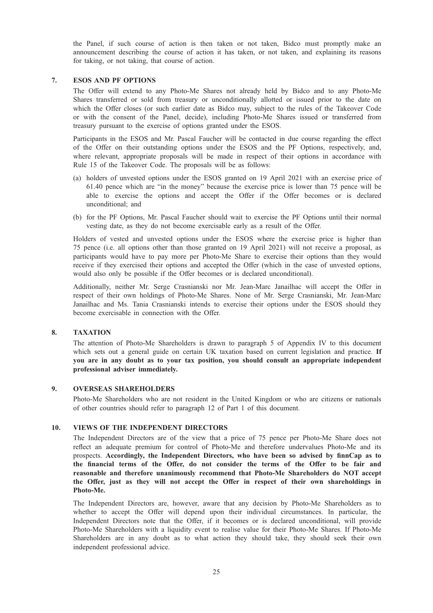the Panel, if such course of action is then taken or not taken, Bidco must promptly make an announcement describing the course of action it has taken, or not taken, and explaining its reasons for taking, or not taking, that course of action.

# 7. ESOS AND PF OPTIONS

The Offer will extend to any Photo-Me Shares not already held by Bidco and to any Photo-Me Shares transferred or sold from treasury or unconditionally allotted or issued prior to the date on which the Offer closes (or such earlier date as Bidco may, subject to the rules of the Takeover Code or with the consent of the Panel, decide), including Photo-Me Shares issued or transferred from treasury pursuant to the exercise of options granted under the ESOS.

Participants in the ESOS and Mr. Pascal Faucher will be contacted in due course regarding the effect of the Offer on their outstanding options under the ESOS and the PF Options, respectively, and, where relevant, appropriate proposals will be made in respect of their options in accordance with Rule 15 of the Takeover Code. The proposals will be as follows:

- (a) holders of unvested options under the ESOS granted on 19 April 2021 with an exercise price of 61.40 pence which are "in the money" because the exercise price is lower than 75 pence will be able to exercise the options and accept the Offer if the Offer becomes or is declared unconditional; and
- (b) for the PF Options, Mr. Pascal Faucher should wait to exercise the PF Options until their normal vesting date, as they do not become exercisable early as a result of the Offer.

Holders of vested and unvested options under the ESOS where the exercise price is higher than 75 pence (i.e. all options other than those granted on 19 April 2021) will not receive a proposal, as participants would have to pay more per Photo-Me Share to exercise their options than they would receive if they exercised their options and accepted the Offer (which in the case of unvested options, would also only be possible if the Offer becomes or is declared unconditional).

Additionally, neither Mr. Serge Crasnianski nor Mr. Jean-Marc Janailhac will accept the Offer in respect of their own holdings of Photo-Me Shares. None of Mr. Serge Crasnianski, Mr. Jean-Marc Janailhac and Ms. Tania Crasnianski intends to exercise their options under the ESOS should they become exercisable in connection with the Offer.

#### 8. TAXATION

The attention of Photo-Me Shareholders is drawn to paragraph 5 of Appendix IV to this document which sets out a general guide on certain UK taxation based on current legislation and practice. If you are in any doubt as to your tax position, you should consult an appropriate independent professional adviser immediately.

#### 9. OVERSEAS SHAREHOLDERS

Photo-Me Shareholders who are not resident in the United Kingdom or who are citizens or nationals of other countries should refer to paragraph 12 of Part 1 of this document.

# 10. VIEWS OF THE INDEPENDENT DIRECTORS

The Independent Directors are of the view that a price of 75 pence per Photo-Me Share does not reflect an adequate premium for control of Photo-Me and therefore undervalues Photo-Me and its prospects. Accordingly, the Independent Directors, who have been so advised by finnCap as to the financial terms of the Offer, do not consider the terms of the Offer to be fair and reasonable and therefore unanimously recommend that Photo-Me Shareholders do NOT accept the Offer, just as they will not accept the Offer in respect of their own shareholdings in Photo-Me.

The Independent Directors are, however, aware that any decision by Photo-Me Shareholders as to whether to accept the Offer will depend upon their individual circumstances. In particular, the Independent Directors note that the Offer, if it becomes or is declared unconditional, will provide Photo-Me Shareholders with a liquidity event to realise value for their Photo-Me Shares. If Photo-Me Shareholders are in any doubt as to what action they should take, they should seek their own independent professional advice.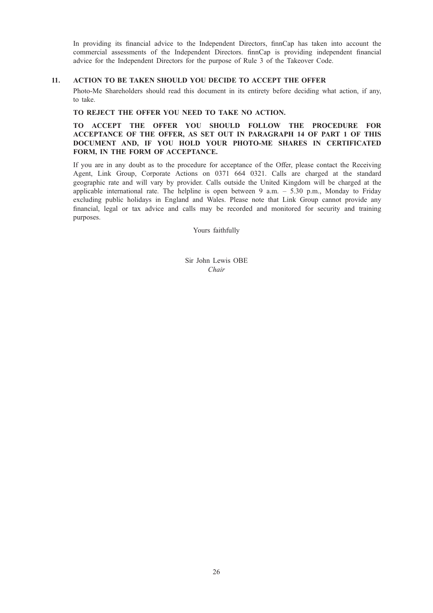In providing its financial advice to the Independent Directors, finnCap has taken into account the commercial assessments of the Independent Directors. finnCap is providing independent financial advice for the Independent Directors for the purpose of Rule 3 of the Takeover Code.

# 11. ACTION TO BE TAKEN SHOULD YOU DECIDE TO ACCEPT THE OFFER

Photo-Me Shareholders should read this document in its entirety before deciding what action, if any, to take.

# TO REJECT THE OFFER YOU NEED TO TAKE NO ACTION.

TO ACCEPT THE OFFER YOU SHOULD FOLLOW THE PROCEDURE FOR ACCEPTANCE OF THE OFFER, AS SET OUT IN PARAGRAPH 14 OF PART 1 OF THIS DOCUMENT AND, IF YOU HOLD YOUR PHOTO-ME SHARES IN CERTIFICATED FORM, IN THE FORM OF ACCEPTANCE.

If you are in any doubt as to the procedure for acceptance of the Offer, please contact the Receiving Agent, Link Group, Corporate Actions on 0371 664 0321. Calls are charged at the standard geographic rate and will vary by provider. Calls outside the United Kingdom will be charged at the applicable international rate. The helpline is open between 9 a.m.  $-$  5.30 p.m., Monday to Friday excluding public holidays in England and Wales. Please note that Link Group cannot provide any financial, legal or tax advice and calls may be recorded and monitored for security and training purposes.

Yours faithfully

Sir John Lewis OBE Chair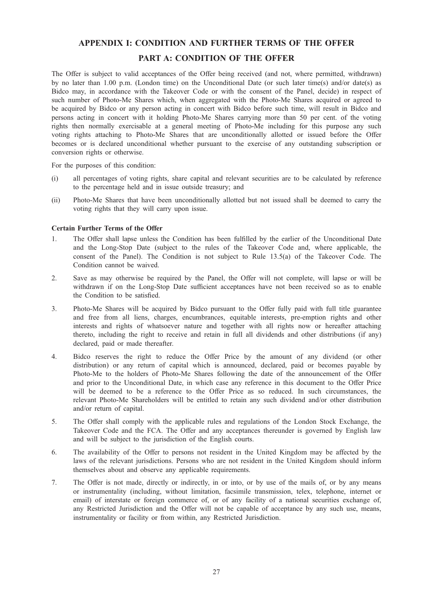# APPENDIX I: CONDITION AND FURTHER TERMS OF THE OFFER

# PART A: CONDITION OF THE OFFER

The Offer is subject to valid acceptances of the Offer being received (and not, where permitted, withdrawn) by no later than 1.00 p.m. (London time) on the Unconditional Date (or such later time(s) and/or date(s) as Bidco may, in accordance with the Takeover Code or with the consent of the Panel, decide) in respect of such number of Photo-Me Shares which, when aggregated with the Photo-Me Shares acquired or agreed to be acquired by Bidco or any person acting in concert with Bidco before such time, will result in Bidco and persons acting in concert with it holding Photo-Me Shares carrying more than 50 per cent. of the voting rights then normally exercisable at a general meeting of Photo-Me including for this purpose any such voting rights attaching to Photo-Me Shares that are unconditionally allotted or issued before the Offer becomes or is declared unconditional whether pursuant to the exercise of any outstanding subscription or conversion rights or otherwise.

For the purposes of this condition:

- (i) all percentages of voting rights, share capital and relevant securities are to be calculated by reference to the percentage held and in issue outside treasury; and
- (ii) Photo-Me Shares that have been unconditionally allotted but not issued shall be deemed to carry the voting rights that they will carry upon issue.

# Certain Further Terms of the Offer

- 1. The Offer shall lapse unless the Condition has been fulfilled by the earlier of the Unconditional Date and the Long-Stop Date (subject to the rules of the Takeover Code and, where applicable, the consent of the Panel). The Condition is not subject to Rule 13.5(a) of the Takeover Code. The Condition cannot be waived.
- 2. Save as may otherwise be required by the Panel, the Offer will not complete, will lapse or will be withdrawn if on the Long-Stop Date sufficient acceptances have not been received so as to enable the Condition to be satisfied.
- 3. Photo-Me Shares will be acquired by Bidco pursuant to the Offer fully paid with full title guarantee and free from all liens, charges, encumbrances, equitable interests, pre-emption rights and other interests and rights of whatsoever nature and together with all rights now or hereafter attaching thereto, including the right to receive and retain in full all dividends and other distributions (if any) declared, paid or made thereafter.
- 4. Bidco reserves the right to reduce the Offer Price by the amount of any dividend (or other distribution) or any return of capital which is announced, declared, paid or becomes payable by Photo-Me to the holders of Photo-Me Shares following the date of the announcement of the Offer and prior to the Unconditional Date, in which case any reference in this document to the Offer Price will be deemed to be a reference to the Offer Price as so reduced. In such circumstances, the relevant Photo-Me Shareholders will be entitled to retain any such dividend and/or other distribution and/or return of capital.
- 5. The Offer shall comply with the applicable rules and regulations of the London Stock Exchange, the Takeover Code and the FCA. The Offer and any acceptances thereunder is governed by English law and will be subject to the jurisdiction of the English courts.
- 6. The availability of the Offer to persons not resident in the United Kingdom may be affected by the laws of the relevant jurisdictions. Persons who are not resident in the United Kingdom should inform themselves about and observe any applicable requirements.
- 7. The Offer is not made, directly or indirectly, in or into, or by use of the mails of, or by any means or instrumentality (including, without limitation, facsimile transmission, telex, telephone, internet or email) of interstate or foreign commerce of, or of any facility of a national securities exchange of, any Restricted Jurisdiction and the Offer will not be capable of acceptance by any such use, means, instrumentality or facility or from within, any Restricted Jurisdiction.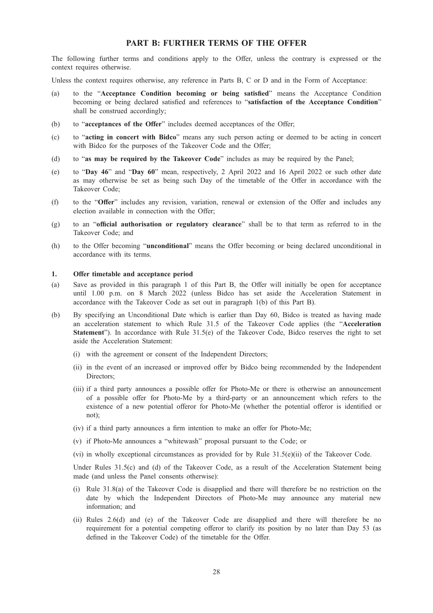# PART B: FURTHER TERMS OF THE OFFER

The following further terms and conditions apply to the Offer, unless the contrary is expressed or the context requires otherwise.

Unless the context requires otherwise, any reference in Parts B, C or D and in the Form of Acceptance:

- (a) to the "Acceptance Condition becoming or being satisfied" means the Acceptance Condition becoming or being declared satisfied and references to "satisfaction of the Acceptance Condition" shall be construed accordingly;
- (b) to "acceptances of the Offer" includes deemed acceptances of the Offer;
- (c) to "acting in concert with Bidco" means any such person acting or deemed to be acting in concert with Bidco for the purposes of the Takeover Code and the Offer;
- (d) to "as may be required by the Takeover Code" includes as may be required by the Panel;
- (e) to "Day 46" and "Day 60" mean, respectively, 2 April 2022 and 16 April 2022 or such other date as may otherwise be set as being such Day of the timetable of the Offer in accordance with the Takeover Code;
- (f) to the "Offer" includes any revision, variation, renewal or extension of the Offer and includes any election available in connection with the Offer;
- (g) to an "official authorisation or regulatory clearance" shall be to that term as referred to in the Takeover Code; and
- (h) to the Offer becoming "unconditional" means the Offer becoming or being declared unconditional in accordance with its terms.

# 1. Offer timetable and acceptance period

- (a) Save as provided in this paragraph 1 of this Part B, the Offer will initially be open for acceptance until 1.00 p.m. on 8 March 2022 (unless Bidco has set aside the Acceleration Statement in accordance with the Takeover Code as set out in paragraph 1(b) of this Part B).
- (b) By specifying an Unconditional Date which is earlier than Day 60, Bidco is treated as having made an acceleration statement to which Rule 31.5 of the Takeover Code applies (the "Acceleration Statement"). In accordance with Rule 31.5(e) of the Takeover Code, Bidco reserves the right to set aside the Acceleration Statement:
	- (i) with the agreement or consent of the Independent Directors;
	- (ii) in the event of an increased or improved offer by Bidco being recommended by the Independent Directors;
	- (iii) if a third party announces a possible offer for Photo-Me or there is otherwise an announcement of a possible offer for Photo-Me by a third-party or an announcement which refers to the existence of a new potential offeror for Photo-Me (whether the potential offeror is identified or not);
	- (iv) if a third party announces a firm intention to make an offer for Photo-Me;
	- (v) if Photo-Me announces a "whitewash" proposal pursuant to the Code; or
	- (vi) in wholly exceptional circumstances as provided for by Rule 31.5(e)(ii) of the Takeover Code.

Under Rules 31.5(c) and (d) of the Takeover Code, as a result of the Acceleration Statement being made (and unless the Panel consents otherwise):

- (i) Rule 31.8(a) of the Takeover Code is disapplied and there will therefore be no restriction on the date by which the Independent Directors of Photo-Me may announce any material new information; and
- (ii) Rules 2.6(d) and (e) of the Takeover Code are disapplied and there will therefore be no requirement for a potential competing offeror to clarify its position by no later than Day 53 (as defined in the Takeover Code) of the timetable for the Offer.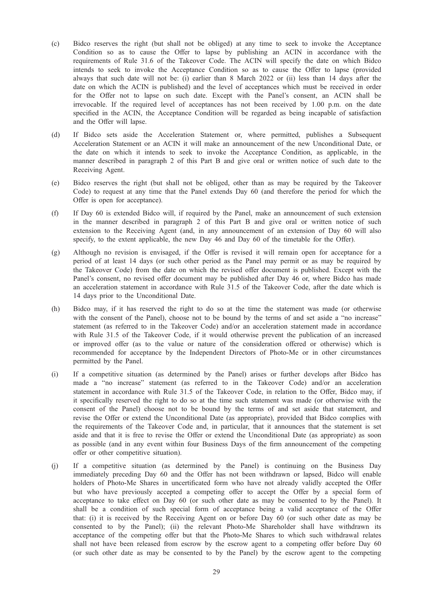- (c) Bidco reserves the right (but shall not be obliged) at any time to seek to invoke the Acceptance Condition so as to cause the Offer to lapse by publishing an ACIN in accordance with the requirements of Rule 31.6 of the Takeover Code. The ACIN will specify the date on which Bidco intends to seek to invoke the Acceptance Condition so as to cause the Offer to lapse (provided always that such date will not be: (i) earlier than 8 March 2022 or (ii) less than 14 days after the date on which the ACIN is published) and the level of acceptances which must be received in order for the Offer not to lapse on such date. Except with the Panel's consent, an ACIN shall be irrevocable. If the required level of acceptances has not been received by 1.00 p.m. on the date specified in the ACIN, the Acceptance Condition will be regarded as being incapable of satisfaction and the Offer will lapse.
- (d) If Bidco sets aside the Acceleration Statement or, where permitted, publishes a Subsequent Acceleration Statement or an ACIN it will make an announcement of the new Unconditional Date, or the date on which it intends to seek to invoke the Acceptance Condition, as applicable, in the manner described in paragraph 2 of this Part B and give oral or written notice of such date to the Receiving Agent.
- (e) Bidco reserves the right (but shall not be obliged, other than as may be required by the Takeover Code) to request at any time that the Panel extends Day 60 (and therefore the period for which the Offer is open for acceptance).
- (f) If Day 60 is extended Bidco will, if required by the Panel, make an announcement of such extension in the manner described in paragraph 2 of this Part B and give oral or written notice of such extension to the Receiving Agent (and, in any announcement of an extension of Day 60 will also specify, to the extent applicable, the new Day 46 and Day 60 of the timetable for the Offer).
- (g) Although no revision is envisaged, if the Offer is revised it will remain open for acceptance for a period of at least 14 days (or such other period as the Panel may permit or as may be required by the Takeover Code) from the date on which the revised offer document is published. Except with the Panel's consent, no revised offer document may be published after Day 46 or, where Bidco has made an acceleration statement in accordance with Rule 31.5 of the Takeover Code, after the date which is 14 days prior to the Unconditional Date.
- (h) Bidco may, if it has reserved the right to do so at the time the statement was made (or otherwise with the consent of the Panel), choose not to be bound by the terms of and set aside a "no increase" statement (as referred to in the Takeover Code) and/or an acceleration statement made in accordance with Rule 31.5 of the Takeover Code, if it would otherwise prevent the publication of an increased or improved offer (as to the value or nature of the consideration offered or otherwise) which is recommended for acceptance by the Independent Directors of Photo-Me or in other circumstances permitted by the Panel.
- (i) If a competitive situation (as determined by the Panel) arises or further develops after Bidco has made a "no increase" statement (as referred to in the Takeover Code) and/or an acceleration statement in accordance with Rule 31.5 of the Takeover Code, in relation to the Offer, Bidco may, if it specifically reserved the right to do so at the time such statement was made (or otherwise with the consent of the Panel) choose not to be bound by the terms of and set aside that statement, and revise the Offer or extend the Unconditional Date (as appropriate), provided that Bidco complies with the requirements of the Takeover Code and, in particular, that it announces that the statement is set aside and that it is free to revise the Offer or extend the Unconditional Date (as appropriate) as soon as possible (and in any event within four Business Days of the firm announcement of the competing offer or other competitive situation).
- (j) If a competitive situation (as determined by the Panel) is continuing on the Business Day immediately preceding Day 60 and the Offer has not been withdrawn or lapsed, Bidco will enable holders of Photo-Me Shares in uncertificated form who have not already validly accepted the Offer but who have previously accepted a competing offer to accept the Offer by a special form of acceptance to take effect on Day 60 (or such other date as may be consented to by the Panel). It shall be a condition of such special form of acceptance being a valid acceptance of the Offer that: (i) it is received by the Receiving Agent on or before Day 60 (or such other date as may be consented to by the Panel); (ii) the relevant Photo-Me Shareholder shall have withdrawn its acceptance of the competing offer but that the Photo-Me Shares to which such withdrawal relates shall not have been released from escrow by the escrow agent to a competing offer before Day 60 (or such other date as may be consented to by the Panel) by the escrow agent to the competing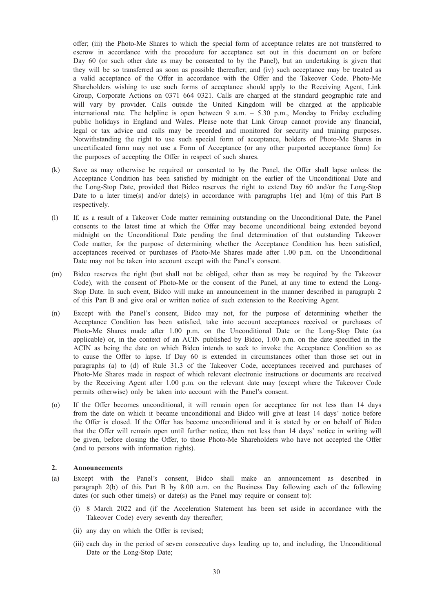offer; (iii) the Photo-Me Shares to which the special form of acceptance relates are not transferred to escrow in accordance with the procedure for acceptance set out in this document on or before Day 60 (or such other date as may be consented to by the Panel), but an undertaking is given that they will be so transferred as soon as possible thereafter; and (iv) such acceptance may be treated as a valid acceptance of the Offer in accordance with the Offer and the Takeover Code. Photo-Me Shareholders wishing to use such forms of acceptance should apply to the Receiving Agent, Link Group, Corporate Actions on 0371 664 0321. Calls are charged at the standard geographic rate and will vary by provider. Calls outside the United Kingdom will be charged at the applicable international rate. The helpline is open between 9 a.m. – 5.30 p.m., Monday to Friday excluding public holidays in England and Wales. Please note that Link Group cannot provide any financial, legal or tax advice and calls may be recorded and monitored for security and training purposes. Notwithstanding the right to use such special form of acceptance, holders of Photo-Me Shares in uncertificated form may not use a Form of Acceptance (or any other purported acceptance form) for the purposes of accepting the Offer in respect of such shares.

- (k) Save as may otherwise be required or consented to by the Panel, the Offer shall lapse unless the Acceptance Condition has been satisfied by midnight on the earlier of the Unconditional Date and the Long-Stop Date, provided that Bidco reserves the right to extend Day 60 and/or the Long-Stop Date to a later time(s) and/or date(s) in accordance with paragraphs  $1(e)$  and  $1(m)$  of this Part B respectively.
- (l) If, as a result of a Takeover Code matter remaining outstanding on the Unconditional Date, the Panel consents to the latest time at which the Offer may become unconditional being extended beyond midnight on the Unconditional Date pending the final determination of that outstanding Takeover Code matter, for the purpose of determining whether the Acceptance Condition has been satisfied, acceptances received or purchases of Photo-Me Shares made after 1.00 p.m. on the Unconditional Date may not be taken into account except with the Panel's consent.
- (m) Bidco reserves the right (but shall not be obliged, other than as may be required by the Takeover Code), with the consent of Photo-Me or the consent of the Panel, at any time to extend the Long-Stop Date. In such event, Bidco will make an announcement in the manner described in paragraph 2 of this Part B and give oral or written notice of such extension to the Receiving Agent.
- (n) Except with the Panel's consent, Bidco may not, for the purpose of determining whether the Acceptance Condition has been satisfied, take into account acceptances received or purchases of Photo-Me Shares made after 1.00 p.m. on the Unconditional Date or the Long-Stop Date (as applicable) or, in the context of an ACIN published by Bidco, 1.00 p.m. on the date specified in the ACIN as being the date on which Bidco intends to seek to invoke the Acceptance Condition so as to cause the Offer to lapse. If Day 60 is extended in circumstances other than those set out in paragraphs (a) to (d) of Rule 31.3 of the Takeover Code, acceptances received and purchases of Photo-Me Shares made in respect of which relevant electronic instructions or documents are received by the Receiving Agent after 1.00 p.m. on the relevant date may (except where the Takeover Code permits otherwise) only be taken into account with the Panel's consent.
- (o) If the Offer becomes unconditional, it will remain open for acceptance for not less than 14 days from the date on which it became unconditional and Bidco will give at least 14 days' notice before the Offer is closed. If the Offer has become unconditional and it is stated by or on behalf of Bidco that the Offer will remain open until further notice, then not less than 14 days' notice in writing will be given, before closing the Offer, to those Photo-Me Shareholders who have not accepted the Offer (and to persons with information rights).

# 2. Announcements

- (a) Except with the Panel's consent, Bidco shall make an announcement as described in paragraph 2(b) of this Part B by 8.00 a.m. on the Business Day following each of the following dates (or such other time(s) or date(s) as the Panel may require or consent to):
	- (i) 8 March 2022 and (if the Acceleration Statement has been set aside in accordance with the Takeover Code) every seventh day thereafter;
	- (ii) any day on which the Offer is revised;
	- (iii) each day in the period of seven consecutive days leading up to, and including, the Unconditional Date or the Long-Stop Date;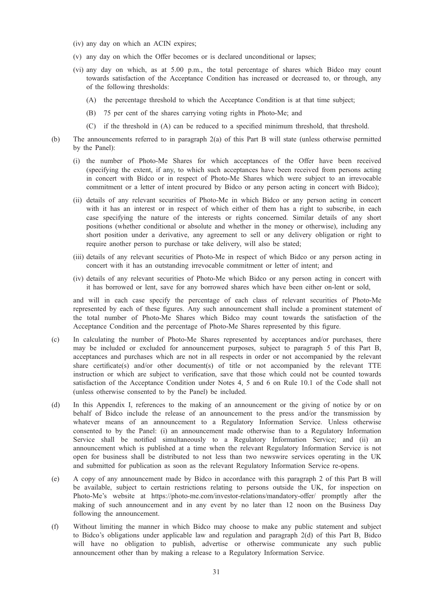- (iv) any day on which an ACIN expires;
- (v) any day on which the Offer becomes or is declared unconditional or lapses;
- (vi) any day on which, as at 5.00 p.m., the total percentage of shares which Bidco may count towards satisfaction of the Acceptance Condition has increased or decreased to, or through, any of the following thresholds:
	- (A) the percentage threshold to which the Acceptance Condition is at that time subject;
	- (B) 75 per cent of the shares carrying voting rights in Photo-Me; and
	- (C) if the threshold in (A) can be reduced to a specified minimum threshold, that threshold.
- (b) The announcements referred to in paragraph 2(a) of this Part B will state (unless otherwise permitted by the Panel):
	- (i) the number of Photo-Me Shares for which acceptances of the Offer have been received (specifying the extent, if any, to which such acceptances have been received from persons acting in concert with Bidco or in respect of Photo-Me Shares which were subject to an irrevocable commitment or a letter of intent procured by Bidco or any person acting in concert with Bidco);
	- (ii) details of any relevant securities of Photo-Me in which Bidco or any person acting in concert with it has an interest or in respect of which either of them has a right to subscribe, in each case specifying the nature of the interests or rights concerned. Similar details of any short positions (whether conditional or absolute and whether in the money or otherwise), including any short position under a derivative, any agreement to sell or any delivery obligation or right to require another person to purchase or take delivery, will also be stated;
	- (iii) details of any relevant securities of Photo-Me in respect of which Bidco or any person acting in concert with it has an outstanding irrevocable commitment or letter of intent; and
	- (iv) details of any relevant securities of Photo-Me which Bidco or any person acting in concert with it has borrowed or lent, save for any borrowed shares which have been either on-lent or sold,

and will in each case specify the percentage of each class of relevant securities of Photo-Me represented by each of these figures. Any such announcement shall include a prominent statement of the total number of Photo-Me Shares which Bidco may count towards the satisfaction of the Acceptance Condition and the percentage of Photo-Me Shares represented by this figure.

- (c) In calculating the number of Photo-Me Shares represented by acceptances and/or purchases, there may be included or excluded for announcement purposes, subject to paragraph 5 of this Part B, acceptances and purchases which are not in all respects in order or not accompanied by the relevant share certificate(s) and/or other document(s) of title or not accompanied by the relevant TTE instruction or which are subject to verification, save that those which could not be counted towards satisfaction of the Acceptance Condition under Notes 4, 5 and 6 on Rule 10.1 of the Code shall not (unless otherwise consented to by the Panel) be included.
- (d) In this Appendix I, references to the making of an announcement or the giving of notice by or on behalf of Bidco include the release of an announcement to the press and/or the transmission by whatever means of an announcement to a Regulatory Information Service. Unless otherwise consented to by the Panel: (i) an announcement made otherwise than to a Regulatory Information Service shall be notified simultaneously to a Regulatory Information Service; and (ii) an announcement which is published at a time when the relevant Regulatory Information Service is not open for business shall be distributed to not less than two newswire services operating in the UK and submitted for publication as soon as the relevant Regulatory Information Service re-opens.
- (e) A copy of any announcement made by Bidco in accordance with this paragraph 2 of this Part B will be available, subject to certain restrictions relating to persons outside the UK, for inspection on Photo-Me's website at https://photo-me.com/investor-relations/mandatory-offer/ promptly after the making of such announcement and in any event by no later than 12 noon on the Business Day following the announcement.
- (f) Without limiting the manner in which Bidco may choose to make any public statement and subject to Bidco's obligations under applicable law and regulation and paragraph 2(d) of this Part B, Bidco will have no obligation to publish, advertise or otherwise communicate any such public announcement other than by making a release to a Regulatory Information Service.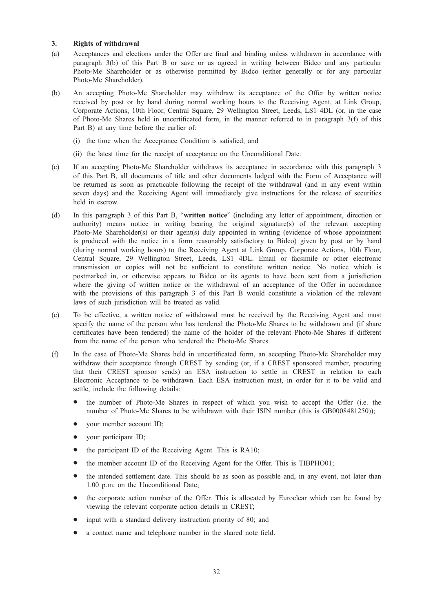# 3. Rights of withdrawal

- (a) Acceptances and elections under the Offer are final and binding unless withdrawn in accordance with paragraph 3(b) of this Part B or save or as agreed in writing between Bidco and any particular Photo-Me Shareholder or as otherwise permitted by Bidco (either generally or for any particular Photo-Me Shareholder).
- (b) An accepting Photo-Me Shareholder may withdraw its acceptance of the Offer by written notice received by post or by hand during normal working hours to the Receiving Agent, at Link Group, Corporate Actions, 10th Floor, Central Square, 29 Wellington Street, Leeds, LS1 4DL (or, in the case of Photo-Me Shares held in uncertificated form, in the manner referred to in paragraph 3(f) of this Part B) at any time before the earlier of:
	- (i) the time when the Acceptance Condition is satisfied; and
	- (ii) the latest time for the receipt of acceptance on the Unconditional Date.
- (c) If an accepting Photo-Me Shareholder withdraws its acceptance in accordance with this paragraph 3 of this Part B, all documents of title and other documents lodged with the Form of Acceptance will be returned as soon as practicable following the receipt of the withdrawal (and in any event within seven days) and the Receiving Agent will immediately give instructions for the release of securities held in escrow.
- (d) In this paragraph 3 of this Part B, "written notice" (including any letter of appointment, direction or authority) means notice in writing bearing the original signature(s) of the relevant accepting Photo-Me Shareholder(s) or their agent(s) duly appointed in writing (evidence of whose appointment is produced with the notice in a form reasonably satisfactory to Bidco) given by post or by hand (during normal working hours) to the Receiving Agent at Link Group, Corporate Actions, 10th Floor, Central Square, 29 Wellington Street, Leeds, LS1 4DL. Email or facsimile or other electronic transmission or copies will not be sufficient to constitute written notice. No notice which is postmarked in, or otherwise appears to Bidco or its agents to have been sent from a jurisdiction where the giving of written notice or the withdrawal of an acceptance of the Offer in accordance with the provisions of this paragraph 3 of this Part B would constitute a violation of the relevant laws of such jurisdiction will be treated as valid.
- (e) To be effective, a written notice of withdrawal must be received by the Receiving Agent and must specify the name of the person who has tendered the Photo-Me Shares to be withdrawn and (if share certificates have been tendered) the name of the holder of the relevant Photo-Me Shares if different from the name of the person who tendered the Photo-Me Shares.
- (f) In the case of Photo-Me Shares held in uncertificated form, an accepting Photo-Me Shareholder may withdraw their acceptance through CREST by sending (or, if a CREST sponsored member, procuring that their CREST sponsor sends) an ESA instruction to settle in CREST in relation to each Electronic Acceptance to be withdrawn. Each ESA instruction must, in order for it to be valid and settle, include the following details:
	- the number of Photo-Me Shares in respect of which you wish to accept the Offer (i.e. the number of Photo-Me Shares to be withdrawn with their ISIN number (this is GB0008481250));
	- your member account ID;
	- your participant ID;
	- the participant ID of the Receiving Agent. This is RA10;
	- the member account ID of the Receiving Agent for the Offer. This is TIBPHO01;
	- the intended settlement date. This should be as soon as possible and, in any event, not later than 1.00 p.m. on the Unconditional Date;
	- the corporate action number of the Offer. This is allocated by Euroclear which can be found by viewing the relevant corporate action details in CREST;
	- input with a standard delivery instruction priority of 80; and
	- a contact name and telephone number in the shared note field.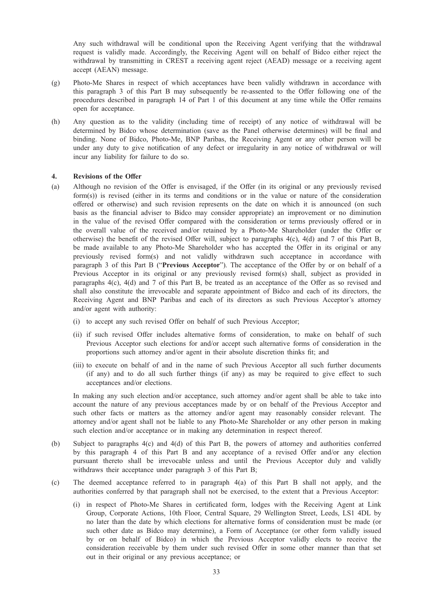Any such withdrawal will be conditional upon the Receiving Agent verifying that the withdrawal request is validly made. Accordingly, the Receiving Agent will on behalf of Bidco either reject the withdrawal by transmitting in CREST a receiving agent reject (AEAD) message or a receiving agent accept (AEAN) message.

- (g) Photo-Me Shares in respect of which acceptances have been validly withdrawn in accordance with this paragraph 3 of this Part B may subsequently be re-assented to the Offer following one of the procedures described in paragraph 14 of Part 1 of this document at any time while the Offer remains open for acceptance.
- (h) Any question as to the validity (including time of receipt) of any notice of withdrawal will be determined by Bidco whose determination (save as the Panel otherwise determines) will be final and binding. None of Bidco, Photo-Me, BNP Paribas, the Receiving Agent or any other person will be under any duty to give notification of any defect or irregularity in any notice of withdrawal or will incur any liability for failure to do so.

#### 4. Revisions of the Offer

- (a) Although no revision of the Offer is envisaged, if the Offer (in its original or any previously revised form(s)) is revised (either in its terms and conditions or in the value or nature of the consideration offered or otherwise) and such revision represents on the date on which it is announced (on such basis as the financial adviser to Bidco may consider appropriate) an improvement or no diminution in the value of the revised Offer compared with the consideration or terms previously offered or in the overall value of the received and/or retained by a Photo-Me Shareholder (under the Offer or otherwise) the benefit of the revised Offer will, subject to paragraphs 4(c), 4(d) and 7 of this Part B, be made available to any Photo-Me Shareholder who has accepted the Offer in its original or any previously revised form(s) and not validly withdrawn such acceptance in accordance with paragraph 3 of this Part B ("Previous Acceptor"). The acceptance of the Offer by or on behalf of a Previous Acceptor in its original or any previously revised form(s) shall, subject as provided in paragraphs 4(c), 4(d) and 7 of this Part B, be treated as an acceptance of the Offer as so revised and shall also constitute the irrevocable and separate appointment of Bidco and each of its directors, the Receiving Agent and BNP Paribas and each of its directors as such Previous Acceptor's attorney and/or agent with authority:
	- (i) to accept any such revised Offer on behalf of such Previous Acceptor;
	- (ii) if such revised Offer includes alternative forms of consideration, to make on behalf of such Previous Acceptor such elections for and/or accept such alternative forms of consideration in the proportions such attorney and/or agent in their absolute discretion thinks fit; and
	- (iii) to execute on behalf of and in the name of such Previous Acceptor all such further documents (if any) and to do all such further things (if any) as may be required to give effect to such acceptances and/or elections.

In making any such election and/or acceptance, such attorney and/or agent shall be able to take into account the nature of any previous acceptances made by or on behalf of the Previous Acceptor and such other facts or matters as the attorney and/or agent may reasonably consider relevant. The attorney and/or agent shall not be liable to any Photo-Me Shareholder or any other person in making such election and/or acceptance or in making any determination in respect thereof.

- (b) Subject to paragraphs 4(c) and 4(d) of this Part B, the powers of attorney and authorities conferred by this paragraph 4 of this Part B and any acceptance of a revised Offer and/or any election pursuant thereto shall be irrevocable unless and until the Previous Acceptor duly and validly withdraws their acceptance under paragraph 3 of this Part B;
- (c) The deemed acceptance referred to in paragraph 4(a) of this Part B shall not apply, and the authorities conferred by that paragraph shall not be exercised, to the extent that a Previous Acceptor:
	- (i) in respect of Photo-Me Shares in certificated form, lodges with the Receiving Agent at Link Group, Corporate Actions, 10th Floor, Central Square, 29 Wellington Street, Leeds, LS1 4DL by no later than the date by which elections for alternative forms of consideration must be made (or such other date as Bidco may determine), a Form of Acceptance (or other form validly issued by or on behalf of Bidco) in which the Previous Acceptor validly elects to receive the consideration receivable by them under such revised Offer in some other manner than that set out in their original or any previous acceptance; or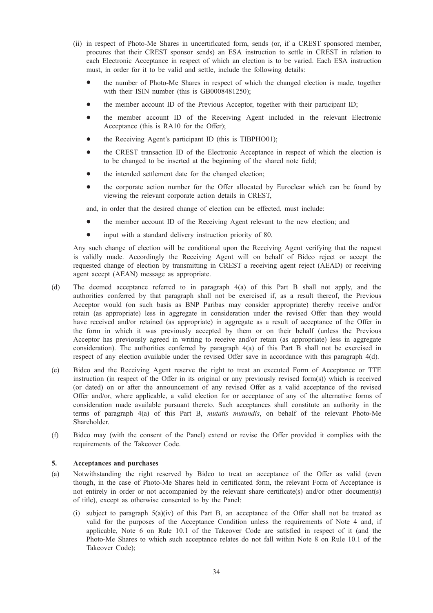- (ii) in respect of Photo-Me Shares in uncertificated form, sends (or, if a CREST sponsored member, procures that their CREST sponsor sends) an ESA instruction to settle in CREST in relation to each Electronic Acceptance in respect of which an election is to be varied. Each ESA instruction must, in order for it to be valid and settle, include the following details:
	- the number of Photo-Me Shares in respect of which the changed election is made, together with their ISIN number (this is GB0008481250);
	- the member account ID of the Previous Acceptor, together with their participant ID;
	- the member account ID of the Receiving Agent included in the relevant Electronic Acceptance (this is RA10 for the Offer);
	- the Receiving Agent's participant ID (this is TIBPHO01);
	- the CREST transaction ID of the Electronic Acceptance in respect of which the election is to be changed to be inserted at the beginning of the shared note field;
	- the intended settlement date for the changed election;
	- the corporate action number for the Offer allocated by Euroclear which can be found by viewing the relevant corporate action details in CREST,

and, in order that the desired change of election can be effected, must include:

- the member account ID of the Receiving Agent relevant to the new election; and
- input with a standard delivery instruction priority of 80.

Any such change of election will be conditional upon the Receiving Agent verifying that the request is validly made. Accordingly the Receiving Agent will on behalf of Bidco reject or accept the requested change of election by transmitting in CREST a receiving agent reject (AEAD) or receiving agent accept (AEAN) message as appropriate.

- (d) The deemed acceptance referred to in paragraph 4(a) of this Part B shall not apply, and the authorities conferred by that paragraph shall not be exercised if, as a result thereof, the Previous Acceptor would (on such basis as BNP Paribas may consider appropriate) thereby receive and/or retain (as appropriate) less in aggregate in consideration under the revised Offer than they would have received and/or retained (as appropriate) in aggregate as a result of acceptance of the Offer in the form in which it was previously accepted by them or on their behalf (unless the Previous Acceptor has previously agreed in writing to receive and/or retain (as appropriate) less in aggregate consideration). The authorities conferred by paragraph 4(a) of this Part B shall not be exercised in respect of any election available under the revised Offer save in accordance with this paragraph 4(d).
- (e) Bidco and the Receiving Agent reserve the right to treat an executed Form of Acceptance or TTE instruction (in respect of the Offer in its original or any previously revised form(s)) which is received (or dated) on or after the announcement of any revised Offer as a valid acceptance of the revised Offer and/or, where applicable, a valid election for or acceptance of any of the alternative forms of consideration made available pursuant thereto. Such acceptances shall constitute an authority in the terms of paragraph 4(a) of this Part B, mutatis mutandis, on behalf of the relevant Photo-Me Shareholder.
- (f) Bidco may (with the consent of the Panel) extend or revise the Offer provided it complies with the requirements of the Takeover Code.

# 5. Acceptances and purchases

- (a) Notwithstanding the right reserved by Bidco to treat an acceptance of the Offer as valid (even though, in the case of Photo-Me Shares held in certificated form, the relevant Form of Acceptance is not entirely in order or not accompanied by the relevant share certificate(s) and/or other document(s) of title), except as otherwise consented to by the Panel:
	- (i) subject to paragraph 5(a)(iv) of this Part B, an acceptance of the Offer shall not be treated as valid for the purposes of the Acceptance Condition unless the requirements of Note 4 and, if applicable, Note 6 on Rule 10.1 of the Takeover Code are satisfied in respect of it (and the Photo-Me Shares to which such acceptance relates do not fall within Note 8 on Rule 10.1 of the Takeover Code);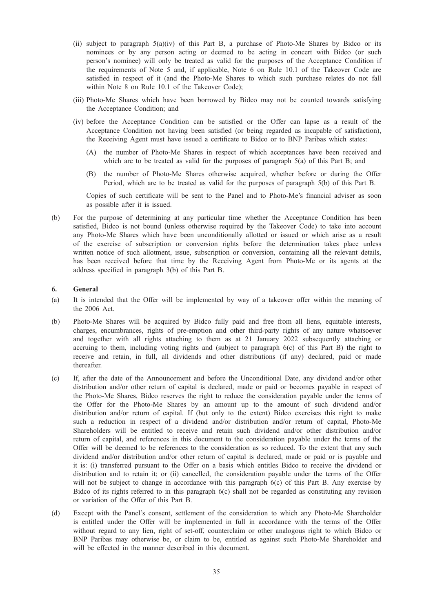- (ii) subject to paragraph  $5(a)(iv)$  of this Part B, a purchase of Photo-Me Shares by Bidco or its nominees or by any person acting or deemed to be acting in concert with Bidco (or such person's nominee) will only be treated as valid for the purposes of the Acceptance Condition if the requirements of Note 5 and, if applicable, Note 6 on Rule 10.1 of the Takeover Code are satisfied in respect of it (and the Photo-Me Shares to which such purchase relates do not fall within Note 8 on Rule 10.1 of the Takeover Code);
- (iii) Photo-Me Shares which have been borrowed by Bidco may not be counted towards satisfying the Acceptance Condition; and
- (iv) before the Acceptance Condition can be satisfied or the Offer can lapse as a result of the Acceptance Condition not having been satisfied (or being regarded as incapable of satisfaction), the Receiving Agent must have issued a certificate to Bidco or to BNP Paribas which states:
	- (A) the number of Photo-Me Shares in respect of which acceptances have been received and which are to be treated as valid for the purposes of paragraph 5(a) of this Part B; and
	- (B) the number of Photo-Me Shares otherwise acquired, whether before or during the Offer Period, which are to be treated as valid for the purposes of paragraph 5(b) of this Part B.

Copies of such certificate will be sent to the Panel and to Photo-Me's financial adviser as soon as possible after it is issued.

(b) For the purpose of determining at any particular time whether the Acceptance Condition has been satisfied, Bidco is not bound (unless otherwise required by the Takeover Code) to take into account any Photo-Me Shares which have been unconditionally allotted or issued or which arise as a result of the exercise of subscription or conversion rights before the determination takes place unless written notice of such allotment, issue, subscription or conversion, containing all the relevant details, has been received before that time by the Receiving Agent from Photo-Me or its agents at the address specified in paragraph 3(b) of this Part B.

#### 6. General

- (a) It is intended that the Offer will be implemented by way of a takeover offer within the meaning of the 2006 Act.
- (b) Photo-Me Shares will be acquired by Bidco fully paid and free from all liens, equitable interests, charges, encumbrances, rights of pre-emption and other third-party rights of any nature whatsoever and together with all rights attaching to them as at 21 January 2022 subsequently attaching or accruing to them, including voting rights and (subject to paragraph 6(c) of this Part B) the right to receive and retain, in full, all dividends and other distributions (if any) declared, paid or made thereafter.
- (c) If, after the date of the Announcement and before the Unconditional Date, any dividend and/or other distribution and/or other return of capital is declared, made or paid or becomes payable in respect of the Photo-Me Shares, Bidco reserves the right to reduce the consideration payable under the terms of the Offer for the Photo-Me Shares by an amount up to the amount of such dividend and/or distribution and/or return of capital. If (but only to the extent) Bidco exercises this right to make such a reduction in respect of a dividend and/or distribution and/or return of capital, Photo-Me Shareholders will be entitled to receive and retain such dividend and/or other distribution and/or return of capital, and references in this document to the consideration payable under the terms of the Offer will be deemed to be references to the consideration as so reduced. To the extent that any such dividend and/or distribution and/or other return of capital is declared, made or paid or is payable and it is: (i) transferred pursuant to the Offer on a basis which entitles Bidco to receive the dividend or distribution and to retain it; or (ii) cancelled, the consideration payable under the terms of the Offer will not be subject to change in accordance with this paragraph 6(c) of this Part B. Any exercise by Bidco of its rights referred to in this paragraph 6(c) shall not be regarded as constituting any revision or variation of the Offer of this Part B.
- (d) Except with the Panel's consent, settlement of the consideration to which any Photo-Me Shareholder is entitled under the Offer will be implemented in full in accordance with the terms of the Offer without regard to any lien, right of set-off, counterclaim or other analogous right to which Bidco or BNP Paribas may otherwise be, or claim to be, entitled as against such Photo-Me Shareholder and will be effected in the manner described in this document.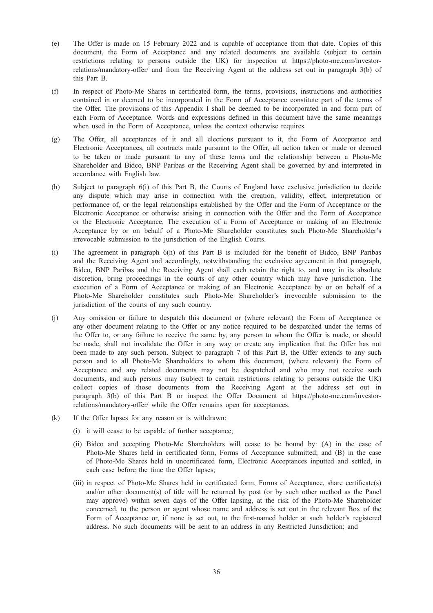- (e) The Offer is made on 15 February 2022 and is capable of acceptance from that date. Copies of this document, the Form of Acceptance and any related documents are available (subject to certain restrictions relating to persons outside the UK) for inspection at https://photo-me.com/investorrelations/mandatory-offer/ and from the Receiving Agent at the address set out in paragraph 3(b) of this Part B.
- (f) In respect of Photo-Me Shares in certificated form, the terms, provisions, instructions and authorities contained in or deemed to be incorporated in the Form of Acceptance constitute part of the terms of the Offer. The provisions of this Appendix I shall be deemed to be incorporated in and form part of each Form of Acceptance. Words and expressions defined in this document have the same meanings when used in the Form of Acceptance, unless the context otherwise requires.
- (g) The Offer, all acceptances of it and all elections pursuant to it, the Form of Acceptance and Electronic Acceptances, all contracts made pursuant to the Offer, all action taken or made or deemed to be taken or made pursuant to any of these terms and the relationship between a Photo-Me Shareholder and Bidco, BNP Paribas or the Receiving Agent shall be governed by and interpreted in accordance with English law.
- (h) Subject to paragraph 6(i) of this Part B, the Courts of England have exclusive jurisdiction to decide any dispute which may arise in connection with the creation, validity, effect, interpretation or performance of, or the legal relationships established by the Offer and the Form of Acceptance or the Electronic Acceptance or otherwise arising in connection with the Offer and the Form of Acceptance or the Electronic Acceptance. The execution of a Form of Acceptance or making of an Electronic Acceptance by or on behalf of a Photo-Me Shareholder constitutes such Photo-Me Shareholder's irrevocable submission to the jurisdiction of the English Courts.
- (i) The agreement in paragraph 6(h) of this Part B is included for the benefit of Bidco, BNP Paribas and the Receiving Agent and accordingly, notwithstanding the exclusive agreement in that paragraph, Bidco, BNP Paribas and the Receiving Agent shall each retain the right to, and may in its absolute discretion, bring proceedings in the courts of any other country which may have jurisdiction. The execution of a Form of Acceptance or making of an Electronic Acceptance by or on behalf of a Photo-Me Shareholder constitutes such Photo-Me Shareholder's irrevocable submission to the jurisdiction of the courts of any such country.
- (j) Any omission or failure to despatch this document or (where relevant) the Form of Acceptance or any other document relating to the Offer or any notice required to be despatched under the terms of the Offer to, or any failure to receive the same by, any person to whom the Offer is made, or should be made, shall not invalidate the Offer in any way or create any implication that the Offer has not been made to any such person. Subject to paragraph 7 of this Part B, the Offer extends to any such person and to all Photo-Me Shareholders to whom this document, (where relevant) the Form of Acceptance and any related documents may not be despatched and who may not receive such documents, and such persons may (subject to certain restrictions relating to persons outside the UK) collect copies of those documents from the Receiving Agent at the address set out in paragraph 3(b) of this Part B or inspect the Offer Document at https://photo-me.com/investorrelations/mandatory-offer/ while the Offer remains open for acceptances.
- (k) If the Offer lapses for any reason or is withdrawn:
	- (i) it will cease to be capable of further acceptance;
	- (ii) Bidco and accepting Photo-Me Shareholders will cease to be bound by: (A) in the case of Photo-Me Shares held in certificated form, Forms of Acceptance submitted; and (B) in the case of Photo-Me Shares held in uncertificated form, Electronic Acceptances inputted and settled, in each case before the time the Offer lapses;
	- (iii) in respect of Photo-Me Shares held in certificated form, Forms of Acceptance, share certificate(s) and/or other document(s) of title will be returned by post (or by such other method as the Panel may approve) within seven days of the Offer lapsing, at the risk of the Photo-Me Shareholder concerned, to the person or agent whose name and address is set out in the relevant Box of the Form of Acceptance or, if none is set out, to the first-named holder at such holder's registered address. No such documents will be sent to an address in any Restricted Jurisdiction; and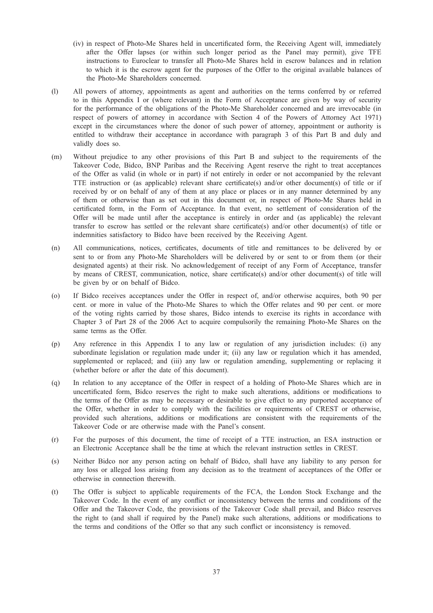- (iv) in respect of Photo-Me Shares held in uncertificated form, the Receiving Agent will, immediately after the Offer lapses (or within such longer period as the Panel may permit), give TFE instructions to Euroclear to transfer all Photo-Me Shares held in escrow balances and in relation to which it is the escrow agent for the purposes of the Offer to the original available balances of the Photo-Me Shareholders concerned.
- (l) All powers of attorney, appointments as agent and authorities on the terms conferred by or referred to in this Appendix I or (where relevant) in the Form of Acceptance are given by way of security for the performance of the obligations of the Photo-Me Shareholder concerned and are irrevocable (in respect of powers of attorney in accordance with Section 4 of the Powers of Attorney Act 1971) except in the circumstances where the donor of such power of attorney, appointment or authority is entitled to withdraw their acceptance in accordance with paragraph 3 of this Part B and duly and validly does so.
- (m) Without prejudice to any other provisions of this Part B and subject to the requirements of the Takeover Code, Bidco, BNP Paribas and the Receiving Agent reserve the right to treat acceptances of the Offer as valid (in whole or in part) if not entirely in order or not accompanied by the relevant TTE instruction or (as applicable) relevant share certificate(s) and/or other document(s) of title or if received by or on behalf of any of them at any place or places or in any manner determined by any of them or otherwise than as set out in this document or, in respect of Photo-Me Shares held in certificated form, in the Form of Acceptance. In that event, no settlement of consideration of the Offer will be made until after the acceptance is entirely in order and (as applicable) the relevant transfer to escrow has settled or the relevant share certificate(s) and/or other document(s) of title or indemnities satisfactory to Bidco have been received by the Receiving Agent.
- (n) All communications, notices, certificates, documents of title and remittances to be delivered by or sent to or from any Photo-Me Shareholders will be delivered by or sent to or from them (or their designated agents) at their risk. No acknowledgement of receipt of any Form of Acceptance, transfer by means of CREST, communication, notice, share certificate(s) and/or other document(s) of title will be given by or on behalf of Bidco.
- (o) If Bidco receives acceptances under the Offer in respect of, and/or otherwise acquires, both 90 per cent. or more in value of the Photo-Me Shares to which the Offer relates and 90 per cent. or more of the voting rights carried by those shares, Bidco intends to exercise its rights in accordance with Chapter 3 of Part 28 of the 2006 Act to acquire compulsorily the remaining Photo-Me Shares on the same terms as the Offer.
- (p) Any reference in this Appendix I to any law or regulation of any jurisdiction includes: (i) any subordinate legislation or regulation made under it; (ii) any law or regulation which it has amended, supplemented or replaced; and (iii) any law or regulation amending, supplementing or replacing it (whether before or after the date of this document).
- (q) In relation to any acceptance of the Offer in respect of a holding of Photo-Me Shares which are in uncertificated form, Bidco reserves the right to make such alterations, additions or modifications to the terms of the Offer as may be necessary or desirable to give effect to any purported acceptance of the Offer, whether in order to comply with the facilities or requirements of CREST or otherwise, provided such alterations, additions or modifications are consistent with the requirements of the Takeover Code or are otherwise made with the Panel's consent.
- (r) For the purposes of this document, the time of receipt of a TTE instruction, an ESA instruction or an Electronic Acceptance shall be the time at which the relevant instruction settles in CREST.
- (s) Neither Bidco nor any person acting on behalf of Bidco, shall have any liability to any person for any loss or alleged loss arising from any decision as to the treatment of acceptances of the Offer or otherwise in connection therewith.
- (t) The Offer is subject to applicable requirements of the FCA, the London Stock Exchange and the Takeover Code. In the event of any conflict or inconsistency between the terms and conditions of the Offer and the Takeover Code, the provisions of the Takeover Code shall prevail, and Bidco reserves the right to (and shall if required by the Panel) make such alterations, additions or modifications to the terms and conditions of the Offer so that any such conflict or inconsistency is removed.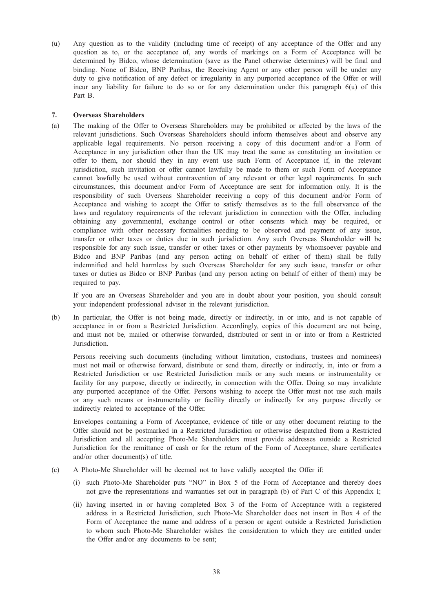(u) Any question as to the validity (including time of receipt) of any acceptance of the Offer and any question as to, or the acceptance of, any words of markings on a Form of Acceptance will be determined by Bidco, whose determination (save as the Panel otherwise determines) will be final and binding. None of Bidco, BNP Paribas, the Receiving Agent or any other person will be under any duty to give notification of any defect or irregularity in any purported acceptance of the Offer or will incur any liability for failure to do so or for any determination under this paragraph 6(u) of this Part B.

# 7. Overseas Shareholders

(a) The making of the Offer to Overseas Shareholders may be prohibited or affected by the laws of the relevant jurisdictions. Such Overseas Shareholders should inform themselves about and observe any applicable legal requirements. No person receiving a copy of this document and/or a Form of Acceptance in any jurisdiction other than the UK may treat the same as constituting an invitation or offer to them, nor should they in any event use such Form of Acceptance if, in the relevant jurisdiction, such invitation or offer cannot lawfully be made to them or such Form of Acceptance cannot lawfully be used without contravention of any relevant or other legal requirements. In such circumstances, this document and/or Form of Acceptance are sent for information only. It is the responsibility of such Overseas Shareholder receiving a copy of this document and/or Form of Acceptance and wishing to accept the Offer to satisfy themselves as to the full observance of the laws and regulatory requirements of the relevant jurisdiction in connection with the Offer, including obtaining any governmental, exchange control or other consents which may be required, or compliance with other necessary formalities needing to be observed and payment of any issue, transfer or other taxes or duties due in such jurisdiction. Any such Overseas Shareholder will be responsible for any such issue, transfer or other taxes or other payments by whomsoever payable and Bidco and BNP Paribas (and any person acting on behalf of either of them) shall be fully indemnified and held harmless by such Overseas Shareholder for any such issue, transfer or other taxes or duties as Bidco or BNP Paribas (and any person acting on behalf of either of them) may be required to pay.

If you are an Overseas Shareholder and you are in doubt about your position, you should consult your independent professional adviser in the relevant jurisdiction.

(b) In particular, the Offer is not being made, directly or indirectly, in or into, and is not capable of acceptance in or from a Restricted Jurisdiction. Accordingly, copies of this document are not being, and must not be, mailed or otherwise forwarded, distributed or sent in or into or from a Restricted Jurisdiction.

Persons receiving such documents (including without limitation, custodians, trustees and nominees) must not mail or otherwise forward, distribute or send them, directly or indirectly, in, into or from a Restricted Jurisdiction or use Restricted Jurisdiction mails or any such means or instrumentality or facility for any purpose, directly or indirectly, in connection with the Offer. Doing so may invalidate any purported acceptance of the Offer. Persons wishing to accept the Offer must not use such mails or any such means or instrumentality or facility directly or indirectly for any purpose directly or indirectly related to acceptance of the Offer.

Envelopes containing a Form of Acceptance, evidence of title or any other document relating to the Offer should not be postmarked in a Restricted Jurisdiction or otherwise despatched from a Restricted Jurisdiction and all accepting Photo-Me Shareholders must provide addresses outside a Restricted Jurisdiction for the remittance of cash or for the return of the Form of Acceptance, share certificates and/or other document(s) of title.

- (c) A Photo-Me Shareholder will be deemed not to have validly accepted the Offer if:
	- (i) such Photo-Me Shareholder puts "NO" in Box 5 of the Form of Acceptance and thereby does not give the representations and warranties set out in paragraph (b) of Part C of this Appendix I;
	- (ii) having inserted in or having completed Box 3 of the Form of Acceptance with a registered address in a Restricted Jurisdiction, such Photo-Me Shareholder does not insert in Box 4 of the Form of Acceptance the name and address of a person or agent outside a Restricted Jurisdiction to whom such Photo-Me Shareholder wishes the consideration to which they are entitled under the Offer and/or any documents to be sent;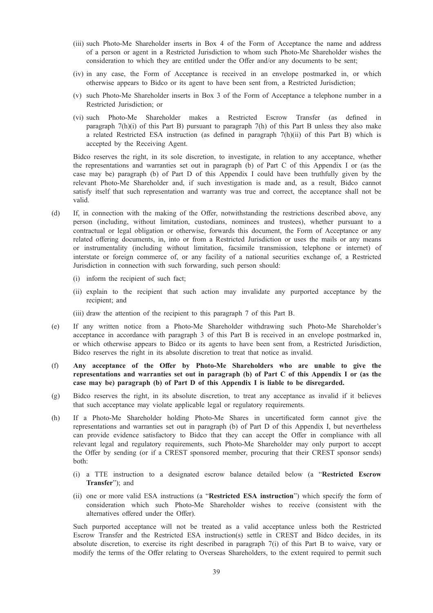- (iii) such Photo-Me Shareholder inserts in Box 4 of the Form of Acceptance the name and address of a person or agent in a Restricted Jurisdiction to whom such Photo-Me Shareholder wishes the consideration to which they are entitled under the Offer and/or any documents to be sent;
- (iv) in any case, the Form of Acceptance is received in an envelope postmarked in, or which otherwise appears to Bidco or its agent to have been sent from, a Restricted Jurisdiction;
- (v) such Photo-Me Shareholder inserts in Box 3 of the Form of Acceptance a telephone number in a Restricted Jurisdiction; or
- (vi) such Photo-Me Shareholder makes a Restricted Escrow Transfer (as defined in paragraph 7(h)(i) of this Part B) pursuant to paragraph 7(h) of this Part B unless they also make a related Restricted ESA instruction (as defined in paragraph 7(h)(ii) of this Part B) which is accepted by the Receiving Agent.

Bidco reserves the right, in its sole discretion, to investigate, in relation to any acceptance, whether the representations and warranties set out in paragraph (b) of Part C of this Appendix I or (as the case may be) paragraph (b) of Part D of this Appendix I could have been truthfully given by the relevant Photo-Me Shareholder and, if such investigation is made and, as a result, Bidco cannot satisfy itself that such representation and warranty was true and correct, the acceptance shall not be valid.

- (d) If, in connection with the making of the Offer, notwithstanding the restrictions described above, any person (including, without limitation, custodians, nominees and trustees), whether pursuant to a contractual or legal obligation or otherwise, forwards this document, the Form of Acceptance or any related offering documents, in, into or from a Restricted Jurisdiction or uses the mails or any means or instrumentality (including without limitation, facsimile transmission, telephone or internet) of interstate or foreign commerce of, or any facility of a national securities exchange of, a Restricted Jurisdiction in connection with such forwarding, such person should:
	- (i) inform the recipient of such fact;
	- (ii) explain to the recipient that such action may invalidate any purported acceptance by the recipient; and
	- (iii) draw the attention of the recipient to this paragraph 7 of this Part B.
- (e) If any written notice from a Photo-Me Shareholder withdrawing such Photo-Me Shareholder's acceptance in accordance with paragraph 3 of this Part B is received in an envelope postmarked in, or which otherwise appears to Bidco or its agents to have been sent from, a Restricted Jurisdiction, Bidco reserves the right in its absolute discretion to treat that notice as invalid.
- (f) Any acceptance of the Offer by Photo-Me Shareholders who are unable to give the representations and warranties set out in paragraph (b) of Part C of this Appendix I or (as the case may be) paragraph (b) of Part D of this Appendix I is liable to be disregarded.
- (g) Bidco reserves the right, in its absolute discretion, to treat any acceptance as invalid if it believes that such acceptance may violate applicable legal or regulatory requirements.
- (h) If a Photo-Me Shareholder holding Photo-Me Shares in uncertificated form cannot give the representations and warranties set out in paragraph (b) of Part D of this Appendix I, but nevertheless can provide evidence satisfactory to Bidco that they can accept the Offer in compliance with all relevant legal and regulatory requirements, such Photo-Me Shareholder may only purport to accept the Offer by sending (or if a CREST sponsored member, procuring that their CREST sponsor sends) both:
	- (i) a TTE instruction to a designated escrow balance detailed below (a "Restricted Escrow Transfer"); and
	- (ii) one or more valid ESA instructions (a "Restricted ESA instruction") which specify the form of consideration which such Photo-Me Shareholder wishes to receive (consistent with the alternatives offered under the Offer).

Such purported acceptance will not be treated as a valid acceptance unless both the Restricted Escrow Transfer and the Restricted ESA instruction(s) settle in CREST and Bidco decides, in its absolute discretion, to exercise its right described in paragraph 7(i) of this Part B to waive, vary or modify the terms of the Offer relating to Overseas Shareholders, to the extent required to permit such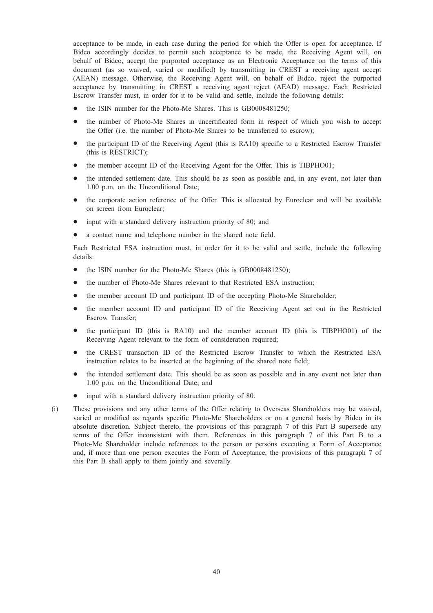acceptance to be made, in each case during the period for which the Offer is open for acceptance. If Bidco accordingly decides to permit such acceptance to be made, the Receiving Agent will, on behalf of Bidco, accept the purported acceptance as an Electronic Acceptance on the terms of this document (as so waived, varied or modified) by transmitting in CREST a receiving agent accept (AEAN) message. Otherwise, the Receiving Agent will, on behalf of Bidco, reject the purported acceptance by transmitting in CREST a receiving agent reject (AEAD) message. Each Restricted Escrow Transfer must, in order for it to be valid and settle, include the following details:

- the ISIN number for the Photo-Me Shares. This is GB0008481250;
- the number of Photo-Me Shares in uncertificated form in respect of which you wish to accept the Offer (i.e. the number of Photo-Me Shares to be transferred to escrow);
- the participant ID of the Receiving Agent (this is RA10) specific to a Restricted Escrow Transfer (this is RESTRICT);
- the member account ID of the Receiving Agent for the Offer. This is TIBPHO01:
- the intended settlement date. This should be as soon as possible and, in any event, not later than 1.00 p.m. on the Unconditional Date;
- the corporate action reference of the Offer. This is allocated by Euroclear and will be available on screen from Euroclear;
- input with a standard delivery instruction priority of 80; and
- \* a contact name and telephone number in the shared note field.

Each Restricted ESA instruction must, in order for it to be valid and settle, include the following details:

- the ISIN number for the Photo-Me Shares (this is GB0008481250);
- the number of Photo-Me Shares relevant to that Restricted ESA instruction;
- the member account ID and participant ID of the accepting Photo-Me Shareholder;
- the member account ID and participant ID of the Receiving Agent set out in the Restricted Escrow Transfer;
- the participant ID (this is RA10) and the member account ID (this is TIBPHO01) of the Receiving Agent relevant to the form of consideration required;
- the CREST transaction ID of the Restricted Escrow Transfer to which the Restricted ESA instruction relates to be inserted at the beginning of the shared note field;
- the intended settlement date. This should be as soon as possible and in any event not later than 1.00 p.m. on the Unconditional Date; and
- input with a standard delivery instruction priority of 80.
- (i) These provisions and any other terms of the Offer relating to Overseas Shareholders may be waived, varied or modified as regards specific Photo-Me Shareholders or on a general basis by Bidco in its absolute discretion. Subject thereto, the provisions of this paragraph 7 of this Part B supersede any terms of the Offer inconsistent with them. References in this paragraph 7 of this Part B to a Photo-Me Shareholder include references to the person or persons executing a Form of Acceptance and, if more than one person executes the Form of Acceptance, the provisions of this paragraph 7 of this Part B shall apply to them jointly and severally.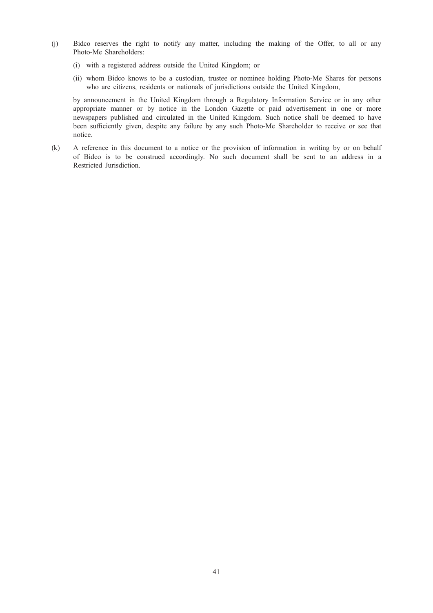- (j) Bidco reserves the right to notify any matter, including the making of the Offer, to all or any Photo-Me Shareholders:
	- (i) with a registered address outside the United Kingdom; or
	- (ii) whom Bidco knows to be a custodian, trustee or nominee holding Photo-Me Shares for persons who are citizens, residents or nationals of jurisdictions outside the United Kingdom,

by announcement in the United Kingdom through a Regulatory Information Service or in any other appropriate manner or by notice in the London Gazette or paid advertisement in one or more newspapers published and circulated in the United Kingdom. Such notice shall be deemed to have been sufficiently given, despite any failure by any such Photo-Me Shareholder to receive or see that notice.

(k) A reference in this document to a notice or the provision of information in writing by or on behalf of Bidco is to be construed accordingly. No such document shall be sent to an address in a Restricted Jurisdiction.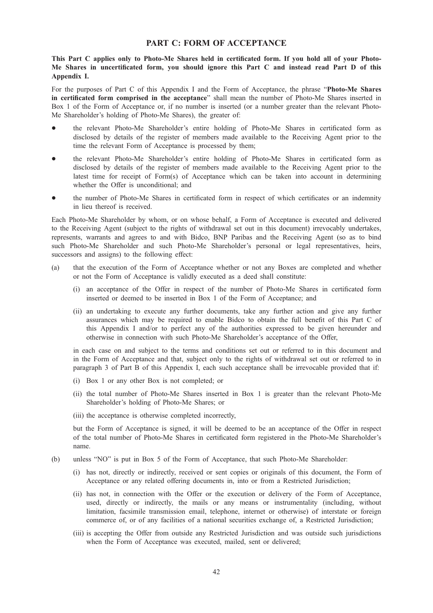# PART C: FORM OF ACCEPTANCE

# This Part C applies only to Photo-Me Shares held in certificated form. If you hold all of your Photo-Me Shares in uncertificated form, you should ignore this Part C and instead read Part D of this Appendix I.

For the purposes of Part C of this Appendix I and the Form of Acceptance, the phrase "Photo-Me Shares in certificated form comprised in the acceptance" shall mean the number of Photo-Me Shares inserted in Box 1 of the Form of Acceptance or, if no number is inserted (or a number greater than the relevant Photo-Me Shareholder's holding of Photo-Me Shares), the greater of:

- the relevant Photo-Me Shareholder's entire holding of Photo-Me Shares in certificated form as disclosed by details of the register of members made available to the Receiving Agent prior to the time the relevant Form of Acceptance is processed by them;
- the relevant Photo-Me Shareholder's entire holding of Photo-Me Shares in certificated form as disclosed by details of the register of members made available to the Receiving Agent prior to the latest time for receipt of Form(s) of Acceptance which can be taken into account in determining whether the Offer is unconditional; and
- the number of Photo-Me Shares in certificated form in respect of which certificates or an indemnity in lieu thereof is received.

Each Photo-Me Shareholder by whom, or on whose behalf, a Form of Acceptance is executed and delivered to the Receiving Agent (subject to the rights of withdrawal set out in this document) irrevocably undertakes, represents, warrants and agrees to and with Bidco, BNP Paribas and the Receiving Agent (so as to bind such Photo-Me Shareholder and such Photo-Me Shareholder's personal or legal representatives, heirs, successors and assigns) to the following effect:

- (a) that the execution of the Form of Acceptance whether or not any Boxes are completed and whether or not the Form of Acceptance is validly executed as a deed shall constitute:
	- (i) an acceptance of the Offer in respect of the number of Photo-Me Shares in certificated form inserted or deemed to be inserted in Box 1 of the Form of Acceptance; and
	- (ii) an undertaking to execute any further documents, take any further action and give any further assurances which may be required to enable Bidco to obtain the full benefit of this Part C of this Appendix I and/or to perfect any of the authorities expressed to be given hereunder and otherwise in connection with such Photo-Me Shareholder's acceptance of the Offer,

in each case on and subject to the terms and conditions set out or referred to in this document and in the Form of Acceptance and that, subject only to the rights of withdrawal set out or referred to in paragraph 3 of Part B of this Appendix I, each such acceptance shall be irrevocable provided that if:

- (i) Box 1 or any other Box is not completed; or
- (ii) the total number of Photo-Me Shares inserted in Box 1 is greater than the relevant Photo-Me Shareholder's holding of Photo-Me Shares; or
- (iii) the acceptance is otherwise completed incorrectly,

but the Form of Acceptance is signed, it will be deemed to be an acceptance of the Offer in respect of the total number of Photo-Me Shares in certificated form registered in the Photo-Me Shareholder's name.

- (b) unless "NO" is put in Box 5 of the Form of Acceptance, that such Photo-Me Shareholder:
	- (i) has not, directly or indirectly, received or sent copies or originals of this document, the Form of Acceptance or any related offering documents in, into or from a Restricted Jurisdiction;
	- (ii) has not, in connection with the Offer or the execution or delivery of the Form of Acceptance, used, directly or indirectly, the mails or any means or instrumentality (including, without limitation, facsimile transmission email, telephone, internet or otherwise) of interstate or foreign commerce of, or of any facilities of a national securities exchange of, a Restricted Jurisdiction;
	- (iii) is accepting the Offer from outside any Restricted Jurisdiction and was outside such jurisdictions when the Form of Acceptance was executed, mailed, sent or delivered;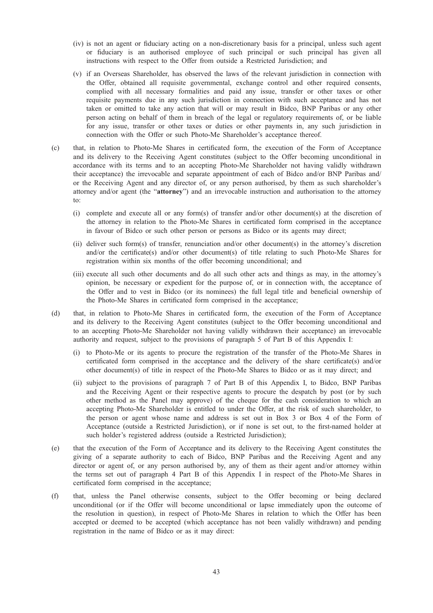- (iv) is not an agent or fiduciary acting on a non-discretionary basis for a principal, unless such agent or fiduciary is an authorised employee of such principal or such principal has given all instructions with respect to the Offer from outside a Restricted Jurisdiction; and
- (v) if an Overseas Shareholder, has observed the laws of the relevant jurisdiction in connection with the Offer, obtained all requisite governmental, exchange control and other required consents, complied with all necessary formalities and paid any issue, transfer or other taxes or other requisite payments due in any such jurisdiction in connection with such acceptance and has not taken or omitted to take any action that will or may result in Bidco, BNP Paribas or any other person acting on behalf of them in breach of the legal or regulatory requirements of, or be liable for any issue, transfer or other taxes or duties or other payments in, any such jurisdiction in connection with the Offer or such Photo-Me Shareholder's acceptance thereof.
- (c) that, in relation to Photo-Me Shares in certificated form, the execution of the Form of Acceptance and its delivery to the Receiving Agent constitutes (subject to the Offer becoming unconditional in accordance with its terms and to an accepting Photo-Me Shareholder not having validly withdrawn their acceptance) the irrevocable and separate appointment of each of Bidco and/or BNP Paribas and/ or the Receiving Agent and any director of, or any person authorised, by them as such shareholder's attorney and/or agent (the "attorney") and an irrevocable instruction and authorisation to the attorney to:
	- (i) complete and execute all or any form(s) of transfer and/or other document(s) at the discretion of the attorney in relation to the Photo-Me Shares in certificated form comprised in the acceptance in favour of Bidco or such other person or persons as Bidco or its agents may direct;
	- (ii) deliver such form(s) of transfer, renunciation and/or other document(s) in the attorney's discretion and/or the certificate(s) and/or other document(s) of title relating to such Photo-Me Shares for registration within six months of the offer becoming unconditional; and
	- (iii) execute all such other documents and do all such other acts and things as may, in the attorney's opinion, be necessary or expedient for the purpose of, or in connection with, the acceptance of the Offer and to vest in Bidco (or its nominees) the full legal title and beneficial ownership of the Photo-Me Shares in certificated form comprised in the acceptance;
- (d) that, in relation to Photo-Me Shares in certificated form, the execution of the Form of Acceptance and its delivery to the Receiving Agent constitutes (subject to the Offer becoming unconditional and to an accepting Photo-Me Shareholder not having validly withdrawn their acceptance) an irrevocable authority and request, subject to the provisions of paragraph 5 of Part B of this Appendix I:
	- (i) to Photo-Me or its agents to procure the registration of the transfer of the Photo-Me Shares in certificated form comprised in the acceptance and the delivery of the share certificate(s) and/or other document(s) of title in respect of the Photo-Me Shares to Bidco or as it may direct; and
	- (ii) subject to the provisions of paragraph 7 of Part B of this Appendix I, to Bidco, BNP Paribas and the Receiving Agent or their respective agents to procure the despatch by post (or by such other method as the Panel may approve) of the cheque for the cash consideration to which an accepting Photo-Me Shareholder is entitled to under the Offer, at the risk of such shareholder, to the person or agent whose name and address is set out in Box 3 or Box 4 of the Form of Acceptance (outside a Restricted Jurisdiction), or if none is set out, to the first-named holder at such holder's registered address (outside a Restricted Jurisdiction);
- (e) that the execution of the Form of Acceptance and its delivery to the Receiving Agent constitutes the giving of a separate authority to each of Bidco, BNP Paribas and the Receiving Agent and any director or agent of, or any person authorised by, any of them as their agent and/or attorney within the terms set out of paragraph 4 Part B of this Appendix I in respect of the Photo-Me Shares in certificated form comprised in the acceptance;
- (f) that, unless the Panel otherwise consents, subject to the Offer becoming or being declared unconditional (or if the Offer will become unconditional or lapse immediately upon the outcome of the resolution in question), in respect of Photo-Me Shares in relation to which the Offer has been accepted or deemed to be accepted (which acceptance has not been validly withdrawn) and pending registration in the name of Bidco or as it may direct: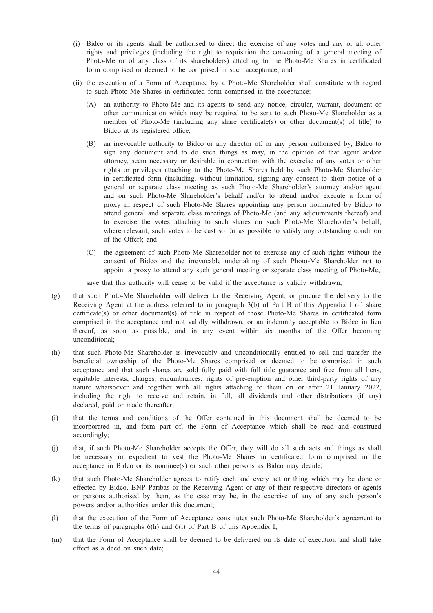- (i) Bidco or its agents shall be authorised to direct the exercise of any votes and any or all other rights and privileges (including the right to requisition the convening of a general meeting of Photo-Me or of any class of its shareholders) attaching to the Photo-Me Shares in certificated form comprised or deemed to be comprised in such acceptance; and
- (ii) the execution of a Form of Acceptance by a Photo-Me Shareholder shall constitute with regard to such Photo-Me Shares in certificated form comprised in the acceptance:
	- (A) an authority to Photo-Me and its agents to send any notice, circular, warrant, document or other communication which may be required to be sent to such Photo-Me Shareholder as a member of Photo-Me (including any share certificate(s) or other document(s) of title) to Bidco at its registered office;
	- (B) an irrevocable authority to Bidco or any director of, or any person authorised by, Bidco to sign any document and to do such things as may, in the opinion of that agent and/or attorney, seem necessary or desirable in connection with the exercise of any votes or other rights or privileges attaching to the Photo-Me Shares held by such Photo-Me Shareholder in certificated form (including, without limitation, signing any consent to short notice of a general or separate class meeting as such Photo-Me Shareholder's attorney and/or agent and on such Photo-Me Shareholder's behalf and/or to attend and/or execute a form of proxy in respect of such Photo-Me Shares appointing any person nominated by Bidco to attend general and separate class meetings of Photo-Me (and any adjournments thereof) and to exercise the votes attaching to such shares on such Photo-Me Shareholder's behalf, where relevant, such votes to be cast so far as possible to satisfy any outstanding condition of the Offer); and
	- (C) the agreement of such Photo-Me Shareholder not to exercise any of such rights without the consent of Bidco and the irrevocable undertaking of such Photo-Me Shareholder not to appoint a proxy to attend any such general meeting or separate class meeting of Photo-Me,

save that this authority will cease to be valid if the acceptance is validly withdrawn;

- (g) that such Photo-Me Shareholder will deliver to the Receiving Agent, or procure the delivery to the Receiving Agent at the address referred to in paragraph 3(b) of Part B of this Appendix I of, share certificate(s) or other document(s) of title in respect of those Photo-Me Shares in certificated form comprised in the acceptance and not validly withdrawn, or an indemnity acceptable to Bidco in lieu thereof, as soon as possible, and in any event within six months of the Offer becoming unconditional;
- (h) that such Photo-Me Shareholder is irrevocably and unconditionally entitled to sell and transfer the beneficial ownership of the Photo-Me Shares comprised or deemed to be comprised in such acceptance and that such shares are sold fully paid with full title guarantee and free from all liens, equitable interests, charges, encumbrances, rights of pre-emption and other third-party rights of any nature whatsoever and together with all rights attaching to them on or after 21 January 2022, including the right to receive and retain, in full, all dividends and other distributions (if any) declared, paid or made thereafter;
- (i) that the terms and conditions of the Offer contained in this document shall be deemed to be incorporated in, and form part of, the Form of Acceptance which shall be read and construed accordingly;
- (j) that, if such Photo-Me Shareholder accepts the Offer, they will do all such acts and things as shall be necessary or expedient to vest the Photo-Me Shares in certificated form comprised in the acceptance in Bidco or its nominee(s) or such other persons as Bidco may decide;
- (k) that such Photo-Me Shareholder agrees to ratify each and every act or thing which may be done or effected by Bidco, BNP Paribas or the Receiving Agent or any of their respective directors or agents or persons authorised by them, as the case may be, in the exercise of any of any such person's powers and/or authorities under this document;
- (l) that the execution of the Form of Acceptance constitutes such Photo-Me Shareholder's agreement to the terms of paragraphs 6(h) and 6(i) of Part B of this Appendix I;
- (m) that the Form of Acceptance shall be deemed to be delivered on its date of execution and shall take effect as a deed on such date;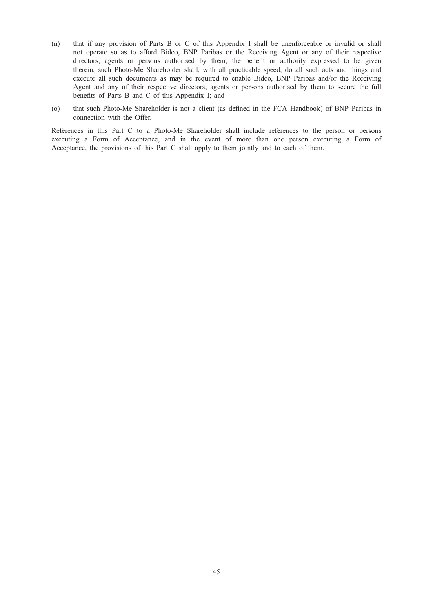- (n) that if any provision of Parts B or C of this Appendix I shall be unenforceable or invalid or shall not operate so as to afford Bidco, BNP Paribas or the Receiving Agent or any of their respective directors, agents or persons authorised by them, the benefit or authority expressed to be given therein, such Photo-Me Shareholder shall, with all practicable speed, do all such acts and things and execute all such documents as may be required to enable Bidco, BNP Paribas and/or the Receiving Agent and any of their respective directors, agents or persons authorised by them to secure the full benefits of Parts B and C of this Appendix I; and
- (o) that such Photo-Me Shareholder is not a client (as defined in the FCA Handbook) of BNP Paribas in connection with the Offer.

References in this Part C to a Photo-Me Shareholder shall include references to the person or persons executing a Form of Acceptance, and in the event of more than one person executing a Form of Acceptance, the provisions of this Part C shall apply to them jointly and to each of them.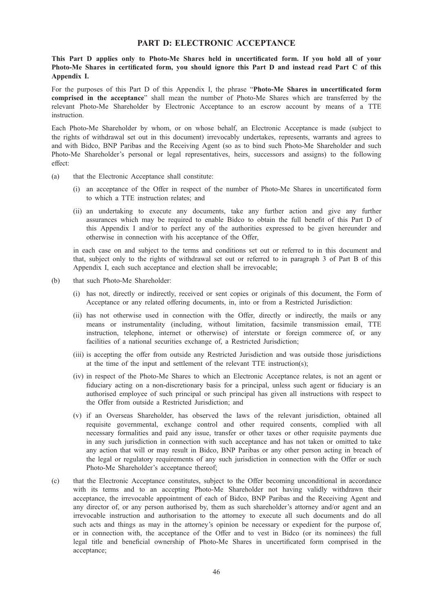# PART D: ELECTRONIC ACCEPTANCE

This Part D applies only to Photo-Me Shares held in uncertificated form. If you hold all of your Photo-Me Shares in certificated form, you should ignore this Part D and instead read Part C of this Appendix I.

For the purposes of this Part D of this Appendix I, the phrase "Photo-Me Shares in uncertificated form comprised in the acceptance" shall mean the number of Photo-Me Shares which are transferred by the relevant Photo-Me Shareholder by Electronic Acceptance to an escrow account by means of a TTE instruction.

Each Photo-Me Shareholder by whom, or on whose behalf, an Electronic Acceptance is made (subject to the rights of withdrawal set out in this document) irrevocably undertakes, represents, warrants and agrees to and with Bidco, BNP Paribas and the Receiving Agent (so as to bind such Photo-Me Shareholder and such Photo-Me Shareholder's personal or legal representatives, heirs, successors and assigns) to the following effect:

- (a) that the Electronic Acceptance shall constitute:
	- (i) an acceptance of the Offer in respect of the number of Photo-Me Shares in uncertificated form to which a TTE instruction relates; and
	- (ii) an undertaking to execute any documents, take any further action and give any further assurances which may be required to enable Bidco to obtain the full benefit of this Part D of this Appendix I and/or to perfect any of the authorities expressed to be given hereunder and otherwise in connection with his acceptance of the Offer,

in each case on and subject to the terms and conditions set out or referred to in this document and that, subject only to the rights of withdrawal set out or referred to in paragraph 3 of Part B of this Appendix I, each such acceptance and election shall be irrevocable;

- (b) that such Photo-Me Shareholder:
	- (i) has not, directly or indirectly, received or sent copies or originals of this document, the Form of Acceptance or any related offering documents, in, into or from a Restricted Jurisdiction:
	- (ii) has not otherwise used in connection with the Offer, directly or indirectly, the mails or any means or instrumentality (including, without limitation, facsimile transmission email, TTE instruction, telephone, internet or otherwise) of interstate or foreign commerce of, or any facilities of a national securities exchange of, a Restricted Jurisdiction;
	- (iii) is accepting the offer from outside any Restricted Jurisdiction and was outside those jurisdictions at the time of the input and settlement of the relevant TTE instruction(s);
	- (iv) in respect of the Photo-Me Shares to which an Electronic Acceptance relates, is not an agent or fiduciary acting on a non-discretionary basis for a principal, unless such agent or fiduciary is an authorised employee of such principal or such principal has given all instructions with respect to the Offer from outside a Restricted Jurisdiction; and
	- (v) if an Overseas Shareholder, has observed the laws of the relevant jurisdiction, obtained all requisite governmental, exchange control and other required consents, complied with all necessary formalities and paid any issue, transfer or other taxes or other requisite payments due in any such jurisdiction in connection with such acceptance and has not taken or omitted to take any action that will or may result in Bidco, BNP Paribas or any other person acting in breach of the legal or regulatory requirements of any such jurisdiction in connection with the Offer or such Photo-Me Shareholder's acceptance thereof;
- (c) that the Electronic Acceptance constitutes, subject to the Offer becoming unconditional in accordance with its terms and to an accepting Photo-Me Shareholder not having validly withdrawn their acceptance, the irrevocable appointment of each of Bidco, BNP Paribas and the Receiving Agent and any director of, or any person authorised by, them as such shareholder's attorney and/or agent and an irrevocable instruction and authorisation to the attorney to execute all such documents and do all such acts and things as may in the attorney's opinion be necessary or expedient for the purpose of, or in connection with, the acceptance of the Offer and to vest in Bidco (or its nominees) the full legal title and beneficial ownership of Photo-Me Shares in uncertificated form comprised in the acceptance;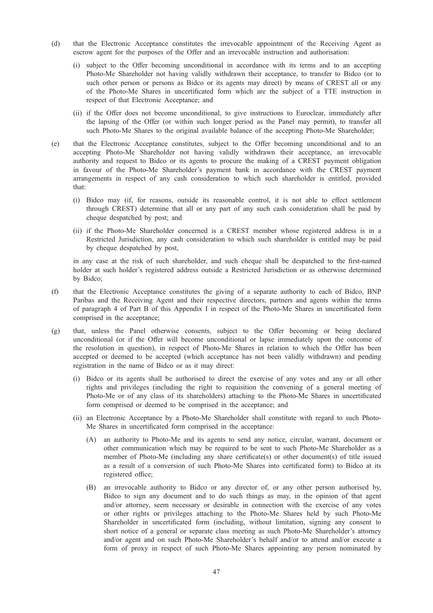- (d) that the Electronic Acceptance constitutes the irrevocable appointment of the Receiving Agent as escrow agent for the purposes of the Offer and an irrevocable instruction and authorisation:
	- (i) subject to the Offer becoming unconditional in accordance with its terms and to an accepting Photo-Me Shareholder not having validly withdrawn their acceptance, to transfer to Bidco (or to such other person or persons as Bidco or its agents may direct) by means of CREST all or any of the Photo-Me Shares in uncertificated form which are the subject of a TTE instruction in respect of that Electronic Acceptance; and
	- (ii) if the Offer does not become unconditional, to give instructions to Euroclear, immediately after the lapsing of the Offer (or within such longer period as the Panel may permit), to transfer all such Photo-Me Shares to the original available balance of the accepting Photo-Me Shareholder;
- (e) that the Electronic Acceptance constitutes, subject to the Offer becoming unconditional and to an accepting Photo-Me Shareholder not having validly withdrawn their acceptance, an irrevocable authority and request to Bidco or its agents to procure the making of a CREST payment obligation in favour of the Photo-Me Shareholder's payment bank in accordance with the CREST payment arrangements in respect of any cash consideration to which such shareholder is entitled, provided that:
	- (i) Bidco may (if, for reasons, outside its reasonable control, it is not able to effect settlement through CREST) determine that all or any part of any such cash consideration shall be paid by cheque despatched by post; and
	- (ii) if the Photo-Me Shareholder concerned is a CREST member whose registered address is in a Restricted Jurisdiction, any cash consideration to which such shareholder is entitled may be paid by cheque despatched by post,

in any case at the risk of such shareholder, and such cheque shall be despatched to the first-named holder at such holder's registered address outside a Restricted Jurisdiction or as otherwise determined by Bidco;

- (f) that the Electronic Acceptance constitutes the giving of a separate authority to each of Bidco, BNP Paribas and the Receiving Agent and their respective directors, partners and agents within the terms of paragraph 4 of Part B of this Appendix I in respect of the Photo-Me Shares in uncertificated form comprised in the acceptance;
- (g) that, unless the Panel otherwise consents, subject to the Offer becoming or being declared unconditional (or if the Offer will become unconditional or lapse immediately upon the outcome of the resolution in question), in respect of Photo-Me Shares in relation to which the Offer has been accepted or deemed to be accepted (which acceptance has not been validly withdrawn) and pending registration in the name of Bidco or as it may direct:
	- (i) Bidco or its agents shall be authorised to direct the exercise of any votes and any or all other rights and privileges (including the right to requisition the convening of a general meeting of Photo-Me or of any class of its shareholders) attaching to the Photo-Me Shares in uncertificated form comprised or deemed to be comprised in the acceptance; and
	- (ii) an Electronic Acceptance by a Photo-Me Shareholder shall constitute with regard to such Photo-Me Shares in uncertificated form comprised in the acceptance:
		- (A) an authority to Photo-Me and its agents to send any notice, circular, warrant, document or other communication which may be required to be sent to such Photo-Me Shareholder as a member of Photo-Me (including any share certificate(s) or other document(s) of title issued as a result of a conversion of such Photo-Me Shares into certificated form) to Bidco at its registered office;
		- (B) an irrevocable authority to Bidco or any director of, or any other person authorised by, Bidco to sign any document and to do such things as may, in the opinion of that agent and/or attorney, seem necessary or desirable in connection with the exercise of any votes or other rights or privileges attaching to the Photo-Me Shares held by such Photo-Me Shareholder in uncertificated form (including, without limitation, signing any consent to short notice of a general or separate class meeting as such Photo-Me Shareholder's attorney and/or agent and on such Photo-Me Shareholder's behalf and/or to attend and/or execute a form of proxy in respect of such Photo-Me Shares appointing any person nominated by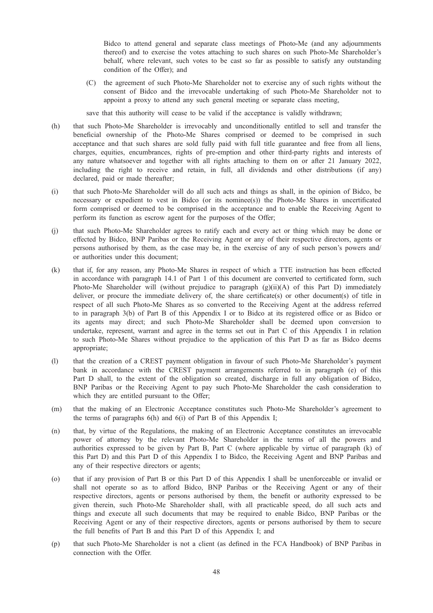Bidco to attend general and separate class meetings of Photo-Me (and any adjournments thereof) and to exercise the votes attaching to such shares on such Photo-Me Shareholder's behalf, where relevant, such votes to be cast so far as possible to satisfy any outstanding condition of the Offer); and

- (C) the agreement of such Photo-Me Shareholder not to exercise any of such rights without the consent of Bidco and the irrevocable undertaking of such Photo-Me Shareholder not to appoint a proxy to attend any such general meeting or separate class meeting,
- save that this authority will cease to be valid if the acceptance is validly withdrawn;
- (h) that such Photo-Me Shareholder is irrevocably and unconditionally entitled to sell and transfer the beneficial ownership of the Photo-Me Shares comprised or deemed to be comprised in such acceptance and that such shares are sold fully paid with full title guarantee and free from all liens, charges, equities, encumbrances, rights of pre-emption and other third-party rights and interests of any nature whatsoever and together with all rights attaching to them on or after 21 January 2022, including the right to receive and retain, in full, all dividends and other distributions (if any) declared, paid or made thereafter;
- (i) that such Photo-Me Shareholder will do all such acts and things as shall, in the opinion of Bidco, be necessary or expedient to vest in Bidco (or its nominee(s)) the Photo-Me Shares in uncertificated form comprised or deemed to be comprised in the acceptance and to enable the Receiving Agent to perform its function as escrow agent for the purposes of the Offer;
- (j) that such Photo-Me Shareholder agrees to ratify each and every act or thing which may be done or effected by Bidco, BNP Paribas or the Receiving Agent or any of their respective directors, agents or persons authorised by them, as the case may be, in the exercise of any of such person's powers and/ or authorities under this document;
- (k) that if, for any reason, any Photo-Me Shares in respect of which a TTE instruction has been effected in accordance with paragraph 14.1 of Part 1 of this document are converted to certificated form, such Photo-Me Shareholder will (without prejudice to paragraph (g)(ii)(A) of this Part D) immediately deliver, or procure the immediate delivery of, the share certificate(s) or other document(s) of title in respect of all such Photo-Me Shares as so converted to the Receiving Agent at the address referred to in paragraph 3(b) of Part B of this Appendix I or to Bidco at its registered office or as Bidco or its agents may direct; and such Photo-Me Shareholder shall be deemed upon conversion to undertake, represent, warrant and agree in the terms set out in Part C of this Appendix I in relation to such Photo-Me Shares without prejudice to the application of this Part D as far as Bidco deems appropriate;
- (l) that the creation of a CREST payment obligation in favour of such Photo-Me Shareholder's payment bank in accordance with the CREST payment arrangements referred to in paragraph (e) of this Part D shall, to the extent of the obligation so created, discharge in full any obligation of Bidco, BNP Paribas or the Receiving Agent to pay such Photo-Me Shareholder the cash consideration to which they are entitled pursuant to the Offer;
- (m) that the making of an Electronic Acceptance constitutes such Photo-Me Shareholder's agreement to the terms of paragraphs 6(h) and 6(i) of Part B of this Appendix I;
- (n) that, by virtue of the Regulations, the making of an Electronic Acceptance constitutes an irrevocable power of attorney by the relevant Photo-Me Shareholder in the terms of all the powers and authorities expressed to be given by Part B, Part C (where applicable by virtue of paragraph (k) of this Part D) and this Part D of this Appendix I to Bidco, the Receiving Agent and BNP Paribas and any of their respective directors or agents;
- (o) that if any provision of Part B or this Part D of this Appendix I shall be unenforceable or invalid or shall not operate so as to afford Bidco, BNP Paribas or the Receiving Agent or any of their respective directors, agents or persons authorised by them, the benefit or authority expressed to be given therein, such Photo-Me Shareholder shall, with all practicable speed, do all such acts and things and execute all such documents that may be required to enable Bidco, BNP Paribas or the Receiving Agent or any of their respective directors, agents or persons authorised by them to secure the full benefits of Part B and this Part D of this Appendix I; and
- (p) that such Photo-Me Shareholder is not a client (as defined in the FCA Handbook) of BNP Paribas in connection with the Offer.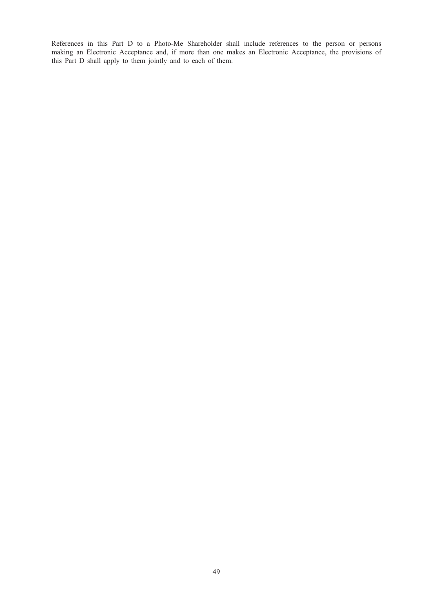References in this Part D to a Photo-Me Shareholder shall include references to the person or persons making an Electronic Acceptance and, if more than one makes an Electronic Acceptance, the provisions of this Part D shall apply to them jointly and to each of them.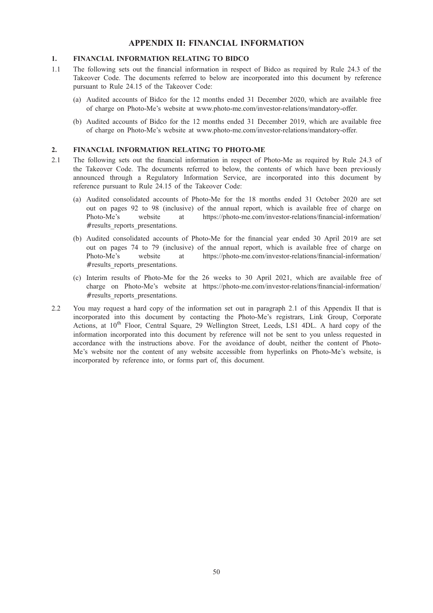# APPENDIX II: FINANCIAL INFORMATION

# 1. FINANCIAL INFORMATION RELATING TO BIDCO

- 1.1 The following sets out the financial information in respect of Bidco as required by Rule 24.3 of the Takeover Code. The documents referred to below are incorporated into this document by reference pursuant to Rule 24.15 of the Takeover Code:
	- (a) Audited accounts of Bidco for the 12 months ended 31 December 2020, which are available free of charge on Photo-Me's website at www.photo-me.com/investor-relations/mandatory-offer.
	- (b) Audited accounts of Bidco for the 12 months ended 31 December 2019, which are available free of charge on Photo-Me's website at www.photo-me.com/investor-relations/mandatory-offer.

# 2. FINANCIAL INFORMATION RELATING TO PHOTO-ME

- 2.1 The following sets out the financial information in respect of Photo-Me as required by Rule 24.3 of the Takeover Code. The documents referred to below, the contents of which have been previously announced through a Regulatory Information Service, are incorporated into this document by reference pursuant to Rule 24.15 of the Takeover Code:
	- (a) Audited consolidated accounts of Photo-Me for the 18 months ended 31 October 2020 are set out on pages 92 to 98 (inclusive) of the annual report, which is available free of charge on Photo-Me's website at https://photo-me.com/investor-relations/financial-information/ #results reports presentations.
	- (b) Audited consolidated accounts of Photo-Me for the financial year ended 30 April 2019 are set out on pages 74 to 79 (inclusive) of the annual report, which is available free of charge on Photo-Me's website at https://photo-me.com/investor-relations/financial-information/  $# results$  reports presentations.
	- (c) Interim results of Photo-Me for the 26 weeks to 30 April 2021, which are available free of charge on Photo-Me's website at https://photo-me.com/investor-relations/financial-information/ #results\_reports\_presentations.
- 2.2 You may request a hard copy of the information set out in paragraph 2.1 of this Appendix II that is incorporated into this document by contacting the Photo-Me's registrars, Link Group, Corporate Actions, at 10<sup>th</sup> Floor, Central Square, 29 Wellington Street, Leeds, LS1 4DL. A hard copy of the information incorporated into this document by reference will not be sent to you unless requested in accordance with the instructions above. For the avoidance of doubt, neither the content of Photo-Me's website nor the content of any website accessible from hyperlinks on Photo-Me's website, is incorporated by reference into, or forms part of, this document.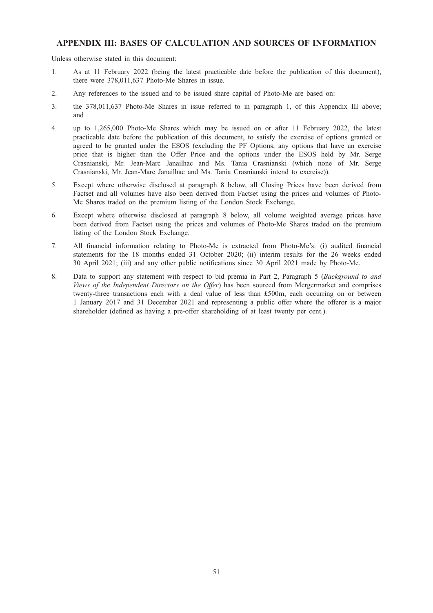# APPENDIX III: BASES OF CALCULATION AND SOURCES OF INFORMATION

Unless otherwise stated in this document:

- 1. As at 11 February 2022 (being the latest practicable date before the publication of this document), there were 378,011,637 Photo-Me Shares in issue.
- 2. Any references to the issued and to be issued share capital of Photo-Me are based on:
- 3. the 378,011,637 Photo-Me Shares in issue referred to in paragraph 1, of this Appendix III above; and
- 4. up to 1,265,000 Photo-Me Shares which may be issued on or after 11 February 2022, the latest practicable date before the publication of this document, to satisfy the exercise of options granted or agreed to be granted under the ESOS (excluding the PF Options, any options that have an exercise price that is higher than the Offer Price and the options under the ESOS held by Mr. Serge Crasnianski, Mr. Jean-Marc Janailhac and Ms. Tania Crasnianski (which none of Mr. Serge Crasnianski, Mr. Jean-Marc Janailhac and Ms. Tania Crasnianski intend to exercise)).
- 5. Except where otherwise disclosed at paragraph 8 below, all Closing Prices have been derived from Factset and all volumes have also been derived from Factset using the prices and volumes of Photo-Me Shares traded on the premium listing of the London Stock Exchange.
- 6. Except where otherwise disclosed at paragraph 8 below, all volume weighted average prices have been derived from Factset using the prices and volumes of Photo-Me Shares traded on the premium listing of the London Stock Exchange.
- 7. All financial information relating to Photo-Me is extracted from Photo-Me's: (i) audited financial statements for the 18 months ended 31 October 2020; (ii) interim results for the 26 weeks ended 30 April 2021; (iii) and any other public notifications since 30 April 2021 made by Photo-Me.
- 8. Data to support any statement with respect to bid premia in Part 2, Paragraph 5 (Background to and Views of the Independent Directors on the Offer) has been sourced from Mergermarket and comprises twenty-three transactions each with a deal value of less than £500m, each occurring on or between 1 January 2017 and 31 December 2021 and representing a public offer where the offeror is a major shareholder (defined as having a pre-offer shareholding of at least twenty per cent.).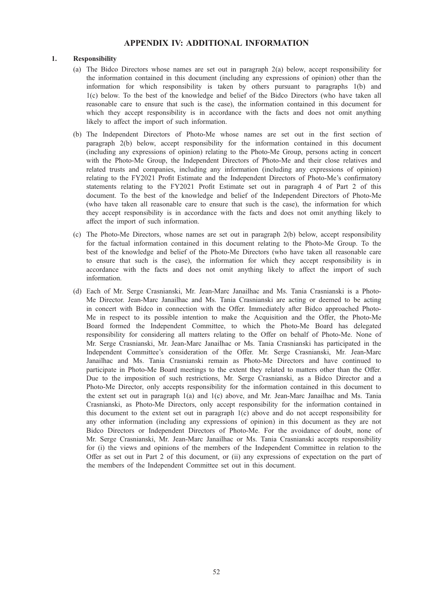# APPENDIX IV: ADDITIONAL INFORMATION

# 1. Responsibility

- (a) The Bidco Directors whose names are set out in paragraph 2(a) below, accept responsibility for the information contained in this document (including any expressions of opinion) other than the information for which responsibility is taken by others pursuant to paragraphs 1(b) and 1(c) below. To the best of the knowledge and belief of the Bidco Directors (who have taken all reasonable care to ensure that such is the case), the information contained in this document for which they accept responsibility is in accordance with the facts and does not omit anything likely to affect the import of such information.
- (b) The Independent Directors of Photo-Me whose names are set out in the first section of paragraph 2(b) below, accept responsibility for the information contained in this document (including any expressions of opinion) relating to the Photo-Me Group, persons acting in concert with the Photo-Me Group, the Independent Directors of Photo-Me and their close relatives and related trusts and companies, including any information (including any expressions of opinion) relating to the FY2021 Profit Estimate and the Independent Directors of Photo-Me's confirmatory statements relating to the FY2021 Profit Estimate set out in paragraph 4 of Part 2 of this document. To the best of the knowledge and belief of the Independent Directors of Photo-Me (who have taken all reasonable care to ensure that such is the case), the information for which they accept responsibility is in accordance with the facts and does not omit anything likely to affect the import of such information.
- (c) The Photo-Me Directors, whose names are set out in paragraph 2(b) below, accept responsibility for the factual information contained in this document relating to the Photo-Me Group. To the best of the knowledge and belief of the Photo-Me Directors (who have taken all reasonable care to ensure that such is the case), the information for which they accept responsibility is in accordance with the facts and does not omit anything likely to affect the import of such information.
- (d) Each of Mr. Serge Crasnianski, Mr. Jean-Marc Janailhac and Ms. Tania Crasnianski is a Photo-Me Director. Jean-Marc Janailhac and Ms. Tania Crasnianski are acting or deemed to be acting in concert with Bidco in connection with the Offer. Immediately after Bidco approached Photo-Me in respect to its possible intention to make the Acquisition and the Offer, the Photo-Me Board formed the Independent Committee, to which the Photo-Me Board has delegated responsibility for considering all matters relating to the Offer on behalf of Photo-Me. None of Mr. Serge Crasnianski, Mr. Jean-Marc Janailhac or Ms. Tania Crasnianski has participated in the Independent Committee's consideration of the Offer. Mr. Serge Crasnianski, Mr. Jean-Marc Janailhac and Ms. Tania Crasnianski remain as Photo-Me Directors and have continued to participate in Photo-Me Board meetings to the extent they related to matters other than the Offer. Due to the imposition of such restrictions, Mr. Serge Crasnianski, as a Bidco Director and a Photo-Me Director, only accepts responsibility for the information contained in this document to the extent set out in paragraph 1(a) and 1(c) above, and Mr. Jean-Marc Janailhac and Ms. Tania Crasnianski, as Photo-Me Directors, only accept responsibility for the information contained in this document to the extent set out in paragraph 1(c) above and do not accept responsibility for any other information (including any expressions of opinion) in this document as they are not Bidco Directors or Independent Directors of Photo-Me. For the avoidance of doubt, none of Mr. Serge Crasnianski, Mr. Jean-Marc Janailhac or Ms. Tania Crasnianski accepts responsibility for (i) the views and opinions of the members of the Independent Committee in relation to the Offer as set out in Part 2 of this document, or (ii) any expressions of expectation on the part of the members of the Independent Committee set out in this document.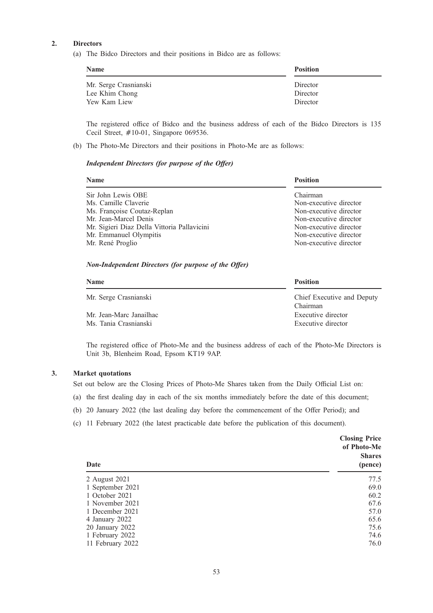# 2. Directors

(a) The Bidco Directors and their positions in Bidco are as follows:

| <b>Name</b>           | <b>Position</b> |  |  |
|-----------------------|-----------------|--|--|
| Mr. Serge Crasnianski | Director        |  |  |
| Lee Khim Chong        | Director        |  |  |
| Yew Kam Liew          | Director        |  |  |

The registered office of Bidco and the business address of each of the Bidco Directors is 135 Cecil Street,  $\#10-01$ , Singapore 069536.

(b) The Photo-Me Directors and their positions in Photo-Me are as follows:

# Independent Directors (for purpose of the Offer)

| <b>Name</b>                                 | <b>Position</b>        |
|---------------------------------------------|------------------------|
| Sir John Lewis OBE                          | Chairman               |
| Ms. Camille Claverie                        | Non-executive director |
| Ms. Françoise Coutaz-Replan                 | Non-executive director |
| Mr. Jean-Marcel Denis                       | Non-executive director |
| Mr. Sigieri Diaz Della Vittoria Pallavicini | Non-executive director |
| Mr. Emmanuel Olympitis                      | Non-executive director |
| Mr. René Proglio                            | Non-executive director |

#### Non-Independent Directors (for purpose of the Offer)

| <b>Name</b>             | <b>Position</b>            |
|-------------------------|----------------------------|
| Mr. Serge Crasnianski   | Chief Executive and Deputy |
|                         | Chairman                   |
| Mr. Jean-Marc Janailhac | Executive director         |
| Ms. Tania Crasnianski   | Executive director         |

The registered office of Photo-Me and the business address of each of the Photo-Me Directors is Unit 3b, Blenheim Road, Epsom KT19 9AP.

#### 3. Market quotations

Set out below are the Closing Prices of Photo-Me Shares taken from the Daily Official List on:

- (a) the first dealing day in each of the six months immediately before the date of this document;
- (b) 20 January 2022 (the last dealing day before the commencement of the Offer Period); and
- (c) 11 February 2022 (the latest practicable date before the publication of this document).

| Date             | <b>Closing Price</b><br>of Photo-Me<br><b>Shares</b><br>(pence) |
|------------------|-----------------------------------------------------------------|
| 2 August 2021    | 77.5                                                            |
| 1 September 2021 | 69.0                                                            |
| 1 October 2021   | 60.2                                                            |
| 1 November 2021  | 67.6                                                            |
| 1 December 2021  | 57.0                                                            |
| 4 January 2022   | 65.6                                                            |
| 20 January 2022  | 75.6                                                            |
| 1 February 2022  | 74.6                                                            |
| 11 February 2022 | 76.0                                                            |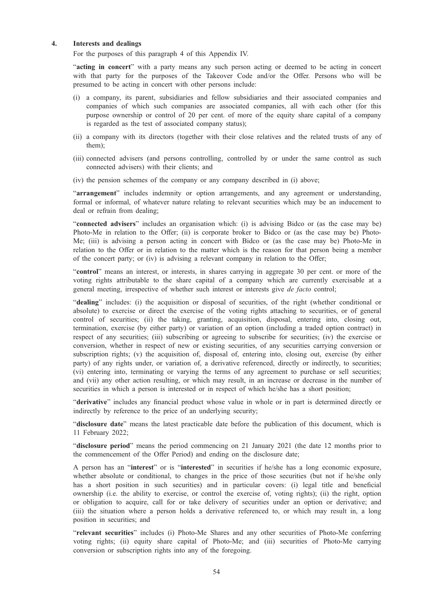## 4. Interests and dealings

For the purposes of this paragraph 4 of this Appendix IV.

"acting in concert" with a party means any such person acting or deemed to be acting in concert with that party for the purposes of the Takeover Code and/or the Offer. Persons who will be presumed to be acting in concert with other persons include:

- (i) a company, its parent, subsidiaries and fellow subsidiaries and their associated companies and companies of which such companies are associated companies, all with each other (for this purpose ownership or control of 20 per cent. of more of the equity share capital of a company is regarded as the test of associated company status);
- (ii) a company with its directors (together with their close relatives and the related trusts of any of them);
- (iii) connected advisers (and persons controlling, controlled by or under the same control as such connected advisers) with their clients; and
- (iv) the pension schemes of the company or any company described in (i) above;

"arrangement" includes indemnity or option arrangements, and any agreement or understanding, formal or informal, of whatever nature relating to relevant securities which may be an inducement to deal or refrain from dealing;

"connected advisers" includes an organisation which: (i) is advising Bidco or (as the case may be) Photo-Me in relation to the Offer; (ii) is corporate broker to Bidco or (as the case may be) Photo-Me; (iii) is advising a person acting in concert with Bidco or (as the case may be) Photo-Me in relation to the Offer or in relation to the matter which is the reason for that person being a member of the concert party; or (iv) is advising a relevant company in relation to the Offer;

"control" means an interest, or interests, in shares carrying in aggregate 30 per cent. or more of the voting rights attributable to the share capital of a company which are currently exercisable at a general meeting, irrespective of whether such interest or interests give de facto control;

"dealing" includes: (i) the acquisition or disposal of securities, of the right (whether conditional or absolute) to exercise or direct the exercise of the voting rights attaching to securities, or of general control of securities; (ii) the taking, granting, acquisition, disposal, entering into, closing out, termination, exercise (by either party) or variation of an option (including a traded option contract) in respect of any securities; (iii) subscribing or agreeing to subscribe for securities; (iv) the exercise or conversion, whether in respect of new or existing securities, of any securities carrying conversion or subscription rights; (v) the acquisition of, disposal of, entering into, closing out, exercise (by either party) of any rights under, or variation of, a derivative referenced, directly or indirectly, to securities; (vi) entering into, terminating or varying the terms of any agreement to purchase or sell securities; and (vii) any other action resulting, or which may result, in an increase or decrease in the number of securities in which a person is interested or in respect of which he/she has a short position;

"derivative" includes any financial product whose value in whole or in part is determined directly or indirectly by reference to the price of an underlying security;

"disclosure date" means the latest practicable date before the publication of this document, which is 11 February 2022;

"disclosure period" means the period commencing on 21 January 2021 (the date 12 months prior to the commencement of the Offer Period) and ending on the disclosure date;

A person has an "interest" or is "interested" in securities if he/she has a long economic exposure, whether absolute or conditional, to changes in the price of those securities (but not if he/she only has a short position in such securities) and in particular covers: (i) legal title and beneficial ownership (i.e. the ability to exercise, or control the exercise of, voting rights); (ii) the right, option or obligation to acquire, call for or take delivery of securities under an option or derivative; and (iii) the situation where a person holds a derivative referenced to, or which may result in, a long position in securities; and

"relevant securities" includes (i) Photo-Me Shares and any other securities of Photo-Me conferring voting rights; (ii) equity share capital of Photo-Me; and (iii) securities of Photo-Me carrying conversion or subscription rights into any of the foregoing.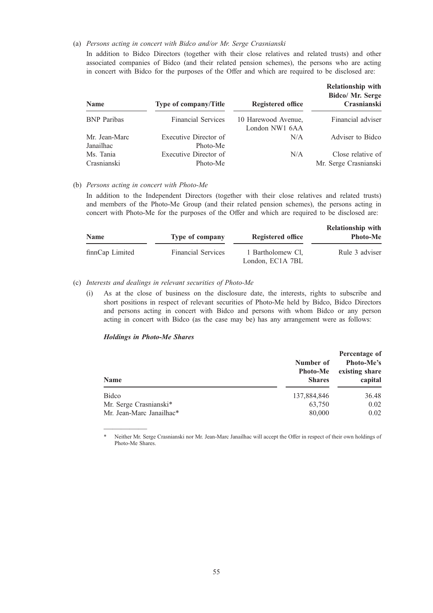#### (a) Persons acting in concert with Bidco and/or Mr. Serge Crasnianski

In addition to Bidco Directors (together with their close relatives and related trusts) and other associated companies of Bidco (and their related pension schemes), the persons who are acting in concert with Bidco for the purposes of the Offer and which are required to be disclosed are:

| <b>Name</b>                | <b>Type of company/Title</b>      | <b>Registered office</b>              | <b>Relationship with</b><br>Bidco/ Mr. Serge<br>Crasnianski |
|----------------------------|-----------------------------------|---------------------------------------|-------------------------------------------------------------|
| <b>BNP</b> Paribas         | <b>Financial Services</b>         | 10 Harewood Avenue,<br>London NW1 6AA | Financial adviser                                           |
| Mr. Jean-Marc<br>Janailhac | Executive Director of<br>Photo-Me | N/A                                   | Adviser to Bidco                                            |
| Ms. Tania<br>Crasnianski   | Executive Director of<br>Photo-Me | N/A                                   | Close relative of<br>Mr. Serge Crasnianski                  |

#### (b) Persons acting in concert with Photo-Me

In addition to the Independent Directors (together with their close relatives and related trusts) and members of the Photo-Me Group (and their related pension schemes), the persons acting in concert with Photo-Me for the purposes of the Offer and which are required to be disclosed are:

| <b>Name</b>     | Type of company           | Registered office                     | <b>Relationship with</b><br><b>Photo-Me</b> |
|-----------------|---------------------------|---------------------------------------|---------------------------------------------|
| finnCap Limited | <b>Financial Services</b> | 1 Bartholomew Cl.<br>London, EC1A 7BL | Rule 3 adviser                              |

# (c) Interests and dealings in relevant securities of Photo-Me

(i) As at the close of business on the disclosure date, the interests, rights to subscribe and short positions in respect of relevant securities of Photo-Me held by Bidco, Bidco Directors and persons acting in concert with Bidco and persons with whom Bidco or any person acting in concert with Bidco (as the case may be) has any arrangement were as follows:

#### Holdings in Photo-Me Shares

—————

| <b>Name</b>              | Number of<br><b>Photo-Me</b><br><b>Shares</b> | Percentage of<br>Photo-Me's<br>existing share<br>capital |  |
|--------------------------|-----------------------------------------------|----------------------------------------------------------|--|
| <b>Bidco</b>             | 137,884,846                                   | 36.48                                                    |  |
| Mr. Serge Crasnianski*   | 63,750                                        | 0.02                                                     |  |
| Mr. Jean-Marc Janailhac* | 80,000                                        | 0.02                                                     |  |

Neither Mr. Serge Crasnianski nor Mr. Jean-Marc Janailhac will accept the Offer in respect of their own holdings of Photo-Me Shares.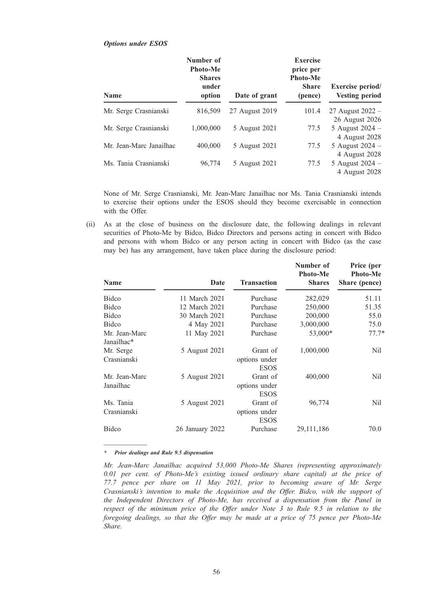| <b>Name</b>             | Number of<br><b>Photo-Me</b><br><b>Shares</b><br>under<br>option | Date of grant  | <b>Exercise</b><br>price per<br><b>Photo-Me</b><br><b>Share</b><br>(pence) | <b>Exercise period/</b><br><b>Vesting period</b> |
|-------------------------|------------------------------------------------------------------|----------------|----------------------------------------------------------------------------|--------------------------------------------------|
| Mr. Serge Crasnianski   | 816,509                                                          | 27 August 2019 | 101.4                                                                      | 27 August 2022 –<br>26 August 2026               |
| Mr. Serge Crasnianski   | 1.000.000                                                        | 5 August 2021  | 77.5                                                                       | 5 August $2024$ –<br>4 August 2028               |
| Mr. Jean-Marc Janailhac | 400,000                                                          | 5 August 2021  | 77.5                                                                       | 5 August 2024 -<br>4 August 2028                 |
| Ms. Tania Crasnianski   | 96,774                                                           | 5 August 2021  | 77.5                                                                       | 5 August 2024 –<br>4 August 2028                 |

None of Mr. Serge Crasnianski, Mr. Jean-Marc Janailhac nor Ms. Tania Crasnianski intends to exercise their options under the ESOS should they become exercisable in connection with the Offer.

(ii) As at the close of business on the disclosure date, the following dealings in relevant securities of Photo-Me by Bidco, Bidco Directors and persons acting in concert with Bidco and persons with whom Bidco or any person acting in concert with Bidco (as the case may be) has any arrangement, have taken place during the disclosure period:

| <b>Name</b>                 | Date            | <b>Transaction</b>                       | Number of<br><b>Photo-Me</b><br><b>Shares</b> | Price (per<br><b>Photo-Me</b><br>Share (pence) |
|-----------------------------|-----------------|------------------------------------------|-----------------------------------------------|------------------------------------------------|
| Bidco                       | 11 March 2021   | Purchase                                 | 282,029                                       | 51.11                                          |
| Bidco                       | 12 March 2021   | Purchase                                 | 250,000                                       | 51.35                                          |
| Bidco                       | 30 March 2021   | Purchase                                 | 200,000                                       | 55.0                                           |
| Bidco                       | 4 May 2021      | Purchase                                 | 3,000,000                                     | 75.0                                           |
| Mr. Jean-Marc<br>Janailhac* | 11 May 2021     | Purchase                                 | 53,000*                                       | $77.7*$                                        |
| Mr. Serge<br>Crasnianski    | 5 August 2021   | Grant of<br>options under<br><b>ESOS</b> | 1,000,000                                     | Nil                                            |
| Mr. Jean-Marc<br>Janailhac  | 5 August 2021   | Grant of<br>options under<br><b>ESOS</b> | 400,000                                       | Nil                                            |
| Ms. Tania<br>Crasnianski    | 5 August 2021   | Grant of<br>options under<br><b>ESOS</b> | 96,774                                        | Nil                                            |
| Bidco                       | 26 January 2022 | Purchase                                 | 29, 111, 186                                  | 70.0                                           |

\* Prior dealings and Rule 9.5 dispensation

—————

Options under ESOS

Mr. Jean-Marc Janailhac acquired 53,000 Photo-Me Shares (representing approximately 0.01 per cent. of Photo-Me's existing issued ordinary share capital) at the price of 77.7 pence per share on 11 May 2021, prior to becoming aware of Mr. Serge Crasnianski's intention to make the Acquisition and the Offer. Bidco, with the support of the Independent Directors of Photo-Me, has received a dispensation from the Panel in respect of the minimum price of the Offer under Note 3 to Rule 9.5 in relation to the foregoing dealings, so that the Offer may be made at a price of 75 pence per Photo-Me Share.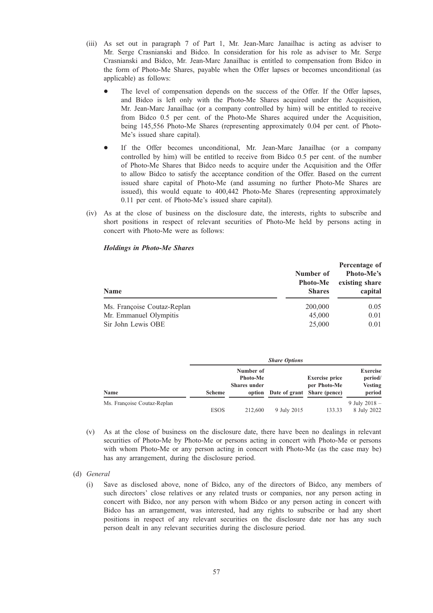- (iii) As set out in paragraph 7 of Part 1, Mr. Jean-Marc Janailhac is acting as adviser to Mr. Serge Crasnianski and Bidco. In consideration for his role as adviser to Mr. Serge Crasnianski and Bidco, Mr. Jean-Marc Janailhac is entitled to compensation from Bidco in the form of Photo-Me Shares, payable when the Offer lapses or becomes unconditional (as applicable) as follows:
	- The level of compensation depends on the success of the Offer. If the Offer lapses, and Bidco is left only with the Photo-Me Shares acquired under the Acquisition, Mr. Jean-Marc Janailhac (or a company controlled by him) will be entitled to receive from Bidco 0.5 per cent. of the Photo-Me Shares acquired under the Acquisition, being 145,556 Photo-Me Shares (representing approximately 0.04 per cent. of Photo-Me's issued share capital).
	- If the Offer becomes unconditional, Mr. Jean-Marc Janailhac (or a company controlled by him) will be entitled to receive from Bidco 0.5 per cent. of the number of Photo-Me Shares that Bidco needs to acquire under the Acquisition and the Offer to allow Bidco to satisfy the acceptance condition of the Offer. Based on the current issued share capital of Photo-Me (and assuming no further Photo-Me Shares are issued), this would equate to 400,442 Photo-Me Shares (representing approximately 0.11 per cent. of Photo-Me's issued share capital).
- (iv) As at the close of business on the disclosure date, the interests, rights to subscribe and short positions in respect of relevant securities of Photo-Me held by persons acting in concert with Photo-Me were as follows:

#### Holdings in Photo-Me Shares

| <b>Name</b>                 | Number of<br><b>Photo-Me</b><br><b>Shares</b> | Percentage of<br><b>Photo-Me's</b><br>existing share<br>capital |  |
|-----------------------------|-----------------------------------------------|-----------------------------------------------------------------|--|
| Ms. Françoise Coutaz-Replan | 200,000                                       | 0.05                                                            |  |
| Mr. Emmanuel Olympitis      | 45,000                                        | 0.01                                                            |  |
| Sir John Lewis OBE          | 25,000                                        | 0.01                                                            |  |

|                             |               | <b>Share Options</b>                         |                                    |                                       |                                                        |
|-----------------------------|---------------|----------------------------------------------|------------------------------------|---------------------------------------|--------------------------------------------------------|
| Name                        | <b>Scheme</b> | Number of<br>Photo-Me<br><b>Shares</b> under | option Date of grant Share (pence) | <b>Exercise price</b><br>per Photo-Me | <b>Exercise</b><br>period/<br><b>Vesting</b><br>period |
|                             |               |                                              |                                    |                                       |                                                        |
| Ms. Françoise Coutaz-Replan | <b>ESOS</b>   | 212,600                                      | 9 July 2015                        | 133.33                                | 9 July 2018 $-$<br>8 July 2022                         |

- (v) As at the close of business on the disclosure date, there have been no dealings in relevant securities of Photo-Me by Photo-Me or persons acting in concert with Photo-Me or persons with whom Photo-Me or any person acting in concert with Photo-Me (as the case may be) has any arrangement, during the disclosure period.
- (d) General
	- (i) Save as disclosed above, none of Bidco, any of the directors of Bidco, any members of such directors' close relatives or any related trusts or companies, nor any person acting in concert with Bidco, nor any person with whom Bidco or any person acting in concert with Bidco has an arrangement, was interested, had any rights to subscribe or had any short positions in respect of any relevant securities on the disclosure date nor has any such person dealt in any relevant securities during the disclosure period.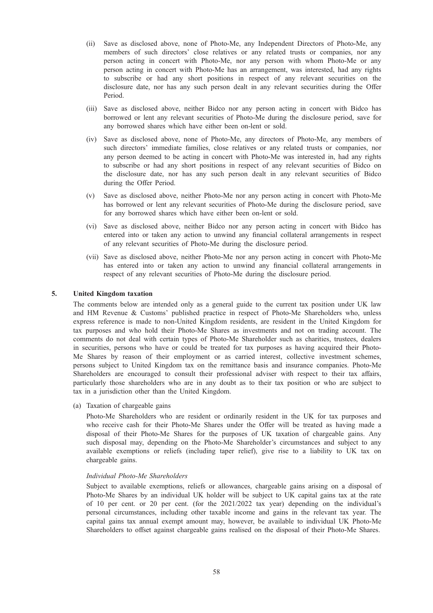- (ii) Save as disclosed above, none of Photo-Me, any Independent Directors of Photo-Me, any members of such directors' close relatives or any related trusts or companies, nor any person acting in concert with Photo-Me, nor any person with whom Photo-Me or any person acting in concert with Photo-Me has an arrangement, was interested, had any rights to subscribe or had any short positions in respect of any relevant securities on the disclosure date, nor has any such person dealt in any relevant securities during the Offer Period.
- (iii) Save as disclosed above, neither Bidco nor any person acting in concert with Bidco has borrowed or lent any relevant securities of Photo-Me during the disclosure period, save for any borrowed shares which have either been on-lent or sold.
- (iv) Save as disclosed above, none of Photo-Me, any directors of Photo-Me, any members of such directors' immediate families, close relatives or any related trusts or companies, nor any person deemed to be acting in concert with Photo-Me was interested in, had any rights to subscribe or had any short positions in respect of any relevant securities of Bidco on the disclosure date, nor has any such person dealt in any relevant securities of Bidco during the Offer Period.
- (v) Save as disclosed above, neither Photo-Me nor any person acting in concert with Photo-Me has borrowed or lent any relevant securities of Photo-Me during the disclosure period, save for any borrowed shares which have either been on-lent or sold.
- (vi) Save as disclosed above, neither Bidco nor any person acting in concert with Bidco has entered into or taken any action to unwind any financial collateral arrangements in respect of any relevant securities of Photo-Me during the disclosure period.
- (vii) Save as disclosed above, neither Photo-Me nor any person acting in concert with Photo-Me has entered into or taken any action to unwind any financial collateral arrangements in respect of any relevant securities of Photo-Me during the disclosure period.

# 5. United Kingdom taxation

The comments below are intended only as a general guide to the current tax position under UK law and HM Revenue & Customs' published practice in respect of Photo-Me Shareholders who, unless express reference is made to non-United Kingdom residents, are resident in the United Kingdom for tax purposes and who hold their Photo-Me Shares as investments and not on trading account. The comments do not deal with certain types of Photo-Me Shareholder such as charities, trustees, dealers in securities, persons who have or could be treated for tax purposes as having acquired their Photo-Me Shares by reason of their employment or as carried interest, collective investment schemes, persons subject to United Kingdom tax on the remittance basis and insurance companies. Photo-Me Shareholders are encouraged to consult their professional adviser with respect to their tax affairs, particularly those shareholders who are in any doubt as to their tax position or who are subject to tax in a jurisdiction other than the United Kingdom.

(a) Taxation of chargeable gains

Photo-Me Shareholders who are resident or ordinarily resident in the UK for tax purposes and who receive cash for their Photo-Me Shares under the Offer will be treated as having made a disposal of their Photo-Me Shares for the purposes of UK taxation of chargeable gains. Any such disposal may, depending on the Photo-Me Shareholder's circumstances and subject to any available exemptions or reliefs (including taper relief), give rise to a liability to UK tax on chargeable gains.

#### Individual Photo-Me Shareholders

Subject to available exemptions, reliefs or allowances, chargeable gains arising on a disposal of Photo-Me Shares by an individual UK holder will be subject to UK capital gains tax at the rate of 10 per cent. or 20 per cent. (for the 2021/2022 tax year) depending on the individual's personal circumstances, including other taxable income and gains in the relevant tax year. The capital gains tax annual exempt amount may, however, be available to individual UK Photo-Me Shareholders to offset against chargeable gains realised on the disposal of their Photo-Me Shares.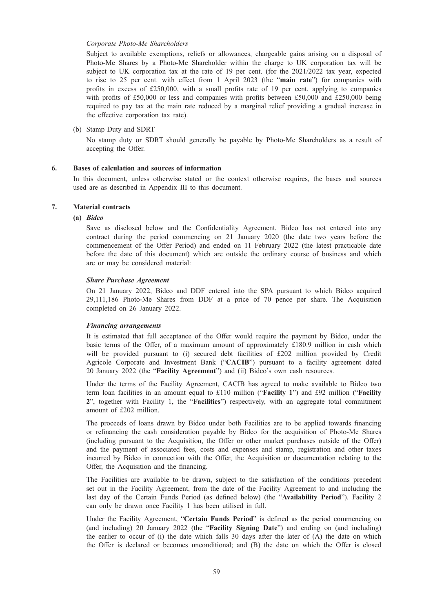#### Corporate Photo-Me Shareholders

Subject to available exemptions, reliefs or allowances, chargeable gains arising on a disposal of Photo-Me Shares by a Photo-Me Shareholder within the charge to UK corporation tax will be subject to UK corporation tax at the rate of 19 per cent. (for the 2021/2022 tax year, expected to rise to 25 per cent. with effect from 1 April 2023 (the "main rate") for companies with profits in excess of  $£250,000$ , with a small profits rate of 19 per cent. applying to companies with profits of £50,000 or less and companies with profits between £50,000 and £250,000 being required to pay tax at the main rate reduced by a marginal relief providing a gradual increase in the effective corporation tax rate).

(b) Stamp Duty and SDRT

No stamp duty or SDRT should generally be payable by Photo-Me Shareholders as a result of accepting the Offer.

#### 6. Bases of calculation and sources of information

In this document, unless otherwise stated or the context otherwise requires, the bases and sources used are as described in Appendix III to this document.

# 7. Material contracts

# (a) Bidco

Save as disclosed below and the Confidentiality Agreement, Bidco has not entered into any contract during the period commencing on 21 January 2020 (the date two years before the commencement of the Offer Period) and ended on 11 February 2022 (the latest practicable date before the date of this document) which are outside the ordinary course of business and which are or may be considered material:

#### Share Purchase Agreement

On 21 January 2022, Bidco and DDF entered into the SPA pursuant to which Bidco acquired 29,111,186 Photo-Me Shares from DDF at a price of 70 pence per share. The Acquisition completed on 26 January 2022.

#### Financing arrangements

It is estimated that full acceptance of the Offer would require the payment by Bidco, under the basic terms of the Offer, of a maximum amount of approximately £180.9 million in cash which will be provided pursuant to (i) secured debt facilities of £202 million provided by Credit Agricole Corporate and Investment Bank ("CACIB") pursuant to a facility agreement dated 20 January 2022 (the "Facility Agreement") and (ii) Bidco's own cash resources.

Under the terms of the Facility Agreement, CACIB has agreed to make available to Bidco two term loan facilities in an amount equal to £110 million ("Facility 1") and £92 million ("Facility 2", together with Facility 1, the "Facilities") respectively, with an aggregate total commitment amount of £202 million.

The proceeds of loans drawn by Bidco under both Facilities are to be applied towards financing or refinancing the cash consideration payable by Bidco for the acquisition of Photo-Me Shares (including pursuant to the Acquisition, the Offer or other market purchases outside of the Offer) and the payment of associated fees, costs and expenses and stamp, registration and other taxes incurred by Bidco in connection with the Offer, the Acquisition or documentation relating to the Offer, the Acquisition and the financing.

The Facilities are available to be drawn, subject to the satisfaction of the conditions precedent set out in the Facility Agreement, from the date of the Facility Agreement to and including the last day of the Certain Funds Period (as defined below) (the "Availability Period"). Facility 2 can only be drawn once Facility 1 has been utilised in full.

Under the Facility Agreement, "Certain Funds Period" is defined as the period commencing on (and including) 20 January 2022 (the "Facility Signing Date") and ending on (and including) the earlier to occur of (i) the date which falls 30 days after the later of (A) the date on which the Offer is declared or becomes unconditional; and (B) the date on which the Offer is closed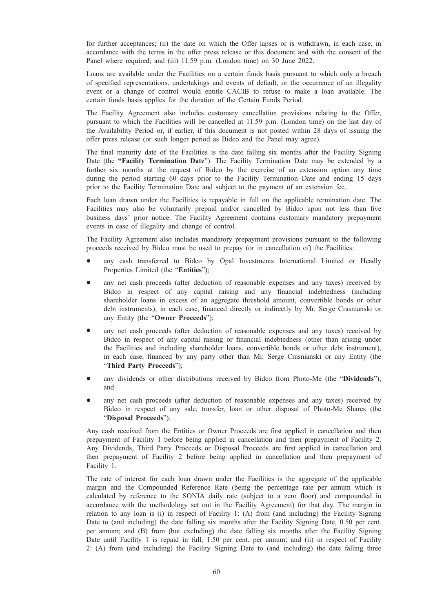for further acceptances; (ii) the date on which the Offer lapses or is withdrawn, in each case, in accordance with the terms in the offer press release or this document and with the consent of the Panel where required; and (iii) 11.59 p.m. (London time) on 30 June 2022.

Loans are available under the Facilities on a certain funds basis pursuant to which only a breach of specified representations, undertakings and events of default, or the occurrence of an illegality event or a change of control would entitle CACIB to refuse to make a loan available. The certain funds basis applies for the duration of the Certain Funds Period.

The Facility Agreement also includes customary cancellation provisions relating to the Offer, pursuant to which the Facilities will be cancelled at 11.59 p.m. (London time) on the last day of the Availability Period or, if earlier, if this document is not posted within 28 days of issuing the offer press release (or such longer period as Bidco and the Panel may agree).

The final maturity date of the Facilities is the date falling six months after the Facility Signing Date (the "Facility Termination Date"). The Facility Termination Date may be extended by a further six months at the request of Bidco by the exercise of an extension option any time during the period starting 60 days prior to the Facility Termination Date and ending 15 days prior to the Facility Termination Date and subject to the payment of an extension fee.

Each loan drawn under the Facilities is repayable in full on the applicable termination date. The Facilities may also be voluntarily prepaid and/or cancelled by Bidco upon not less than five business days' prior notice. The Facility Agreement contains customary mandatory prepayment events in case of illegality and change of control.

The Facility Agreement also includes mandatory prepayment provisions pursuant to the following proceeds received by Bidco must be used to prepay (or in cancellation of) the Facilities:

- any cash transferred to Bidco by Opal Investments International Limited or Headly Properties Limited (the "**Entities**");
- any net cash proceeds (after deduction of reasonable expenses and any taxes) received by Bidco in respect of any capital raising and any financial indebtedness (including shareholder loans in excess of an aggregate threshold amount, convertible bonds or other debt instruments), in each case, financed directly or indirectly by Mr. Serge Crasnianski or any Entity (the "Owner Proceeds");
- any net cash proceeds (after deduction of reasonable expenses and any taxes) received by Bidco in respect of any capital raising or financial indebtedness (other than arising under the Facilities and including shareholder loans, convertible bonds or other debt instrument), in each case, financed by any party other than Mr. Serge Crasnianski or any Entity (the "Third Party Proceeds");
- any dividends or other distributions received by Bidco from Photo-Me (the "Dividends"); and
- any net cash proceeds (after deduction of reasonable expenses and any taxes) received by Bidco in respect of any sale, transfer, loan or other disposal of Photo-Me Shares (the "Disposal Proceeds").

Any cash received from the Entities or Owner Proceeds are first applied in cancellation and then prepayment of Facility 1 before being applied in cancellation and then prepayment of Facility 2. Any Dividends, Third Party Proceeds or Disposal Proceeds are first applied in cancellation and then prepayment of Facility 2 before being applied in cancellation and then prepayment of Facility 1.

The rate of interest for each loan drawn under the Facilities is the aggregate of the applicable margin and the Compounded Reference Rate (being the percentage rate per annum which is calculated by reference to the SONIA daily rate (subject to a zero floor) and compounded in accordance with the methodology set out in the Facility Agreement) for that day. The margin in relation to any loan is (i) in respect of Facility 1: (A) from (and including) the Facility Signing Date to (and including) the date falling six months after the Facility Signing Date, 0.50 per cent. per annum; and (B) from (but excluding) the date falling six months after the Facility Signing Date until Facility 1 is repaid in full, 1.50 per cent. per annum; and (ii) in respect of Facility 2: (A) from (and including) the Facility Signing Date to (and including) the date falling three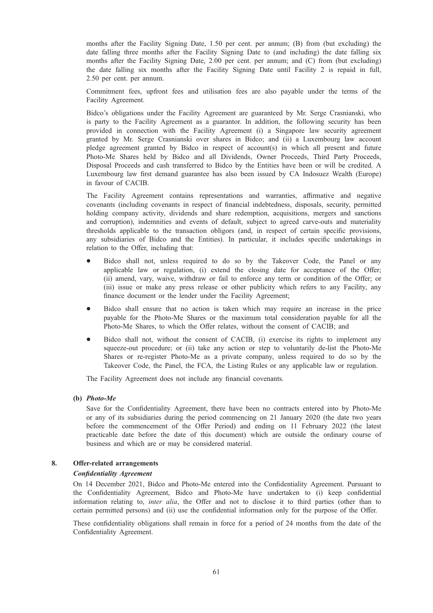months after the Facility Signing Date, 1.50 per cent. per annum; (B) from (but excluding) the date falling three months after the Facility Signing Date to (and including) the date falling six months after the Facility Signing Date, 2.00 per cent. per annum; and (C) from (but excluding) the date falling six months after the Facility Signing Date until Facility 2 is repaid in full, 2.50 per cent. per annum.

Commitment fees, upfront fees and utilisation fees are also payable under the terms of the Facility Agreement.

Bidco's obligations under the Facility Agreement are guaranteed by Mr. Serge Crasnianski, who is party to the Facility Agreement as a guarantor. In addition, the following security has been provided in connection with the Facility Agreement (i) a Singapore law security agreement granted by Mr. Serge Crasnianski over shares in Bidco; and (ii) a Luxembourg law account pledge agreement granted by Bidco in respect of account(s) in which all present and future Photo-Me Shares held by Bidco and all Dividends, Owner Proceeds, Third Party Proceeds, Disposal Proceeds and cash transferred to Bidco by the Entities have been or will be credited. A Luxembourg law first demand guarantee has also been issued by CA Indosuez Wealth (Europe) in favour of CACIB.

The Facility Agreement contains representations and warranties, affirmative and negative covenants (including covenants in respect of financial indebtedness, disposals, security, permitted holding company activity, dividends and share redemption, acquisitions, mergers and sanctions and corruption), indemnities and events of default, subject to agreed carve-outs and materiality thresholds applicable to the transaction obligors (and, in respect of certain specific provisions, any subsidiaries of Bidco and the Entities). In particular, it includes specific undertakings in relation to the Offer, including that:

- Bidco shall not, unless required to do so by the Takeover Code, the Panel or any applicable law or regulation, (i) extend the closing date for acceptance of the Offer; (ii) amend, vary, waive, withdraw or fail to enforce any term or condition of the Offer; or (iii) issue or make any press release or other publicity which refers to any Facility, any finance document or the lender under the Facility Agreement;
- Bidco shall ensure that no action is taken which may require an increase in the price payable for the Photo-Me Shares or the maximum total consideration payable for all the Photo-Me Shares, to which the Offer relates, without the consent of CACIB; and
- Bidco shall not, without the consent of CACIB, (i) exercise its rights to implement any squeeze-out procedure; or (ii) take any action or step to voluntarily de-list the Photo-Me Shares or re-register Photo-Me as a private company, unless required to do so by the Takeover Code, the Panel, the FCA, the Listing Rules or any applicable law or regulation.

The Facility Agreement does not include any financial covenants.

#### (b) Photo-Me

Save for the Confidentiality Agreement, there have been no contracts entered into by Photo-Me or any of its subsidiaries during the period commencing on 21 January 2020 (the date two years before the commencement of the Offer Period) and ending on 11 February 2022 (the latest practicable date before the date of this document) which are outside the ordinary course of business and which are or may be considered material.

#### 8. Offer-related arrangements

#### Confidentiality Agreement

On 14 December 2021, Bidco and Photo-Me entered into the Confidentiality Agreement. Pursuant to the Confidentiality Agreement, Bidco and Photo-Me have undertaken to (i) keep confidential information relating to, *inter alia*, the Offer and not to disclose it to third parties (other than to certain permitted persons) and (ii) use the confidential information only for the purpose of the Offer.

These confidentiality obligations shall remain in force for a period of 24 months from the date of the Confidentiality Agreement.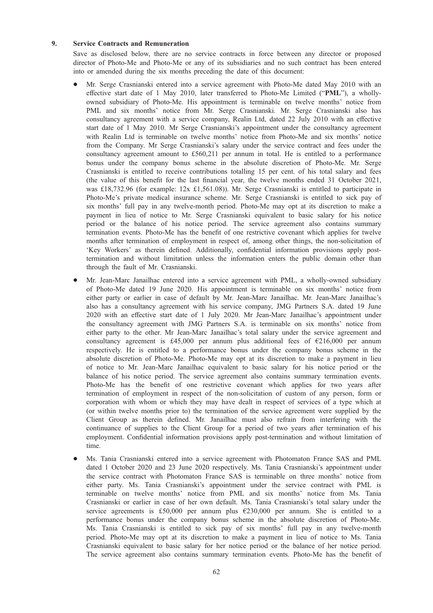# 9. Service Contracts and Remuneration

Save as disclosed below, there are no service contracts in force between any director or proposed director of Photo-Me and Photo-Me or any of its subsidiaries and no such contract has been entered into or amended during the six months preceding the date of this document:

- Mr. Serge Crasnianski entered into a service agreement with Photo-Me dated May 2010 with an effective start date of 1 May 2010, later transferred to Photo-Me Limited ("PML"), a whollyowned subsidiary of Photo-Me. His appointment is terminable on twelve months' notice from PML and six months' notice from Mr. Serge Crasnianski. Mr. Serge Crasnianski also has consultancy agreement with a service company, Realin Ltd, dated 22 July 2010 with an effective start date of 1 May 2010. Mr Serge Crasnianski's appointment under the consultancy agreement with Realin Ltd is terminable on twelve months' notice from Photo-Me and six months' notice from the Company. Mr Serge Crasnianski's salary under the service contract and fees under the consultancy agreement amount to £560,211 per annum in total. He is entitled to a performance bonus under the company bonus scheme in the absolute discretion of Photo-Me. Mr. Serge Crasnianski is entitled to receive contributions totalling 15 per cent. of his total salary and fees (the value of this benefit for the last financial year, the twelve months ended 31 October 2021, was £18,732.96 (for example: 12x £1,561.08)). Mr. Serge Crasnianski is entitled to participate in Photo-Me's private medical insurance scheme. Mr. Serge Crasnianski is entitled to sick pay of six months' full pay in any twelve-month period. Photo-Me may opt at its discretion to make a payment in lieu of notice to Mr. Serge Crasnianski equivalent to basic salary for his notice period or the balance of his notice period. The service agreement also contains summary termination events. Photo-Me has the benefit of one restrictive covenant which applies for twelve months after termination of employment in respect of, among other things, the non-solicitation of 'Key Workers' as therein defined. Additionally, confidential information provisions apply posttermination and without limitation unless the information enters the public domain other than through the fault of Mr. Crasnianski.
- Mr. Jean-Marc Janailhac entered into a service agreement with PML, a wholly-owned subsidiary of Photo-Me dated 19 June 2020. His appointment is terminable on six months' notice from either party or earlier in case of default by Mr. Jean-Marc Janailhac. Mr. Jean-Marc Janailhac's also has a consultancy agreement with his service company, JMG Partners S.A. dated 19 June 2020 with an effective start date of 1 July 2020. Mr Jean-Marc Janailhac's appointment under the consultancy agreement with JMG Partners S.A. is terminable on six months' notice from either party to the other. Mr Jean-Marc Janailhac's total salary under the service agreement and consultancy agreement is £45,000 per annum plus additional fees of  $\epsilon$ 216,000 per annum respectively. He is entitled to a performance bonus under the company bonus scheme in the absolute discretion of Photo-Me. Photo-Me may opt at its discretion to make a payment in lieu of notice to Mr. Jean-Marc Janailhac equivalent to basic salary for his notice period or the balance of his notice period. The service agreement also contains summary termination events. Photo-Me has the benefit of one restrictive covenant which applies for two years after termination of employment in respect of the non-solicitation of custom of any person, form or corporation with whom or which they may have dealt in respect of services of a type which at (or within twelve months prior to) the termination of the service agreement were supplied by the Client Group as therein defined. Mr. Janailhac must also refrain from interfering with the continuance of supplies to the Client Group for a period of two years after termination of his employment. Confidential information provisions apply post-termination and without limitation of time.
- \* Ms. Tania Crasnianski entered into a service agreement with Photomaton France SAS and PML dated 1 October 2020 and 23 June 2020 respectively. Ms. Tania Crasnianski's appointment under the service contract with Photomaton France SAS is terminable on three months' notice from either party. Ms. Tania Crasnianski's appointment under the service contract with PML is terminable on twelve months' notice from PML and six months' notice from Ms. Tania Crasnianski or earlier in case of her own default. Ms. Tania Crasnianski's total salary under the service agreements is £50,000 per annum plus  $£230,000$  per annum. She is entitled to a performance bonus under the company bonus scheme in the absolute discretion of Photo-Me. Ms. Tania Crasnianski is entitled to sick pay of six months' full pay in any twelve-month period. Photo-Me may opt at its discretion to make a payment in lieu of notice to Ms. Tania Crasnianski equivalent to basic salary for her notice period or the balance of her notice period. The service agreement also contains summary termination events. Photo-Me has the benefit of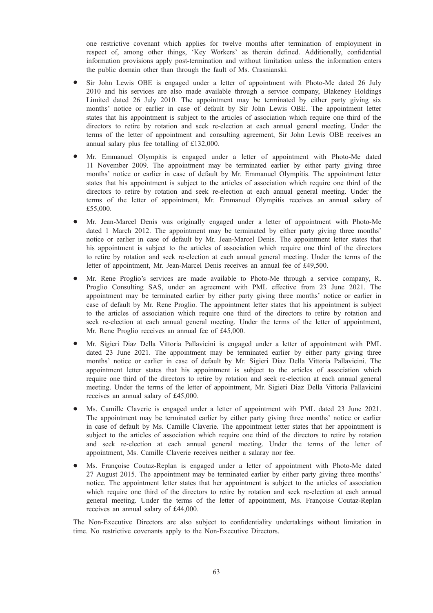one restrictive covenant which applies for twelve months after termination of employment in respect of, among other things, 'Key Workers' as therein defined. Additionally, confidential information provisions apply post-termination and without limitation unless the information enters the public domain other than through the fault of Ms. Crasnianski.

- Sir John Lewis OBE is engaged under a letter of appointment with Photo-Me dated 26 July 2010 and his services are also made available through a service company, Blakeney Holdings Limited dated 26 July 2010. The appointment may be terminated by either party giving six months' notice or earlier in case of default by Sir John Lewis OBE. The appointment letter states that his appointment is subject to the articles of association which require one third of the directors to retire by rotation and seek re-election at each annual general meeting. Under the terms of the letter of appointment and consulting agreement, Sir John Lewis OBE receives an annual salary plus fee totalling of £132,000.
- Mr. Emmanuel Olympitis is engaged under a letter of appointment with Photo-Me dated 11 November 2009. The appointment may be terminated earlier by either party giving three months' notice or earlier in case of default by Mr. Emmanuel Olympitis. The appointment letter states that his appointment is subject to the articles of association which require one third of the directors to retire by rotation and seek re-election at each annual general meeting. Under the terms of the letter of appointment, Mr. Emmanuel Olympitis receives an annual salary of £55,000.
- Mr. Jean-Marcel Denis was originally engaged under a letter of appointment with Photo-Me dated 1 March 2012. The appointment may be terminated by either party giving three months' notice or earlier in case of default by Mr. Jean-Marcel Denis. The appointment letter states that his appointment is subject to the articles of association which require one third of the directors to retire by rotation and seek re-election at each annual general meeting. Under the terms of the letter of appointment, Mr. Jean-Marcel Denis receives an annual fee of £49,500.
- Mr. Rene Proglio's services are made available to Photo-Me through a service company, R. Proglio Consulting SAS, under an agreement with PML effective from 23 June 2021. The appointment may be terminated earlier by either party giving three months' notice or earlier in case of default by Mr. Rene Proglio. The appointment letter states that his appointment is subject to the articles of association which require one third of the directors to retire by rotation and seek re-election at each annual general meeting. Under the terms of the letter of appointment, Mr. Rene Proglio receives an annual fee of £45,000.
- \* Mr. Sigieri Diaz Della Vittoria Pallavicini is engaged under a letter of appointment with PML dated 23 June 2021. The appointment may be terminated earlier by either party giving three months' notice or earlier in case of default by Mr. Sigieri Diaz Della Vittoria Pallavicini. The appointment letter states that his appointment is subject to the articles of association which require one third of the directors to retire by rotation and seek re-election at each annual general meeting. Under the terms of the letter of appointment, Mr. Sigieri Diaz Della Vittoria Pallavicini receives an annual salary of £45,000.
- Ms. Camille Claverie is engaged under a letter of appointment with PML dated 23 June 2021. The appointment may be terminated earlier by either party giving three months' notice or earlier in case of default by Ms. Camille Claverie. The appointment letter states that her appointment is subject to the articles of association which require one third of the directors to retire by rotation and seek re-election at each annual general meeting. Under the terms of the letter of appointment, Ms. Camille Claverie receives neither a salaray nor fee.
- Ms. Françoise Coutaz-Replan is engaged under a letter of appointment with Photo-Me dated 27 August 2015. The appointment may be terminated earlier by either party giving three months' notice. The appointment letter states that her appointment is subject to the articles of association which require one third of the directors to retire by rotation and seek re-election at each annual general meeting. Under the terms of the letter of appointment, Ms. Françoise Coutaz-Replan receives an annual salary of £44,000.

The Non-Executive Directors are also subject to confidentiality undertakings without limitation in time. No restrictive covenants apply to the Non-Executive Directors.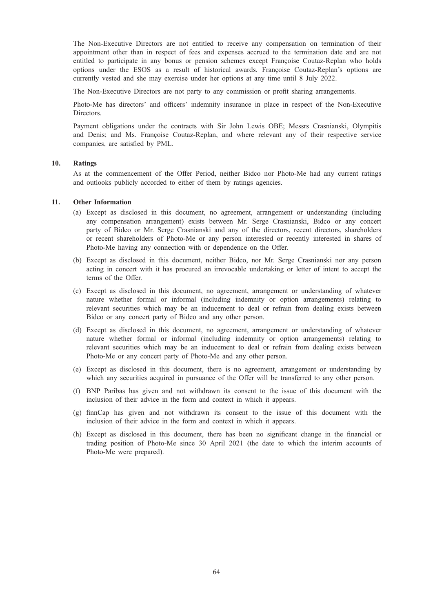The Non-Executive Directors are not entitled to receive any compensation on termination of their appointment other than in respect of fees and expenses accrued to the termination date and are not entitled to participate in any bonus or pension schemes except Françoise Coutaz-Replan who holds options under the ESOS as a result of historical awards. Françoise Coutaz-Replan's options are currently vested and she may exercise under her options at any time until 8 July 2022.

The Non-Executive Directors are not party to any commission or profit sharing arrangements.

Photo-Me has directors' and officers' indemnity insurance in place in respect of the Non-Executive Directors.

Payment obligations under the contracts with Sir John Lewis OBE; Messrs Crasnianski, Olympitis and Denis; and Ms. Françoise Coutaz-Replan, and where relevant any of their respective service companies, are satisfied by PML.

# 10. Ratings

As at the commencement of the Offer Period, neither Bidco nor Photo-Me had any current ratings and outlooks publicly accorded to either of them by ratings agencies.

#### 11. Other Information

- (a) Except as disclosed in this document, no agreement, arrangement or understanding (including any compensation arrangement) exists between Mr. Serge Crasnianski, Bidco or any concert party of Bidco or Mr. Serge Crasnianski and any of the directors, recent directors, shareholders or recent shareholders of Photo-Me or any person interested or recently interested in shares of Photo-Me having any connection with or dependence on the Offer.
- (b) Except as disclosed in this document, neither Bidco, nor Mr. Serge Crasnianski nor any person acting in concert with it has procured an irrevocable undertaking or letter of intent to accept the terms of the Offer.
- (c) Except as disclosed in this document, no agreement, arrangement or understanding of whatever nature whether formal or informal (including indemnity or option arrangements) relating to relevant securities which may be an inducement to deal or refrain from dealing exists between Bidco or any concert party of Bidco and any other person.
- (d) Except as disclosed in this document, no agreement, arrangement or understanding of whatever nature whether formal or informal (including indemnity or option arrangements) relating to relevant securities which may be an inducement to deal or refrain from dealing exists between Photo-Me or any concert party of Photo-Me and any other person.
- (e) Except as disclosed in this document, there is no agreement, arrangement or understanding by which any securities acquired in pursuance of the Offer will be transferred to any other person.
- (f) BNP Paribas has given and not withdrawn its consent to the issue of this document with the inclusion of their advice in the form and context in which it appears.
- (g) finnCap has given and not withdrawn its consent to the issue of this document with the inclusion of their advice in the form and context in which it appears.
- (h) Except as disclosed in this document, there has been no significant change in the financial or trading position of Photo-Me since 30 April 2021 (the date to which the interim accounts of Photo-Me were prepared).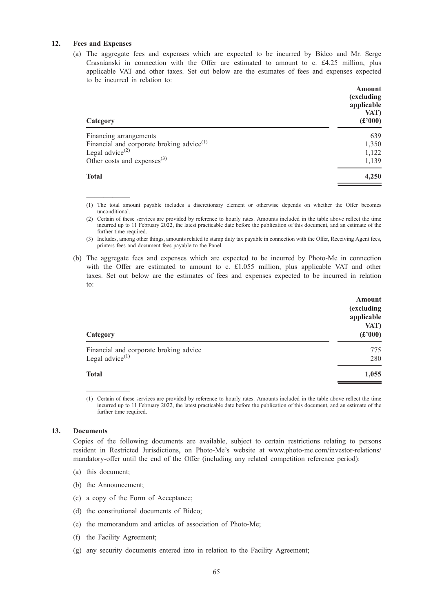# 12. Fees and Expenses

—————

(a) The aggregate fees and expenses which are expected to be incurred by Bidco and Mr. Serge Crasnianski in connection with the Offer are estimated to amount to c. £4.25 million, plus applicable VAT and other taxes. Set out below are the estimates of fees and expenses expected to be incurred in relation to:

| Amount<br>(excluding<br>applicable<br>VAT)<br>(f000) |
|------------------------------------------------------|
| 639                                                  |
| 1,350                                                |
| 1,122                                                |
| 1,139                                                |
| 4,250                                                |
|                                                      |

(1) The total amount payable includes a discretionary element or otherwise depends on whether the Offer becomes unconditional.

(2) Certain of these services are provided by reference to hourly rates. Amounts included in the table above reflect the time incurred up to 11 February 2022, the latest practicable date before the publication of this document, and an estimate of the further time required.

(3) Includes, among other things, amounts related to stamp duty tax payable in connection with the Offer, Receiving Agent fees, printers fees and document fees payable to the Panel.

(b) The aggregate fees and expenses which are expected to be incurred by Photo-Me in connection with the Offer are estimated to amount to c. £1.055 million, plus applicable VAT and other taxes. Set out below are the estimates of fees and expenses expected to be incurred in relation to:

| Category                                                     | Amount<br>(excluding<br>applicable<br>VAT)<br>$(\pounds 000)$ |
|--------------------------------------------------------------|---------------------------------------------------------------|
| Financial and corporate broking advice<br>Legal advice $(1)$ | 775<br>280                                                    |
| <b>Total</b>                                                 | 1,055                                                         |

(1) Certain of these services are provided by reference to hourly rates. Amounts included in the table above reflect the time incurred up to 11 February 2022, the latest practicable date before the publication of this document, and an estimate of the further time required.

#### 13. Documents

Copies of the following documents are available, subject to certain restrictions relating to persons resident in Restricted Jurisdictions, on Photo-Me's website at www.photo-me.com/investor-relations/ mandatory-offer until the end of the Offer (including any related competition reference period):

- (a) this document;
- (b) the Announcement;

—————

- (c) a copy of the Form of Acceptance;
- (d) the constitutional documents of Bidco;
- (e) the memorandum and articles of association of Photo-Me;
- (f) the Facility Agreement;
- (g) any security documents entered into in relation to the Facility Agreement;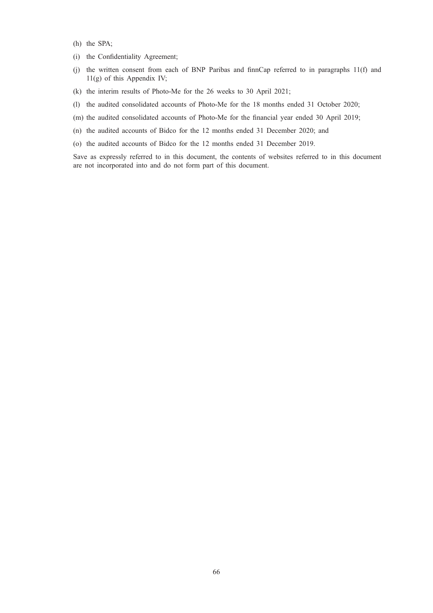- (h) the SPA;
- (i) the Confidentiality Agreement;
- (j) the written consent from each of BNP Paribas and finnCap referred to in paragraphs 11(f) and 11(g) of this Appendix IV;
- (k) the interim results of Photo-Me for the 26 weeks to 30 April 2021;
- (l) the audited consolidated accounts of Photo-Me for the 18 months ended 31 October 2020;

(m) the audited consolidated accounts of Photo-Me for the financial year ended 30 April 2019;

- (n) the audited accounts of Bidco for the 12 months ended 31 December 2020; and
- (o) the audited accounts of Bidco for the 12 months ended 31 December 2019.

Save as expressly referred to in this document, the contents of websites referred to in this document are not incorporated into and do not form part of this document.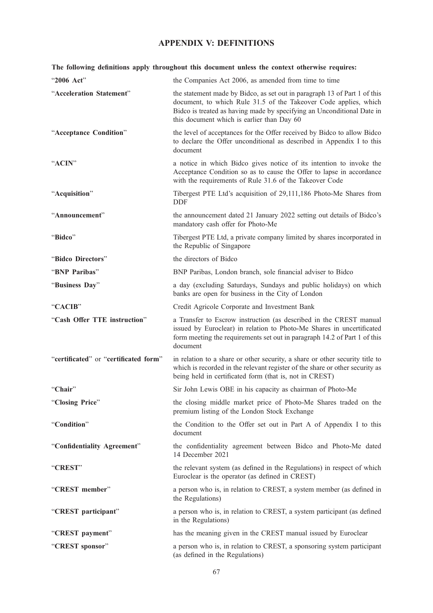# APPENDIX V: DEFINITIONS

| The following definitions apply throughout this document unless the context otherwise requires: |                                                                                                                                                                                                                                                                       |  |
|-------------------------------------------------------------------------------------------------|-----------------------------------------------------------------------------------------------------------------------------------------------------------------------------------------------------------------------------------------------------------------------|--|
| "2006 Act"                                                                                      | the Companies Act 2006, as amended from time to time                                                                                                                                                                                                                  |  |
| "Acceleration Statement"                                                                        | the statement made by Bidco, as set out in paragraph 13 of Part 1 of this<br>document, to which Rule 31.5 of the Takeover Code applies, which<br>Bidco is treated as having made by specifying an Unconditional Date in<br>this document which is earlier than Day 60 |  |
| "Acceptance Condition"                                                                          | the level of acceptances for the Offer received by Bidco to allow Bidco<br>to declare the Offer unconditional as described in Appendix I to this<br>document                                                                                                          |  |
| "ACIN"                                                                                          | a notice in which Bidco gives notice of its intention to invoke the<br>Acceptance Condition so as to cause the Offer to lapse in accordance<br>with the requirements of Rule 31.6 of the Takeover Code                                                                |  |
| "Acquisition"                                                                                   | Tibergest PTE Ltd's acquisition of 29,111,186 Photo-Me Shares from<br><b>DDF</b>                                                                                                                                                                                      |  |
| "Announcement"                                                                                  | the announcement dated 21 January 2022 setting out details of Bidco's<br>mandatory cash offer for Photo-Me                                                                                                                                                            |  |
| "Bidco"                                                                                         | Tibergest PTE Ltd, a private company limited by shares incorporated in<br>the Republic of Singapore                                                                                                                                                                   |  |
| "Bidco Directors"                                                                               | the directors of Bidco                                                                                                                                                                                                                                                |  |
| "BNP Paribas"                                                                                   | BNP Paribas, London branch, sole financial adviser to Bidco                                                                                                                                                                                                           |  |
| "Business Day"                                                                                  | a day (excluding Saturdays, Sundays and public holidays) on which<br>banks are open for business in the City of London                                                                                                                                                |  |
| "CACIB"                                                                                         | Credit Agricole Corporate and Investment Bank                                                                                                                                                                                                                         |  |
| "Cash Offer TTE instruction"                                                                    | a Transfer to Escrow instruction (as described in the CREST manual<br>issued by Euroclear) in relation to Photo-Me Shares in uncertificated<br>form meeting the requirements set out in paragraph 14.2 of Part 1 of this<br>document                                  |  |
| "certificated" or "certificated form"                                                           | in relation to a share or other security, a share or other security title to<br>which is recorded in the relevant register of the share or other security as<br>being held in certificated form (that is, not in CREST)                                               |  |
| "Chair"                                                                                         | Sir John Lewis OBE in his capacity as chairman of Photo-Me                                                                                                                                                                                                            |  |
| "Closing Price"                                                                                 | the closing middle market price of Photo-Me Shares traded on the<br>premium listing of the London Stock Exchange                                                                                                                                                      |  |
| "Condition"                                                                                     | the Condition to the Offer set out in Part A of Appendix I to this<br>document                                                                                                                                                                                        |  |
| "Confidentiality Agreement"                                                                     | the confidentiality agreement between Bidco and Photo-Me dated<br>14 December 2021                                                                                                                                                                                    |  |
| "CREST"                                                                                         | the relevant system (as defined in the Regulations) in respect of which<br>Euroclear is the operator (as defined in CREST)                                                                                                                                            |  |
| "CREST member"                                                                                  | a person who is, in relation to CREST, a system member (as defined in<br>the Regulations)                                                                                                                                                                             |  |
| "CREST participant"                                                                             | a person who is, in relation to CREST, a system participant (as defined<br>in the Regulations)                                                                                                                                                                        |  |
| "CREST payment"                                                                                 | has the meaning given in the CREST manual issued by Euroclear                                                                                                                                                                                                         |  |
| "CREST sponsor"                                                                                 | a person who is, in relation to CREST, a sponsoring system participant<br>(as defined in the Regulations)                                                                                                                                                             |  |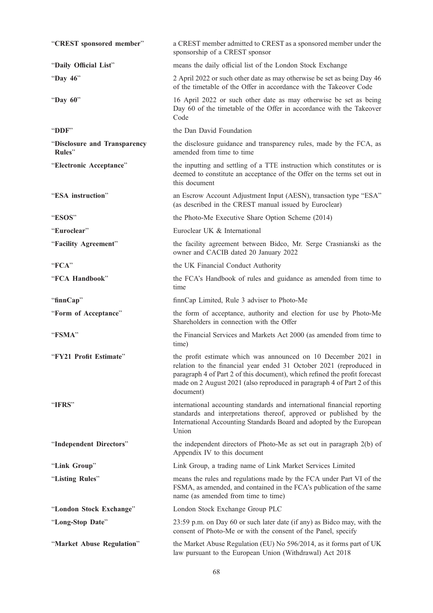| "CREST sponsored member"               | a CREST member admitted to CREST as a sponsored member under the<br>sponsorship of a CREST sponsor                                                                                                                                                                                                          |
|----------------------------------------|-------------------------------------------------------------------------------------------------------------------------------------------------------------------------------------------------------------------------------------------------------------------------------------------------------------|
| "Daily Official List"                  | means the daily official list of the London Stock Exchange                                                                                                                                                                                                                                                  |
| "Day 46"                               | 2 April 2022 or such other date as may otherwise be set as being Day 46<br>of the timetable of the Offer in accordance with the Takeover Code                                                                                                                                                               |
| "Day 60"                               | 16 April 2022 or such other date as may otherwise be set as being<br>Day 60 of the timetable of the Offer in accordance with the Takeover<br>Code                                                                                                                                                           |
| "DDF"                                  | the Dan David Foundation                                                                                                                                                                                                                                                                                    |
| "Disclosure and Transparency<br>Rules" | the disclosure guidance and transparency rules, made by the FCA, as<br>amended from time to time                                                                                                                                                                                                            |
| "Electronic Acceptance"                | the inputting and settling of a TTE instruction which constitutes or is<br>deemed to constitute an acceptance of the Offer on the terms set out in<br>this document                                                                                                                                         |
| "ESA instruction"                      | an Escrow Account Adjustment Input (AESN), transaction type "ESA"<br>(as described in the CREST manual issued by Euroclear)                                                                                                                                                                                 |
| "ESOS"                                 | the Photo-Me Executive Share Option Scheme (2014)                                                                                                                                                                                                                                                           |
| "Euroclear"                            | Euroclear UK & International                                                                                                                                                                                                                                                                                |
| "Facility Agreement"                   | the facility agreement between Bidco, Mr. Serge Crasnianski as the<br>owner and CACIB dated 20 January 2022                                                                                                                                                                                                 |
| "FCA"                                  | the UK Financial Conduct Authority                                                                                                                                                                                                                                                                          |
| "FCA Handbook"                         | the FCA's Handbook of rules and guidance as amended from time to<br>time                                                                                                                                                                                                                                    |
| "finnCap"                              | finnCap Limited, Rule 3 adviser to Photo-Me                                                                                                                                                                                                                                                                 |
| "Form of Acceptance"                   | the form of acceptance, authority and election for use by Photo-Me<br>Shareholders in connection with the Offer                                                                                                                                                                                             |
| "FSMA"                                 | the Financial Services and Markets Act 2000 (as amended from time to<br>time)                                                                                                                                                                                                                               |
| "FY21 Profit Estimate"                 | the profit estimate which was announced on 10 December 2021 in<br>relation to the financial year ended 31 October 2021 (reproduced in<br>paragraph 4 of Part 2 of this document), which refined the profit forecast<br>made on 2 August 2021 (also reproduced in paragraph 4 of Part 2 of this<br>document) |
| "IFRS"                                 | international accounting standards and international financial reporting<br>standards and interpretations thereof, approved or published by the<br>International Accounting Standards Board and adopted by the European<br>Union                                                                            |
| "Independent Directors"                | the independent directors of Photo-Me as set out in paragraph 2(b) of<br>Appendix IV to this document                                                                                                                                                                                                       |
| "Link Group"                           | Link Group, a trading name of Link Market Services Limited                                                                                                                                                                                                                                                  |
| "Listing Rules"                        | means the rules and regulations made by the FCA under Part VI of the<br>FSMA, as amended, and contained in the FCA's publication of the same<br>name (as amended from time to time)                                                                                                                         |
| "London Stock Exchange"                | London Stock Exchange Group PLC                                                                                                                                                                                                                                                                             |
| "Long-Stop Date"                       | 23:59 p.m. on Day 60 or such later date (if any) as Bidco may, with the<br>consent of Photo-Me or with the consent of the Panel, specify                                                                                                                                                                    |
| "Market Abuse Regulation"              | the Market Abuse Regulation (EU) No 596/2014, as it forms part of UK<br>law pursuant to the European Union (Withdrawal) Act 2018                                                                                                                                                                            |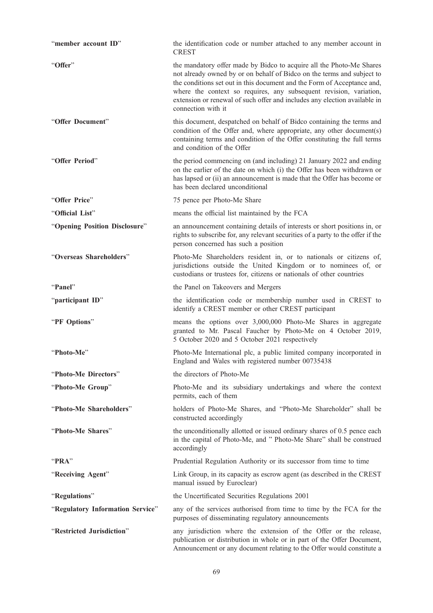| "member account ID"              | the identification code or number attached to any member account in<br><b>CREST</b>                                                                                                                                                                                                                                                                                                                |
|----------------------------------|----------------------------------------------------------------------------------------------------------------------------------------------------------------------------------------------------------------------------------------------------------------------------------------------------------------------------------------------------------------------------------------------------|
| "Offer"                          | the mandatory offer made by Bidco to acquire all the Photo-Me Shares<br>not already owned by or on behalf of Bidco on the terms and subject to<br>the conditions set out in this document and the Form of Acceptance and,<br>where the context so requires, any subsequent revision, variation,<br>extension or renewal of such offer and includes any election available in<br>connection with it |
| "Offer Document"                 | this document, despatched on behalf of Bidco containing the terms and<br>condition of the Offer and, where appropriate, any other document(s)<br>containing terms and condition of the Offer constituting the full terms<br>and condition of the Offer                                                                                                                                             |
| "Offer Period"                   | the period commencing on (and including) 21 January 2022 and ending<br>on the earlier of the date on which (i) the Offer has been withdrawn or<br>has lapsed or (ii) an announcement is made that the Offer has become or<br>has been declared unconditional                                                                                                                                       |
| "Offer Price"                    | 75 pence per Photo-Me Share                                                                                                                                                                                                                                                                                                                                                                        |
| "Official List"                  | means the official list maintained by the FCA                                                                                                                                                                                                                                                                                                                                                      |
| "Opening Position Disclosure"    | an announcement containing details of interests or short positions in, or<br>rights to subscribe for, any relevant securities of a party to the offer if the<br>person concerned has such a position                                                                                                                                                                                               |
| "Overseas Shareholders"          | Photo-Me Shareholders resident in, or to nationals or citizens of,<br>jurisdictions outside the United Kingdom or to nominees of, or<br>custodians or trustees for, citizens or nationals of other countries                                                                                                                                                                                       |
| "Panel"                          | the Panel on Takeovers and Mergers                                                                                                                                                                                                                                                                                                                                                                 |
| "participant ID"                 | the identification code or membership number used in CREST to<br>identify a CREST member or other CREST participant                                                                                                                                                                                                                                                                                |
| "PF Options"                     | means the options over 3,000,000 Photo-Me Shares in aggregate<br>granted to Mr. Pascal Faucher by Photo-Me on 4 October 2019,<br>5 October 2020 and 5 October 2021 respectively                                                                                                                                                                                                                    |
| "Photo-Me"                       | Photo-Me International plc, a public limited company incorporated in<br>England and Wales with registered number 00735438                                                                                                                                                                                                                                                                          |
| "Photo-Me Directors"             | the directors of Photo-Me                                                                                                                                                                                                                                                                                                                                                                          |
| "Photo-Me Group"                 | Photo-Me and its subsidiary undertakings and where the context<br>permits, each of them                                                                                                                                                                                                                                                                                                            |
| "Photo-Me Shareholders"          | holders of Photo-Me Shares, and "Photo-Me Shareholder" shall be<br>constructed accordingly                                                                                                                                                                                                                                                                                                         |
| "Photo-Me Shares"                | the unconditionally allotted or issued ordinary shares of 0.5 pence each<br>in the capital of Photo-Me, and " Photo-Me Share" shall be construed<br>accordingly                                                                                                                                                                                                                                    |
| "PRA"                            | Prudential Regulation Authority or its successor from time to time                                                                                                                                                                                                                                                                                                                                 |
| "Receiving Agent"                | Link Group, in its capacity as escrow agent (as described in the CREST<br>manual issued by Euroclear)                                                                                                                                                                                                                                                                                              |
| "Regulations"                    | the Uncertificated Securities Regulations 2001                                                                                                                                                                                                                                                                                                                                                     |
| "Regulatory Information Service" | any of the services authorised from time to time by the FCA for the<br>purposes of disseminating regulatory announcements                                                                                                                                                                                                                                                                          |
| "Restricted Jurisdiction"        | any jurisdiction where the extension of the Offer or the release,<br>publication or distribution in whole or in part of the Offer Document,<br>Announcement or any document relating to the Offer would constitute a                                                                                                                                                                               |